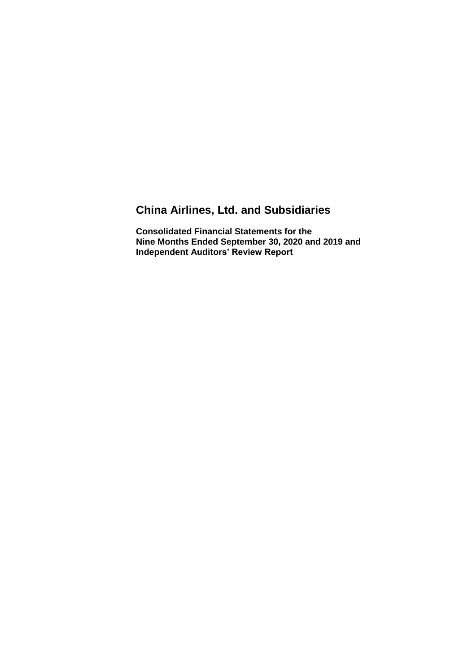# **China Airlines, Ltd. and Subsidiaries**

**Consolidated Financial Statements for the Nine Months Ended September 30, 2020 and 2019 and Independent Auditors' Review Report**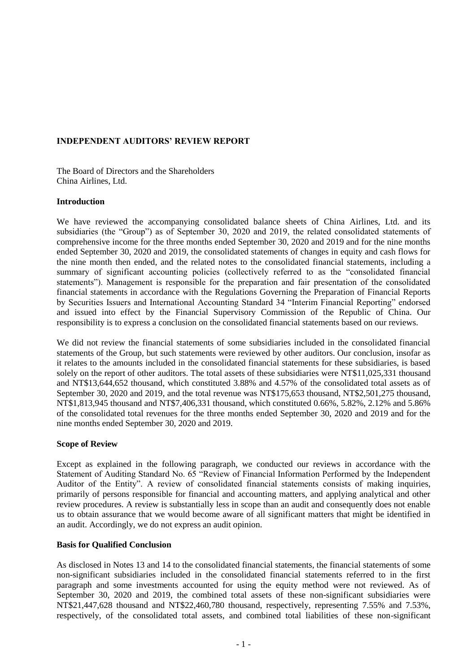### **INDEPENDENT AUDITORS' REVIEW REPORT**

The Board of Directors and the Shareholders China Airlines, Ltd.

#### **Introduction**

We have reviewed the accompanying consolidated balance sheets of China Airlines, Ltd. and its subsidiaries (the "Group") as of September 30, 2020 and 2019, the related consolidated statements of comprehensive income for the three months ended September 30, 2020 and 2019 and for the nine months ended September 30, 2020 and 2019, the consolidated statements of changes in equity and cash flows for the nine month then ended, and the related notes to the consolidated financial statements, including a summary of significant accounting policies (collectively referred to as the "consolidated financial statements"). Management is responsible for the preparation and fair presentation of the consolidated financial statements in accordance with the Regulations Governing the Preparation of Financial Reports by Securities Issuers and International Accounting Standard 34 "Interim Financial Reporting" endorsed and issued into effect by the Financial Supervisory Commission of the Republic of China. Our responsibility is to express a conclusion on the consolidated financial statements based on our reviews.

We did not review the financial statements of some subsidiaries included in the consolidated financial statements of the Group, but such statements were reviewed by other auditors. Our conclusion, insofar as it relates to the amounts included in the consolidated financial statements for these subsidiaries, is based solely on the report of other auditors. The total assets of these subsidiaries were NT\$11,025,331 thousand and NT\$13,644,652 thousand, which constituted 3.88% and 4.57% of the consolidated total assets as of September 30, 2020 and 2019, and the total revenue was NT\$175,653 thousand, NT\$2,501,275 thousand, NT\$1,813,945 thousand and NT\$7,406,331 thousand, which constituted 0.66%, 5.82%, 2.12% and 5.86% of the consolidated total revenues for the three months ended September 30, 2020 and 2019 and for the nine months ended September 30, 2020 and 2019.

#### **Scope of Review**

Except as explained in the following paragraph, we conducted our reviews in accordance with the Statement of Auditing Standard No. 65 "Review of Financial Information Performed by the Independent Auditor of the Entity". A review of consolidated financial statements consists of making inquiries, primarily of persons responsible for financial and accounting matters, and applying analytical and other review procedures. A review is substantially less in scope than an audit and consequently does not enable us to obtain assurance that we would become aware of all significant matters that might be identified in an audit. Accordingly, we do not express an audit opinion.

#### **Basis for Qualified Conclusion**

As disclosed in Notes 13 and 14 to the consolidated financial statements, the financial statements of some non-significant subsidiaries included in the consolidated financial statements referred to in the first paragraph and some investments accounted for using the equity method were not reviewed. As of September 30, 2020 and 2019, the combined total assets of these non-significant subsidiaries were NT\$21,447,628 thousand and NT\$22,460,780 thousand, respectively, representing 7.55% and 7.53%, respectively, of the consolidated total assets, and combined total liabilities of these non-significant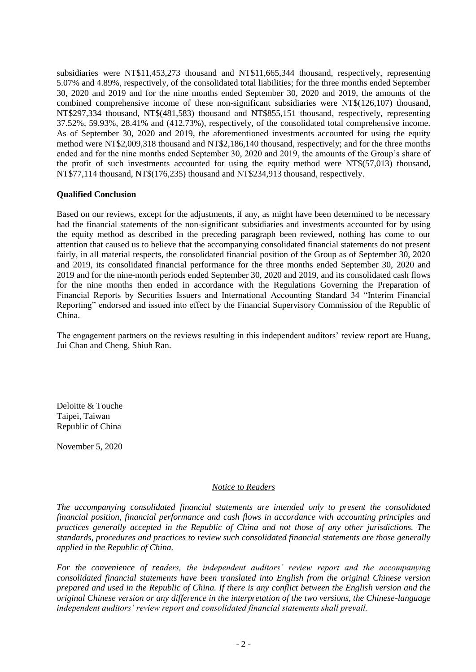subsidiaries were NT\$11,453,273 thousand and NT\$11,665,344 thousand, respectively, representing 5.07% and 4.89%, respectively, of the consolidated total liabilities; for the three months ended September 30, 2020 and 2019 and for the nine months ended September 30, 2020 and 2019, the amounts of the combined comprehensive income of these non-significant subsidiaries were NT\$(126,107) thousand, NT\$297,334 thousand, NT\$(481,583) thousand and NT\$855,151 thousand, respectively, representing 37.52%, 59.93%, 28.41% and (412.73%), respectively, of the consolidated total comprehensive income. As of September 30, 2020 and 2019, the aforementioned investments accounted for using the equity method were NT\$2,009,318 thousand and NT\$2,186,140 thousand, respectively; and for the three months ended and for the nine months ended September 30, 2020 and 2019, the amounts of the Group's share of the profit of such investments accounted for using the equity method were NT\$(57,013) thousand, NT\$77,114 thousand, NT\$(176,235) thousand and NT\$234,913 thousand, respectively.

#### **Qualified Conclusion**

Based on our reviews, except for the adjustments, if any, as might have been determined to be necessary had the financial statements of the non-significant subsidiaries and investments accounted for by using the equity method as described in the preceding paragraph been reviewed, nothing has come to our attention that caused us to believe that the accompanying consolidated financial statements do not present fairly, in all material respects, the consolidated financial position of the Group as of September 30, 2020 and 2019, its consolidated financial performance for the three months ended September 30, 2020 and 2019 and for the nine-month periods ended September 30, 2020 and 2019, and its consolidated cash flows for the nine months then ended in accordance with the Regulations Governing the Preparation of Financial Reports by Securities Issuers and International Accounting Standard 34 "Interim Financial Reporting" endorsed and issued into effect by the Financial Supervisory Commission of the Republic of China.

The engagement partners on the reviews resulting in this independent auditors' review report are Huang, Jui Chan and Cheng, Shiuh Ran.

Deloitte & Touche Taipei, Taiwan Republic of China

November 5, 2020

#### *Notice to Readers*

*The accompanying consolidated financial statements are intended only to present the consolidated financial position, financial performance and cash flows in accordance with accounting principles and practices generally accepted in the Republic of China and not those of any other jurisdictions. The standards, procedures and practices to review such consolidated financial statements are those generally applied in the Republic of China.*

*For the convenience of readers, the independent auditors' review report and the accompanying consolidated financial statements have been translated into English from the original Chinese version prepared and used in the Republic of China. If there is any conflict between the English version and the original Chinese version or any difference in the interpretation of the two versions, the Chinese-language independent auditors' review report and consolidated financial statements shall prevail.*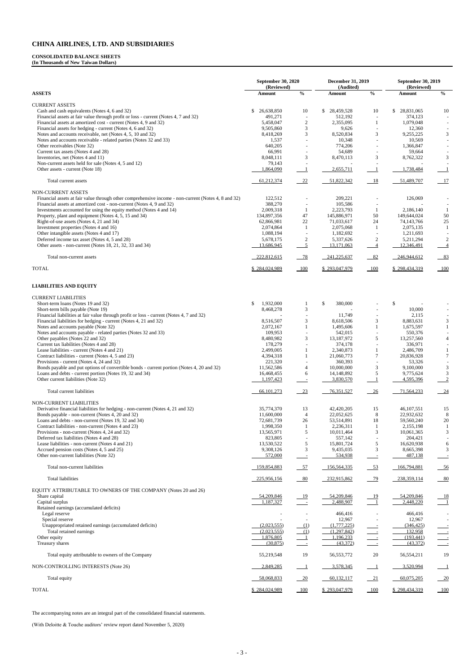#### **CONSOLIDATED BALANCE SHEETS**

**(In Thousands of New Taiwan Dollars)**

|                                                                                                                                                                             | <b>September 30, 2020</b> |                                    | <b>December 31, 2019</b> |                                  | <b>September 30, 2019</b>   |                                           |  |
|-----------------------------------------------------------------------------------------------------------------------------------------------------------------------------|---------------------------|------------------------------------|--------------------------|----------------------------------|-----------------------------|-------------------------------------------|--|
| <b>ASSETS</b>                                                                                                                                                               | (Reviewed)<br>Amount      | $\mathbf{0}_{\mathbf{0}}^{\prime}$ | (Audited)<br>Amount      | $\boldsymbol{\mathsf{0}/_{\!0}}$ | (Reviewed)<br><b>Amount</b> | $\frac{6}{6}$                             |  |
| <b>CURRENT ASSETS</b>                                                                                                                                                       |                           |                                    |                          |                                  |                             |                                           |  |
| Cash and cash equivalents (Notes 4, 6 and 32)                                                                                                                               | 26,638,850<br>\$          | 10                                 | \$<br>28,459,528         | 10                               | \$<br>28,831,065            | 10                                        |  |
| Financial assets at fair value through profit or loss - current (Notes 4, 7 and 32)<br>Financial assets at amortized cost - current (Notes 4, 9 and 32)                     | 491,271<br>5,458,047      | $\sqrt{2}$                         | 512,192<br>2,355,095     | $\overline{\phantom{a}}$<br>1    | 374,123<br>1,079,048        |                                           |  |
| Financial assets for hedging - current (Notes 4, 6 and 32)                                                                                                                  | 9,505,860                 | 3                                  | 9,626                    |                                  | 12,360                      |                                           |  |
| Notes and accounts receivable, net (Notes 4, 5, 10 and 32)                                                                                                                  | 8,418,269                 | 3                                  | 8,520,834                | 3                                | 9,255,225                   | 3                                         |  |
| Notes and accounts receivable - related parties (Notes 32 and 33)                                                                                                           | 1,537                     |                                    | 10,348                   |                                  | 10,569                      |                                           |  |
| Other receivables (Note 32)                                                                                                                                                 | 640,205                   |                                    | 774,206                  | $\sim$                           | 1,366,847                   |                                           |  |
| Current tax assets (Notes 4 and 28)<br>Inventories, net (Notes 4 and 11)                                                                                                    | 66,991<br>8,048,111       | 3                                  | 54,689<br>8,470,113      | 3                                | 59,664<br>8,762,322         | 3                                         |  |
| Non-current assets held for sale (Notes 4, 5 and 12)                                                                                                                        | 79,143                    |                                    |                          |                                  |                             |                                           |  |
| Other assets - current (Note 18)                                                                                                                                            | 1,864,090                 | -1                                 | 2,655,711                | -1                               | 1,738,484                   | -1                                        |  |
| Total current assets                                                                                                                                                        | 61,212,374                | $-22$                              | 51,822,342               | 18                               | 51,489,707                  | $\frac{17}{2}$                            |  |
| NON-CURRENT ASSETS                                                                                                                                                          |                           |                                    |                          |                                  |                             |                                           |  |
| Financial assets at fair value through other comprehensive income - non-current (Notes 4, 8 and 32)<br>Financial assets at amortized cost - non-current (Notes 4, 9 and 32) | 122,512<br>388,270        | $\sim$                             | 209,221<br>105,586       |                                  | 126,069                     |                                           |  |
| Investments accounted for using the equity method (Notes 4 and 14)                                                                                                          | 2,009,318                 | -1                                 | 2,223,793                | -1                               | 2,186,140                   | -1                                        |  |
| Property, plant and equipment (Notes 4, 5, 15 and 34)                                                                                                                       | 134,897,356               | 47                                 | 145,886,971              | 50                               | 149,644,024                 | 50                                        |  |
| Right-of-use assets (Notes 4, 21 and 34)                                                                                                                                    | 62,866,981                | $22\,$                             | 71,033,617               | 24                               | 74,143,766                  | $25\,$                                    |  |
| Investment properties (Notes 4 and 16)                                                                                                                                      | 2,074,864                 | -1                                 | 2,075,068                | -1                               | 2,075,135                   | -1                                        |  |
| Other intangible assets (Notes 4 and 17)                                                                                                                                    | 1,088,194                 |                                    | 1,182,692                |                                  | 1,211,693                   |                                           |  |
| Deferred income tax asset (Notes 4, 5 and 28)<br>Other assets - non-current (Notes 18, 21, 32, 33 and 34)                                                                   | 5,678,175<br>13,686,945   | $\overline{c}$<br>$\overline{5}$   | 5,337,626<br>13,171,063  | $\sqrt{2}$<br>$\overline{4}$     | 5,211,294<br>12,346,491     | 2<br>$\overline{4}$                       |  |
|                                                                                                                                                                             |                           |                                    |                          |                                  |                             |                                           |  |
| Total non-current assets                                                                                                                                                    | 222,812,615               | $-78$                              | 241,225,637              | 82                               | 246,944,612                 | 83                                        |  |
| <b>TOTAL</b>                                                                                                                                                                | \$284,024,989             |                                    | \$293,047,979            | $\frac{100}{1}$                  | \$298,434,319               | $\underline{\underline{\hspace{1cm}}100}$ |  |
| <b>LIABILITIES AND EQUITY</b>                                                                                                                                               |                           |                                    |                          |                                  |                             |                                           |  |
| <b>CURRENT LIABILITIES</b>                                                                                                                                                  |                           |                                    |                          |                                  |                             |                                           |  |
| Short-term loans (Notes 19 and 32)                                                                                                                                          | 1,932,000<br>\$           | 1                                  | \$<br>380,000            |                                  | \$                          |                                           |  |
| Short-term bills payable (Note 19)                                                                                                                                          | 8,468,278                 | 3                                  |                          |                                  | 10,000                      |                                           |  |
| Financial liabilities at fair value through profit or loss - current (Notes 4, 7 and 32)                                                                                    |                           |                                    | 11,749                   |                                  | 2,115                       |                                           |  |
| Financial liabilities for hedging - current (Notes 4, 21 and 32)                                                                                                            | 8,516,507                 | 3                                  | 8,618,506                | 3                                | 8,883,631                   | 3                                         |  |
| Notes and accounts payable (Note 32)                                                                                                                                        | 2,072,167                 |                                    | 1,495,606                |                                  | 1,675,597                   | $\mathbf{1}$                              |  |
| Notes and accounts payable - related parties (Notes 32 and 33)                                                                                                              | 109,953                   |                                    | 542,015                  |                                  | 550,376                     |                                           |  |
| Other payables (Notes 22 and 32)<br>Current tax liabilities (Notes 4 and 28)                                                                                                | 8,480,982<br>178,279      | 3                                  | 13,187,972<br>374,178    | 5                                | 13,257,560<br>336,971       | $\overline{4}$                            |  |
| Lease liabilities - current (Notes 4 and 21)                                                                                                                                | 2,499,005                 | 1                                  | 2,340,873                | 1                                | 2,486,709                   | -1                                        |  |
| Contract liabilities - current (Notes 4, 5 and 23)                                                                                                                          | 4,394,318                 | 1                                  | 21,060,773               | 7                                | 20,836,928                  | $\tau$                                    |  |
| Provisions - current (Notes 4, 24 and 32)                                                                                                                                   | 221,320                   |                                    | 360,393                  |                                  | 53,326                      |                                           |  |
| Bonds payable and put options of convertible bonds - current portion (Notes 4, 20 and 32)                                                                                   | 11,562,586                | $\overline{4}$                     | 10,000,000               | 3                                | 9,100,000                   | 3                                         |  |
| Loans and debts - current portion (Notes 19, 32 and 34)<br>Other current liabilities (Note 32)                                                                              | 16,468,455<br>1,197,423   | 6                                  | 14,148,892<br>3,830,570  | 5<br>-1                          | 9,775,624                   | $\mathbf{3}$                              |  |
|                                                                                                                                                                             |                           | $\equiv$                           |                          |                                  | 4,595,396                   | $\frac{2}{2}$                             |  |
| Total current liabilities                                                                                                                                                   | 66,101,273                | 23                                 | 76,351,527               | $-26$                            | 71,564,233                  | $-24$                                     |  |
| NON-CURRENT LIABILITIES                                                                                                                                                     |                           |                                    |                          |                                  |                             |                                           |  |
| Derivative financial liabilities for hedging - non-current (Notes 4, 21 and 32)<br>Bonds payable - non-current (Notes 4, 20 and 32)                                         | 35,774,370<br>11,600,000  | 13<br>$\overline{4}$               | 42,420,205<br>22,052,625 | 15<br>$\,8\,$                    | 46, 107, 551<br>22,932,632  | 15<br>8                                   |  |
| Loans and debts - non-current (Notes 19, 32 and 34)                                                                                                                         | 72,681,739                | 26                                 | 53,514,891               | 18                               | 59,560,240                  | $20\,$                                    |  |
| Contract liabilities - non-current (Notes 4 and 23)                                                                                                                         | 1,998,350                 | 1                                  | 2,236,311                | -1                               | 2,155,198                   |                                           |  |
| Provisions - non-current (Notes 4, 24 and 32)                                                                                                                               | 13,565,971                | 5                                  | 10,011,464               | 3                                | 10,061,365                  | 3                                         |  |
| Deferred tax liabilities (Notes 4 and 28)                                                                                                                                   | 823,805                   |                                    | 557,142                  |                                  | 204,421                     |                                           |  |
| Lease liabilities - non-current (Notes 4 and 21)<br>Accrued pension costs (Notes 4, 5 and 25)                                                                               | 13,530,522<br>9,308,126   | 5<br>3                             | 15,801,724<br>9,435,035  | 5<br>3                           | 16,620,938<br>8,665,398     | 6<br>3                                    |  |
| Other non-current liabilities (Note 32)                                                                                                                                     | 572,000                   |                                    | 534,938                  |                                  | 487,138                     |                                           |  |
| Total non-current liabilities                                                                                                                                               | 159,854,883               | $-57$                              | 156,564,335              | $-53$                            | 166,794,881                 | 56                                        |  |
| <b>Total liabilities</b>                                                                                                                                                    | 225,956,156               | $-80$                              | 232,915,862              | $-79$                            | 238,359,114                 | 80                                        |  |
| EQUITY ATTRIBUTABLE TO OWNERS OF THE COMPANY (Notes 20 and 26)                                                                                                              |                           |                                    |                          |                                  |                             |                                           |  |
| Share capital                                                                                                                                                               | 54,209,846                | $\frac{19}{1}$                     | 54,209,846               | 19                               | 54,209,846                  | $\frac{18}{1}$                            |  |
| Capital surplus                                                                                                                                                             | 1,187,327                 |                                    | 2,488,907                | $\overline{\phantom{0}}$ 1       | 2,448,220                   |                                           |  |
| Retained earnings (accumulated deficits)                                                                                                                                    |                           |                                    |                          |                                  |                             |                                           |  |
| Legal reserve<br>Special reserve                                                                                                                                            |                           |                                    | 466,416<br>12,967        |                                  | 466,416<br>12,967           |                                           |  |
| Unappropriated retained earnings (accumulated deficits)                                                                                                                     | (2,023,555)               | (1)                                | (1,777,225)              |                                  | (346, 425)                  |                                           |  |
| Total retained earnings                                                                                                                                                     | (2,023,555)               | $\frac{(1)}{1}$                    | (1,297,842)              |                                  | 132,958                     |                                           |  |
| Other equity                                                                                                                                                                | 1.876.805                 |                                    | 1,196,233                |                                  | (193, 441)                  | $\frac{1}{\sqrt{1-\frac{1}{2}}}$          |  |
| Treasury shares                                                                                                                                                             | (30,875)                  | $\sim 10^{-1}$                     | (43,372)                 |                                  | (43,372)                    |                                           |  |
| Total equity attributable to owners of the Company                                                                                                                          | 55,219,548                | 19                                 | 56, 553, 772             | 20                               | 56,554,211                  | 19                                        |  |
| NON-CONTROLLING INTERESTS (Note 26)                                                                                                                                         | 2,849,285                 | $\blacksquare$                     | 3,578,345                |                                  | 3,520,994                   | $\overline{\phantom{0}}$                  |  |
| Total equity                                                                                                                                                                | 58,068,833                | 20                                 | 60,132,117               | 21                               | 60,075,205                  | 20                                        |  |
| <b>TOTAL</b>                                                                                                                                                                | \$284,024,989             | 100                                | \$293,047,979            | 100                              | \$298,434,319               | 100                                       |  |

The accompanying notes are an integral part of the consolidated financial statements.

(With Deloitte & Touche auditors' review report dated November 5, 2020)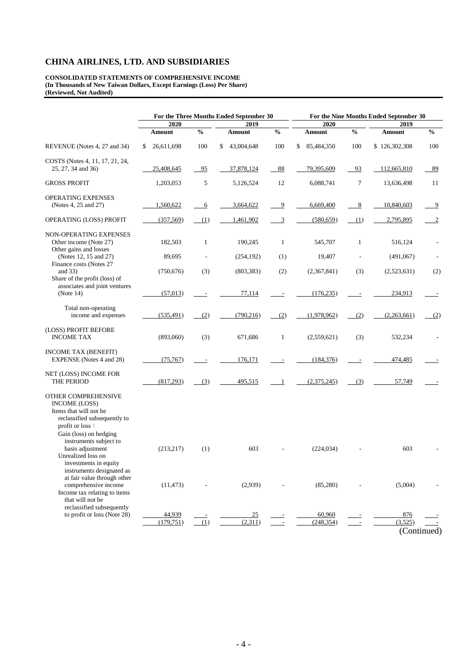**CONSOLIDATED STATEMENTS OF COMPREHENSIVE INCOME (In Thousands of New Taiwan Dollars, Except Earnings (Loss) Per Share) (Reviewed, Not Audited)**

|                                                                                                                                                                              | For the Three Months Ended September 30 |               |                  |                | For the Nine Months Ended September 30 |               |                        |                |  |  |
|------------------------------------------------------------------------------------------------------------------------------------------------------------------------------|-----------------------------------------|---------------|------------------|----------------|----------------------------------------|---------------|------------------------|----------------|--|--|
|                                                                                                                                                                              | 2020<br>2019                            |               | 2020             |                | 2019                                   |               |                        |                |  |  |
|                                                                                                                                                                              | <b>Amount</b>                           | $\frac{0}{6}$ | <b>Amount</b>    | $\frac{0}{6}$  | <b>Amount</b>                          | $\frac{0}{0}$ | <b>Amount</b>          | $\frac{0}{0}$  |  |  |
| REVENUE (Notes 4, 27 and 34)                                                                                                                                                 | 26,611,698<br>S                         | 100           | 43,004,648<br>\$ | 100            | 85,484,350<br>\$                       | 100           | \$126,302,308          | 100            |  |  |
| COSTS (Notes 4, 11, 17, 21, 24,<br>25, 27, 34 and 36)                                                                                                                        | 25,408,645                              | 95            | 37,878,124       | 88             | 79,395,609                             | 93            | 112,665,810            | 89             |  |  |
| <b>GROSS PROFIT</b>                                                                                                                                                          | 1,203,053                               | 5             | 5,126,524        | 12             | 6,088,741                              | $\tau$        | 13,636,498             | 11             |  |  |
| OPERATING EXPENSES<br>(Notes 4, 25 and 27)                                                                                                                                   | 1,560,622                               | 6             | 3,664,622        | $\overline{9}$ | 6,669,400                              | 8             | 10,840,603             | $\overline{9}$ |  |  |
| OPERATING (LOSS) PROFIT                                                                                                                                                      | (357, 569)                              | (1)           | 1,461,902        | 3              | (580, 659)                             | (1)           | 2,795,895              | 2              |  |  |
| <b>NON-OPERATING EXPENSES</b><br>Other income (Note 27)<br>Other gains and losses                                                                                            | 182,503                                 | 1             | 190,245          | $\mathbf{1}$   | 545,707                                | $\mathbf{1}$  | 516,124                |                |  |  |
| (Notes 12, 15 and 27)                                                                                                                                                        | 89,695                                  |               | (254, 192)       | (1)            | 19,407                                 |               | (491,067)              |                |  |  |
| Finance costs (Notes 27<br>and $33)$<br>Share of the profit (loss) of                                                                                                        | (750, 676)                              | (3)           | (803, 383)       | (2)            | (2,367,841)                            | (3)           | (2,523,631)            | (2)            |  |  |
| associates and joint ventures<br>(Note 14)                                                                                                                                   | (57, 013)                               |               | 77,114           |                | (176, 235)                             |               | 234,913                |                |  |  |
| Total non-operating<br>income and expenses                                                                                                                                   | (535, 491)                              | (2)           | (790, 216)       | (2)            | (1,978,962)                            | (2)           | (2,263,661)            | (2)            |  |  |
| (LOSS) PROFIT BEFORE<br><b>INCOME TAX</b>                                                                                                                                    | (893,060)                               | (3)           | 671,686          | $\mathbf{1}$   | (2,559,621)                            | (3)           | 532,234                |                |  |  |
| <b>INCOME TAX (BENEFIT)</b><br>EXPENSE (Notes 4 and 28)                                                                                                                      | (75, 767)                               |               | 176,171          |                | (184, 376)                             |               | 474,485                |                |  |  |
| NET (LOSS) INCOME FOR<br>THE PERIOD                                                                                                                                          | (817,293)                               | (3)           | 495,515          | -1             | (2,375,245)                            | (3)           | 57,749                 |                |  |  |
| OTHER COMPREHENSIVE<br><b>INCOME (LOSS)</b><br>Items that will not be<br>reclassified subsequently to<br>profit or loss:<br>Gain (loss) on hedging<br>instruments subject to |                                         |               |                  |                |                                        |               |                        |                |  |  |
| basis adjustment<br>Unrealized loss on<br>investments in equity<br>instruments designated as                                                                                 | (213, 217)                              | (1)           | 603              |                | (224, 034)                             |               | 603                    |                |  |  |
| at fair value through other<br>comprehensive income<br>Income tax relating to items<br>that will not be<br>reclassified subsequently                                         | (11, 473)                               |               | (2,939)          |                | (85,280)                               |               | (5,004)                |                |  |  |
| to profit or loss (Note 28)                                                                                                                                                  | 44,939                                  |               | 25               |                | 60,960                                 |               | 876                    |                |  |  |
|                                                                                                                                                                              | (179, 751)                              | (1)           | (2,311)          |                | (248, 354)                             |               | (3,525)<br>(Continued) |                |  |  |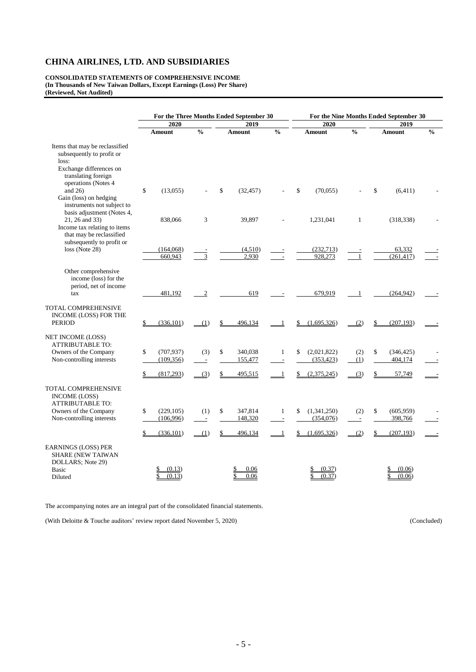**CONSOLIDATED STATEMENTS OF COMPREHENSIVE INCOME (In Thousands of New Taiwan Dollars, Except Earnings (Loss) Per Share) (Reviewed, Not Audited)**

|                                                                                                                                                             |                                |                | For the Three Months Ended September 30 |                               |                                 | For the Nine Months Ended September 30 |                             |               |
|-------------------------------------------------------------------------------------------------------------------------------------------------------------|--------------------------------|----------------|-----------------------------------------|-------------------------------|---------------------------------|----------------------------------------|-----------------------------|---------------|
|                                                                                                                                                             | 2020<br>$\frac{0}{0}$          |                | 2019<br>$\frac{0}{0}$                   |                               | 2020                            | $\frac{0}{0}$                          | 2019                        |               |
|                                                                                                                                                             | Amount                         |                | Amount                                  |                               | <b>Amount</b>                   |                                        | Amount                      | $\frac{0}{0}$ |
| Items that may be reclassified<br>subsequently to profit or<br>loss:<br>Exchange differences on<br>translating foreign<br>operations (Notes 4<br>and $26$ ) | \$<br>(13,055)                 |                | (32, 457)<br>\$                         |                               | \$<br>(70.055)                  |                                        | \$<br>(6, 411)              |               |
| Gain (loss) on hedging<br>instruments not subject to<br>basis adjustment (Notes 4,                                                                          |                                |                |                                         |                               |                                 |                                        |                             |               |
| 21, 26 and 33)<br>Income tax relating to items<br>that may be reclassified<br>subsequently to profit or                                                     | 838,066                        | 3              | 39,897                                  |                               | 1,231,041                       | $\mathbf{1}$                           | (318, 338)                  |               |
| loss (Note 28)                                                                                                                                              | (164,068)<br>660,943           |                | (4,510)<br>2,930                        |                               | (232,713)<br>928,273            |                                        | 63,332<br>(261, 417)        |               |
| Other comprehensive<br>income (loss) for the<br>period, net of income<br>tax                                                                                | 481,192                        | $\mathfrak{2}$ | 619                                     |                               | 679,919                         |                                        | (264, 942)                  |               |
| TOTAL COMPREHENSIVE<br>INCOME (LOSS) FOR THE<br><b>PERIOD</b>                                                                                               | \$<br>(336, 101)               | (1)            | 496,134                                 |                               | (1,695,326)                     | (2)                                    | (207, 193)                  |               |
| NET INCOME (LOSS)<br><b>ATTRIBUTABLE TO:</b><br>Owners of the Company<br>Non-controlling interests                                                          | \$<br>(707, 937)<br>(109, 356) | (3)            | 340,038<br>\$<br>155,477                | $\mathbf{1}$                  | (2,021,822)<br>\$<br>(353, 423) | (2)<br>(1)                             | \$<br>(346, 425)<br>404,174 |               |
|                                                                                                                                                             | (817,293)                      | (3)            | 495,515                                 |                               | (2,375,245)                     | (3)                                    | 57,749                      |               |
| TOTAL COMPREHENSIVE<br>INCOME (LOSS)<br><b>ATTRIBUTABLE TO:</b>                                                                                             |                                |                |                                         |                               |                                 |                                        |                             |               |
| Owners of the Company<br>Non-controlling interests                                                                                                          | \$<br>(229, 105)<br>(106, 996) | (1)<br>$\sim$  | 347,814<br>\$<br>148,320                | 1<br>$\overline{\phantom{a}}$ | (1,341,250)<br>\$<br>(354, 076) | (2)<br>$\overline{\phantom{a}}$        | \$<br>(605, 959)<br>398,766 |               |
|                                                                                                                                                             | (336, 101)                     | (1)            | 496,134                                 |                               | (1,695,326)                     | (2)                                    | (207, 193)                  |               |
| EARNINGS (LOSS) PER<br><b>SHARE (NEW TAIWAN</b><br>DOLLARS; Note 29)<br><b>Basic</b><br>Diluted                                                             | (0.13)<br>(0.13)               |                | 0.06<br>0.06                            |                               | (0.37)<br>(0.37)                |                                        | (0.06)<br>(0.06)            |               |

The accompanying notes are an integral part of the consolidated financial statements.

(With Deloitte & Touche auditors' review report dated November 5, 2020) (Concluded)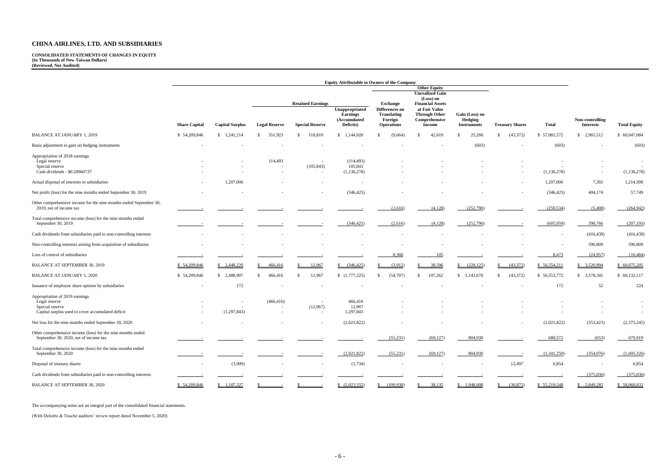**CONSOLIDATED STATEMENTS OF CHANGES IN EQUITY (In Thousands of New Taiwan Dollars) (Reviewed, Not Audited)**

|                                                                                                      | <b>Equity Attributable to Owners of the Company</b> |                       |                          |                                                                |                                                                      |                                                                         |                                                 |                          |                            |                                     |                     |               |
|------------------------------------------------------------------------------------------------------|-----------------------------------------------------|-----------------------|--------------------------|----------------------------------------------------------------|----------------------------------------------------------------------|-------------------------------------------------------------------------|-------------------------------------------------|--------------------------|----------------------------|-------------------------------------|---------------------|---------------|
|                                                                                                      |                                                     |                       |                          |                                                                |                                                                      | <b>Other Equity</b>                                                     |                                                 |                          |                            |                                     |                     |               |
|                                                                                                      |                                                     |                       |                          |                                                                |                                                                      |                                                                         | <b>Unrealized Gain</b><br>(Loss) on             |                          |                            |                                     |                     |               |
|                                                                                                      |                                                     |                       |                          | <b>Retained Earnings</b>                                       |                                                                      | <b>Exchange</b>                                                         | <b>Financial Assets</b>                         |                          |                            |                                     |                     |               |
|                                                                                                      | <b>Capital Surplus</b><br><b>Share Capital</b>      | <b>Legal Reserve</b>  | <b>Special Reserve</b>   | Unappropriated<br><b>Earnings</b><br>(Accumulated<br>Deficits) | Differences on<br><b>Translating</b><br>Foreign<br><b>Operations</b> | at Fair Value<br><b>Through Other</b><br>Comprehensive<br><b>Income</b> | Gain (Loss) on<br>Hedging<br><b>Instruments</b> | <b>Treasury Shares</b>   | <b>Total</b>               | Non-controlling<br><b>Interests</b> | <b>Total Equity</b> |               |
| <b>BALANCE AT JANUARY 1, 2019</b>                                                                    | \$54,209,846                                        | \$1,241,214           | 351,923<br>-S            | 118,810<br>-8                                                  | 1,144,928<br>\$                                                      | (9,664)                                                                 | 42,619<br>- \$                                  | 25,268<br>-S             | (43, 372)<br>S.            | \$57,081,572                        | \$2,965,512         | \$ 60,047,084 |
| Basis adjustment to gain on hedging instruments                                                      |                                                     |                       |                          |                                                                |                                                                      |                                                                         |                                                 | (603)                    |                            | (603)                               |                     | (603)         |
| Appropriation of 2018 earnings                                                                       |                                                     |                       |                          |                                                                |                                                                      |                                                                         |                                                 |                          |                            |                                     |                     |               |
| Legal reserve                                                                                        |                                                     |                       | 114,493                  | $\overline{\phantom{a}}$                                       | (114, 493)                                                           |                                                                         |                                                 |                          |                            |                                     |                     | $\sim$        |
| Special reserve                                                                                      |                                                     |                       |                          | (105, 843)                                                     | 105,843                                                              |                                                                         |                                                 |                          |                            |                                     |                     |               |
| Cash dividends - \$0.20960737                                                                        |                                                     |                       | $\sim$                   |                                                                | (1, 136, 278)                                                        |                                                                         |                                                 |                          |                            | (1, 136, 278)                       | $\sim$              | (1, 136, 278) |
| Actual disposal of interests in subsidiaries                                                         |                                                     | 1,207,006             |                          |                                                                |                                                                      |                                                                         |                                                 |                          |                            | 1,207,006                           | 7,302               | 1,214,308     |
| Net profit (loss) for the nine months ended September 30, 2019                                       |                                                     |                       |                          |                                                                | (346, 425)                                                           |                                                                         |                                                 |                          |                            | (346, 425)                          | 404,174             | 57,749        |
| Other comprehensive income for the nine months ended September 30,<br>2019, net of income tax        |                                                     |                       |                          |                                                                |                                                                      | (2,616)                                                                 | (4,128)                                         | (252,790)                |                            | (259, 534)                          | (5,408)             | (264, 942)    |
| Total comprehensive income (loss) for the nine months ended<br>September 30, 2019                    |                                                     |                       |                          |                                                                | (346, 425)                                                           | (2,616)                                                                 | (4,128)                                         | (252,790)                |                            | (605,959)                           | 398,766             | (207, 193)    |
| Cash dividends from subsidiaries paid to non-controlling interests                                   |                                                     |                       |                          |                                                                |                                                                      |                                                                         |                                                 |                          |                            |                                     | (416, 438)          | (416, 438)    |
| Non-controlling interests arising from acquisition of subsidiaries                                   |                                                     |                       |                          |                                                                |                                                                      |                                                                         |                                                 |                          |                            |                                     | 590,809             | 590,809       |
| Loss of control of subsidiaries                                                                      |                                                     |                       |                          |                                                                |                                                                      | 8,368                                                                   | 105                                             |                          |                            | 8,473                               | (24,957)            | (16, 484)     |
| <b>BALANCE AT SEPTEMBER 30, 2019</b>                                                                 | \$ 54,209,846                                       | $\frac{$2,448,220}{}$ | 466,416                  | 12,967                                                         | (346, 425)<br>S                                                      | (3,912)                                                                 | 38,596                                          | (228, 125)               | (43,372)<br>S.             | \$56,554,211                        | \$3,520,994         | \$60,075,205  |
| <b>BALANCE AT JANUARY 1, 2020</b>                                                                    | \$54,209,846                                        | \$2,488,907           | 466,416<br><sup>\$</sup> | 12,967<br>-S                                                   | (1,777,225)                                                          | (54,707)                                                                | 107,262<br>-S                                   | \$1,143,678              | (43, 372)<br><sup>\$</sup> | \$ 56,553,772                       | \$3,578,345         | \$60,132,117  |
| Issuance of employee share options by subsidiaries                                                   |                                                     | 172                   |                          |                                                                |                                                                      |                                                                         |                                                 |                          |                            | 172                                 | 52                  | 224           |
| Appropriation of 2019 earnings                                                                       |                                                     |                       |                          |                                                                |                                                                      |                                                                         |                                                 |                          |                            |                                     |                     |               |
| Legal reserve                                                                                        |                                                     |                       | (466, 416)               | $\sim$                                                         | 466,416                                                              |                                                                         |                                                 |                          |                            |                                     |                     |               |
| Special reserve                                                                                      |                                                     |                       | $\sim$                   | (12,967)                                                       | 12,967                                                               |                                                                         |                                                 |                          |                            |                                     | $\sim$              | $\sim$        |
| Capital surplus used to cover accumulated deficit                                                    |                                                     | (1,297,843)           |                          | $\sim$                                                         | 1,297,843                                                            |                                                                         |                                                 |                          |                            |                                     |                     | $\sim$        |
| Net loss for the nine months ended September 30, 2020                                                |                                                     |                       |                          |                                                                | (2,021,822)                                                          |                                                                         |                                                 |                          |                            | (2,021,822)                         | (353, 423)          | (2,375,245)   |
| Other comprehensive income (loss) for the nine months ended<br>September 30, 2020, net of income tax |                                                     |                       |                          |                                                                |                                                                      | (55,231)                                                                | (69, 127)                                       | 804,930                  |                            | 680,572                             | (653)               | 679,919       |
| Total comprehensive income (loss) for the nine months ended<br>September 30, 2020                    |                                                     |                       |                          |                                                                | (2,021,822)                                                          | (55,231)                                                                | (69, 127)                                       | 804,930                  |                            | (1,341,250)                         | (354,076)           | (1,695,326)   |
| Disposal of treasury shares                                                                          |                                                     | (3,909)               |                          |                                                                | (1,734)                                                              |                                                                         |                                                 | $\overline{\phantom{a}}$ | 12,497                     | 6,854                               |                     | 6,854         |
| Cash dividends from subsidiaries paid to non-controlling interests                                   |                                                     |                       |                          |                                                                |                                                                      |                                                                         |                                                 |                          |                            |                                     | (375,036)           | (375,036)     |
| BALANCE AT SEPTEMBER 30, 2020                                                                        | \$54,209,846                                        | \$1,187,327           |                          |                                                                | (2,023,555)                                                          | \$ (109,938)                                                            | 38,135<br>$\mathcal{S}$                         | \$1,948,608              | (30,875)<br>\$             | \$55,219,548                        | \$2,849,285         | \$58,068,833  |

The accompanying notes are an integral part of the consolidated financial statements.

(With Deloitte & Touche auditors' review report dated November 5, 2020)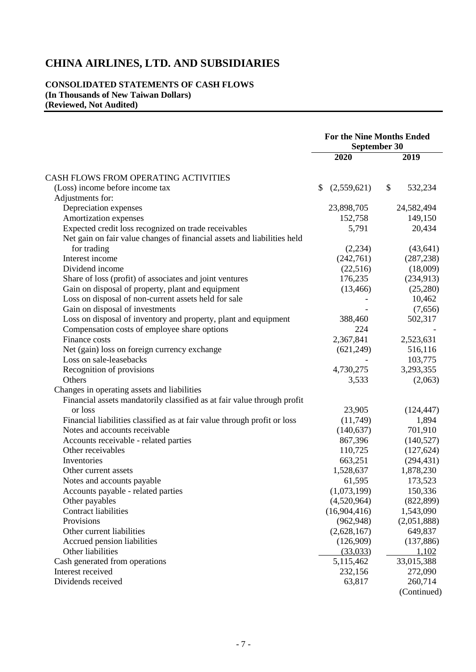# **CONSOLIDATED STATEMENTS OF CASH FLOWS (In Thousands of New Taiwan Dollars) (Reviewed, Not Audited)**

|                                                                          | <b>For the Nine Months Ended</b><br>September 30 |              |    |             |
|--------------------------------------------------------------------------|--------------------------------------------------|--------------|----|-------------|
|                                                                          |                                                  | 2020         |    | 2019        |
| CASH FLOWS FROM OPERATING ACTIVITIES                                     |                                                  |              |    |             |
| (Loss) income before income tax                                          | \$                                               | (2,559,621)  | \$ | 532,234     |
| Adjustments for:                                                         |                                                  |              |    |             |
| Depreciation expenses                                                    |                                                  | 23,898,705   |    | 24,582,494  |
| Amortization expenses                                                    |                                                  | 152,758      |    | 149,150     |
| Expected credit loss recognized on trade receivables                     |                                                  | 5,791        |    | 20,434      |
| Net gain on fair value changes of financial assets and liabilities held  |                                                  |              |    |             |
| for trading                                                              |                                                  | (2,234)      |    | (43, 641)   |
| Interest income                                                          |                                                  | (242,761)    |    | (287, 238)  |
| Dividend income                                                          |                                                  | (22, 516)    |    | (18,009)    |
| Share of loss (profit) of associates and joint ventures                  |                                                  | 176,235      |    | (234, 913)  |
| Gain on disposal of property, plant and equipment                        |                                                  | (13, 466)    |    | (25, 280)   |
| Loss on disposal of non-current assets held for sale                     |                                                  |              |    | 10,462      |
| Gain on disposal of investments                                          |                                                  |              |    | (7,656)     |
| Loss on disposal of inventory and property, plant and equipment          |                                                  | 388,460      |    | 502,317     |
| Compensation costs of employee share options                             |                                                  | 224          |    |             |
| Finance costs                                                            |                                                  | 2,367,841    |    | 2,523,631   |
| Net (gain) loss on foreign currency exchange                             |                                                  | (621, 249)   |    | 516,116     |
| Loss on sale-leasebacks                                                  |                                                  |              |    | 103,775     |
|                                                                          |                                                  |              |    | 3,293,355   |
| Recognition of provisions<br>Others                                      |                                                  | 4,730,275    |    |             |
|                                                                          |                                                  | 3,533        |    | (2,063)     |
| Changes in operating assets and liabilities                              |                                                  |              |    |             |
| Financial assets mandatorily classified as at fair value through profit  |                                                  |              |    |             |
| or loss                                                                  |                                                  | 23,905       |    | (124, 447)  |
| Financial liabilities classified as at fair value through profit or loss |                                                  | (11,749)     |    | 1,894       |
| Notes and accounts receivable                                            |                                                  | (140, 637)   |    | 701,910     |
| Accounts receivable - related parties                                    |                                                  | 867,396      |    | (140, 527)  |
| Other receivables                                                        |                                                  | 110,725      |    | (127, 624)  |
| Inventories                                                              |                                                  | 663,251      |    | (294, 431)  |
| Other current assets                                                     |                                                  | 1,528,637    |    | 1,878,230   |
| Notes and accounts payable                                               |                                                  | 61,595       |    | 173,523     |
| Accounts payable - related parties                                       |                                                  | (1,073,199)  |    | 150,336     |
| Other payables                                                           |                                                  | (4,520,964)  |    | (822, 899)  |
| <b>Contract liabilities</b>                                              |                                                  | (16,904,416) |    | 1,543,090   |
| Provisions                                                               |                                                  | (962, 948)   |    | (2,051,888) |
| Other current liabilities                                                |                                                  | (2,628,167)  |    | 649,837     |
| Accrued pension liabilities                                              |                                                  | (126,909)    |    | (137, 886)  |
| Other liabilities                                                        |                                                  | (33,033)     |    | 1,102       |
| Cash generated from operations                                           |                                                  | 5,115,462    |    | 33,015,388  |
| Interest received                                                        |                                                  | 232,156      |    | 272,090     |
| Dividends received                                                       |                                                  | 63,817       |    | 260,714     |
|                                                                          |                                                  |              |    | (Continued) |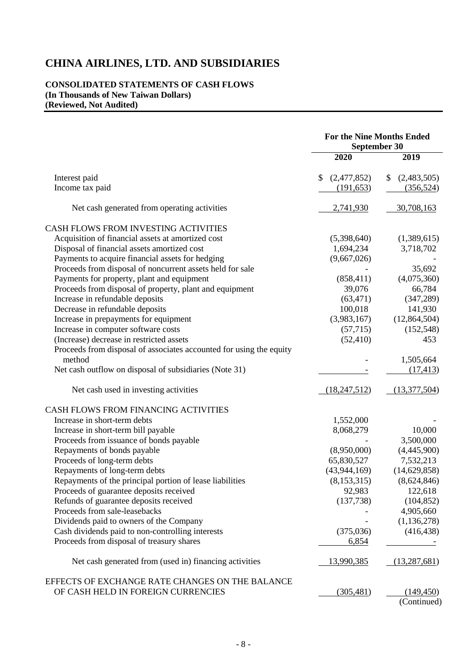## **CONSOLIDATED STATEMENTS OF CASH FLOWS (In Thousands of New Taiwan Dollars) (Reviewed, Not Audited)**

|                                                                     | <b>For the Nine Months Ended</b><br><b>September 30</b> |                   |  |
|---------------------------------------------------------------------|---------------------------------------------------------|-------------------|--|
|                                                                     | 2020                                                    | 2019              |  |
| Interest paid                                                       | (2,477,852)<br>\$                                       | (2,483,505)<br>\$ |  |
| Income tax paid                                                     | (191, 653)                                              | (356, 524)        |  |
| Net cash generated from operating activities                        | 2,741,930                                               | 30,708,163        |  |
| CASH FLOWS FROM INVESTING ACTIVITIES                                |                                                         |                   |  |
| Acquisition of financial assets at amortized cost                   | (5,398,640)                                             | (1,389,615)       |  |
| Disposal of financial assets amortized cost                         | 1,694,234                                               | 3,718,702         |  |
| Payments to acquire financial assets for hedging                    | (9,667,026)                                             |                   |  |
| Proceeds from disposal of noncurrent assets held for sale           |                                                         | 35,692            |  |
| Payments for property, plant and equipment                          | (858, 411)                                              | (4,075,360)       |  |
| Proceeds from disposal of property, plant and equipment             | 39,076                                                  | 66,784            |  |
| Increase in refundable deposits                                     | (63, 471)                                               | (347, 289)        |  |
| Decrease in refundable deposits                                     | 100,018                                                 | 141,930           |  |
| Increase in prepayments for equipment                               | (3,983,167)                                             | (12,864,504)      |  |
| Increase in computer software costs                                 | (57,715)                                                | (152, 548)        |  |
| (Increase) decrease in restricted assets                            | (52, 410)                                               | 453               |  |
| Proceeds from disposal of associates accounted for using the equity |                                                         |                   |  |
| method                                                              |                                                         | 1,505,664         |  |
| Net cash outflow on disposal of subsidiaries (Note 31)              |                                                         | (17, 413)         |  |
| Net cash used in investing activities                               | (18, 247, 512)                                          | (13,377,504)      |  |
| CASH FLOWS FROM FINANCING ACTIVITIES                                |                                                         |                   |  |
| Increase in short-term debts                                        | 1,552,000                                               |                   |  |
| Increase in short-term bill payable                                 | 8,068,279                                               | 10,000            |  |
| Proceeds from issuance of bonds payable                             |                                                         | 3,500,000         |  |
| Repayments of bonds payable                                         | (8,950,000)                                             | (4,445,900)       |  |
| Proceeds of long-term debts                                         | 65,830,527                                              | 7,532,213         |  |
| Repayments of long-term debts                                       | (43, 944, 169)                                          | (14,629,858)      |  |
| Repayments of the principal portion of lease liabilities            | (8, 153, 315)                                           | (8,624,846)       |  |
| Proceeds of guarantee deposits received                             | 92,983                                                  | 122,618           |  |
| Refunds of guarantee deposits received                              | (137, 738)                                              | (104, 852)        |  |
| Proceeds from sale-leasebacks                                       |                                                         | 4,905,660         |  |
| Dividends paid to owners of the Company                             |                                                         | (1, 136, 278)     |  |
| Cash dividends paid to non-controlling interests                    | (375,036)                                               | (416, 438)        |  |
| Proceeds from disposal of treasury shares                           | 6,854                                                   |                   |  |
| Net cash generated from (used in) financing activities              | <u>13,990,385</u>                                       | (13, 287, 681)    |  |
| EFFECTS OF EXCHANGE RATE CHANGES ON THE BALANCE                     |                                                         |                   |  |
| OF CASH HELD IN FOREIGN CURRENCIES                                  | (305, 481)                                              | (149, 450)        |  |
|                                                                     |                                                         | (Continued)       |  |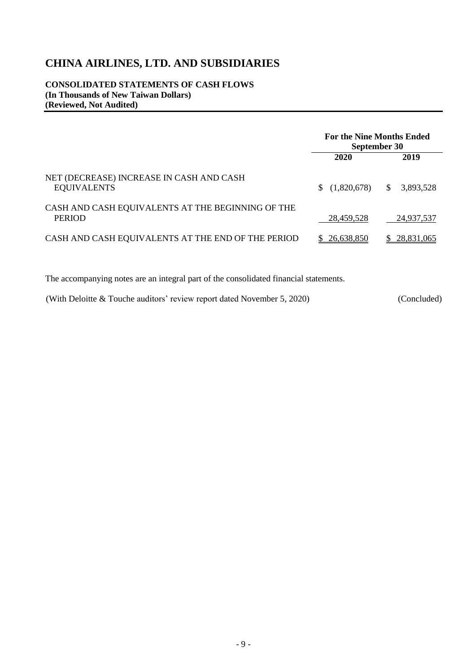**CONSOLIDATED STATEMENTS OF CASH FLOWS (In Thousands of New Taiwan Dollars) (Reviewed, Not Audited)**

|                                                                    | <b>For the Nine Months Ended</b><br>September 30 |                           |  |
|--------------------------------------------------------------------|--------------------------------------------------|---------------------------|--|
|                                                                    | 2020                                             | 2019                      |  |
| NET (DECREASE) INCREASE IN CASH AND CASH<br><b>EQUIVALENTS</b>     | (1,820,678)<br>S.                                | 3,893,528<br><sup>S</sup> |  |
| CASH AND CASH EQUIVALENTS AT THE BEGINNING OF THE<br><b>PERIOD</b> | 28,459,528                                       | 24,937,537                |  |
| CASH AND CASH EQUIVALENTS AT THE END OF THE PERIOD                 | 26,638,850                                       | 28,831,065                |  |

The accompanying notes are an integral part of the consolidated financial statements.

(With Deloitte & Touche auditors' review report dated November 5, 2020) (Concluded)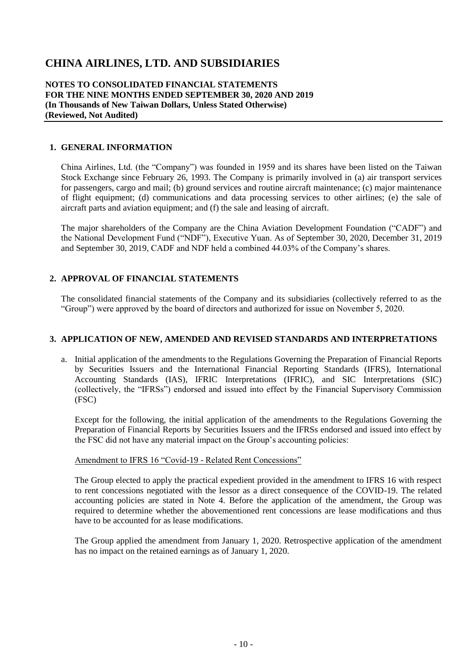#### **NOTES TO CONSOLIDATED FINANCIAL STATEMENTS FOR THE NINE MONTHS ENDED SEPTEMBER 30, 2020 AND 2019 (In Thousands of New Taiwan Dollars, Unless Stated Otherwise) (Reviewed, Not Audited)**

#### **1. GENERAL INFORMATION**

China Airlines, Ltd. (the "Company") was founded in 1959 and its shares have been listed on the Taiwan Stock Exchange since February 26, 1993. The Company is primarily involved in (a) air transport services for passengers, cargo and mail; (b) ground services and routine aircraft maintenance; (c) major maintenance of flight equipment; (d) communications and data processing services to other airlines; (e) the sale of aircraft parts and aviation equipment; and (f) the sale and leasing of aircraft.

The major shareholders of the Company are the China Aviation Development Foundation ("CADF") and the National Development Fund ("NDF"), Executive Yuan. As of September 30, 2020, December 31, 2019 and September 30, 2019, CADF and NDF held a combined 44.03% of the Company's shares.

### **2. APPROVAL OF FINANCIAL STATEMENTS**

The consolidated financial statements of the Company and its subsidiaries (collectively referred to as the "Group") were approved by the board of directors and authorized for issue on November 5, 2020.

#### **3. APPLICATION OF NEW, AMENDED AND REVISED STANDARDS AND INTERPRETATIONS**

a. Initial application of the amendments to the Regulations Governing the Preparation of Financial Reports by Securities Issuers and the International Financial Reporting Standards (IFRS), International Accounting Standards (IAS), IFRIC Interpretations (IFRIC), and SIC Interpretations (SIC) (collectively, the "IFRSs") endorsed and issued into effect by the Financial Supervisory Commission (FSC)

Except for the following, the initial application of the amendments to the Regulations Governing the Preparation of Financial Reports by Securities Issuers and the IFRSs endorsed and issued into effect by the FSC did not have any material impact on the Group's accounting policies:

#### Amendment to IFRS 16 "Covid-19 - Related Rent Concessions"

The Group elected to apply the practical expedient provided in the amendment to IFRS 16 with respect to rent concessions negotiated with the lessor as a direct consequence of the COVID-19. The related accounting policies are stated in Note 4. Before the application of the amendment, the Group was required to determine whether the abovementioned rent concessions are lease modifications and thus have to be accounted for as lease modifications.

The Group applied the amendment from January 1, 2020. Retrospective application of the amendment has no impact on the retained earnings as of January 1, 2020.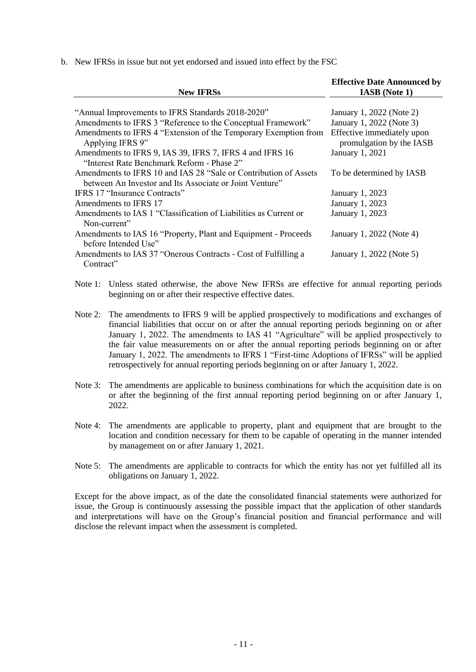b. New IFRSs in issue but not yet endorsed and issued into effect by the FSC

| <b>New IFRSs</b>                                                                    | <b>Effective Date Announced by</b><br><b>IASB</b> (Note 1) |
|-------------------------------------------------------------------------------------|------------------------------------------------------------|
|                                                                                     |                                                            |
| "Annual Improvements to IFRS Standards 2018-2020"                                   | January 1, 2022 (Note 2)                                   |
| Amendments to IFRS 3 "Reference to the Conceptual Framework"                        | January 1, 2022 (Note 3)                                   |
| Amendments to IFRS 4 "Extension of the Temporary Exemption from<br>Applying IFRS 9" | Effective immediately upon<br>promulgation by the IASB     |
| Amendments to IFRS 9, IAS 39, IFRS 7, IFRS 4 and IFRS 16                            | January 1, 2021                                            |
| "Interest Rate Benchmark Reform - Phase 2"                                          |                                                            |
| Amendments to IFRS 10 and IAS 28 "Sale or Contribution of Assets                    | To be determined by IASB                                   |
| between An Investor and Its Associate or Joint Venture"                             |                                                            |
| IFRS 17 "Insurance Contracts"                                                       | January 1, 2023                                            |
| Amendments to IFRS 17                                                               | January 1, 2023                                            |
| Amendments to IAS 1 "Classification of Liabilities as Current or                    | January 1, 2023                                            |
| Non-current"                                                                        |                                                            |
| Amendments to IAS 16 "Property, Plant and Equipment - Proceeds                      | January 1, 2022 (Note 4)                                   |
| before Intended Use"                                                                |                                                            |
| Amendments to IAS 37 "Onerous Contracts - Cost of Fulfilling a                      | January 1, 2022 (Note 5)                                   |
| Contract"                                                                           |                                                            |

Note 1: Unless stated otherwise, the above New IFRSs are effective for annual reporting periods beginning on or after their respective effective dates.

Note 2: The amendments to IFRS 9 will be applied prospectively to modifications and exchanges of financial liabilities that occur on or after the annual reporting periods beginning on or after January 1, 2022. The amendments to IAS 41 "Agriculture" will be applied prospectively to the fair value measurements on or after the annual reporting periods beginning on or after January 1, 2022. The amendments to IFRS 1 "First-time Adoptions of IFRSs" will be applied retrospectively for annual reporting periods beginning on or after January 1, 2022.

- Note 3: The amendments are applicable to business combinations for which the acquisition date is on or after the beginning of the first annual reporting period beginning on or after January 1, 2022.
- Note 4: The amendments are applicable to property, plant and equipment that are brought to the location and condition necessary for them to be capable of operating in the manner intended by management on or after January 1, 2021.
- Note 5: The amendments are applicable to contracts for which the entity has not yet fulfilled all its obligations on January 1, 2022.

Except for the above impact, as of the date the consolidated financial statements were authorized for issue, the Group is continuously assessing the possible impact that the application of other standards and interpretations will have on the Group's financial position and financial performance and will disclose the relevant impact when the assessment is completed.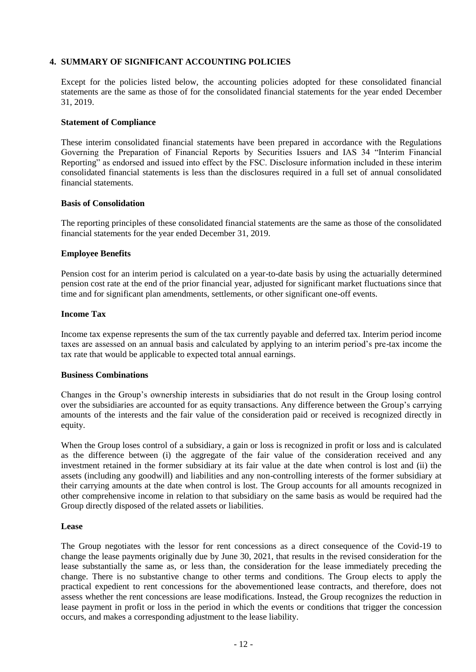### **4. SUMMARY OF SIGNIFICANT ACCOUNTING POLICIES**

Except for the policies listed below, the accounting policies adopted for these consolidated financial statements are the same as those of for the consolidated financial statements for the year ended December 31, 2019.

#### **Statement of Compliance**

These interim consolidated financial statements have been prepared in accordance with the Regulations Governing the Preparation of Financial Reports by Securities Issuers and IAS 34 "Interim Financial Reporting" as endorsed and issued into effect by the FSC. Disclosure information included in these interim consolidated financial statements is less than the disclosures required in a full set of annual consolidated financial statements.

#### **Basis of Consolidation**

The reporting principles of these consolidated financial statements are the same as those of the consolidated financial statements for the year ended December 31, 2019.

#### **Employee Benefits**

Pension cost for an interim period is calculated on a year-to-date basis by using the actuarially determined pension cost rate at the end of the prior financial year, adjusted for significant market fluctuations since that time and for significant plan amendments, settlements, or other significant one-off events.

#### **Income Tax**

Income tax expense represents the sum of the tax currently payable and deferred tax. Interim period income taxes are assessed on an annual basis and calculated by applying to an interim period's pre-tax income the tax rate that would be applicable to expected total annual earnings.

#### **Business Combinations**

Changes in the Group's ownership interests in subsidiaries that do not result in the Group losing control over the subsidiaries are accounted for as equity transactions. Any difference between the Group's carrying amounts of the interests and the fair value of the consideration paid or received is recognized directly in equity.

When the Group loses control of a subsidiary, a gain or loss is recognized in profit or loss and is calculated as the difference between (i) the aggregate of the fair value of the consideration received and any investment retained in the former subsidiary at its fair value at the date when control is lost and (ii) the assets (including any goodwill) and liabilities and any non-controlling interests of the former subsidiary at their carrying amounts at the date when control is lost. The Group accounts for all amounts recognized in other comprehensive income in relation to that subsidiary on the same basis as would be required had the Group directly disposed of the related assets or liabilities.

#### **Lease**

The Group negotiates with the lessor for rent concessions as a direct consequence of the Covid-19 to change the lease payments originally due by June 30, 2021, that results in the revised consideration for the lease substantially the same as, or less than, the consideration for the lease immediately preceding the change. There is no substantive change to other terms and conditions. The Group elects to apply the practical expedient to rent concessions for the abovementioned lease contracts, and therefore, does not assess whether the rent concessions are lease modifications. Instead, the Group recognizes the reduction in lease payment in profit or loss in the period in which the events or conditions that trigger the concession occurs, and makes a corresponding adjustment to the lease liability.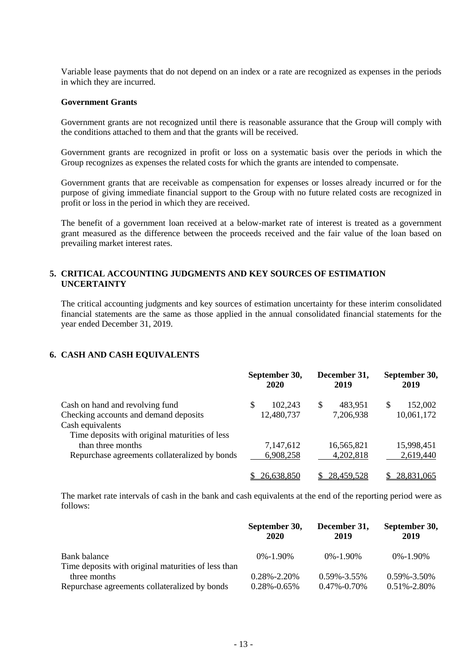Variable lease payments that do not depend on an index or a rate are recognized as expenses in the periods in which they are incurred.

#### **Government Grants**

Government grants are not recognized until there is reasonable assurance that the Group will comply with the conditions attached to them and that the grants will be received.

Government grants are recognized in profit or loss on a systematic basis over the periods in which the Group recognizes as expenses the related costs for which the grants are intended to compensate.

Government grants that are receivable as compensation for expenses or losses already incurred or for the purpose of giving immediate financial support to the Group with no future related costs are recognized in profit or loss in the period in which they are received.

The benefit of a government loan received at a below-market rate of interest is treated as a government grant measured as the difference between the proceeds received and the fair value of the loan based on prevailing market interest rates.

#### **5. CRITICAL ACCOUNTING JUDGMENTS AND KEY SOURCES OF ESTIMATION UNCERTAINTY**

The critical accounting judgments and key sources of estimation uncertainty for these interim consolidated financial statements are the same as those applied in the annual consolidated financial statements for the year ended December 31, 2019.

#### **6. CASH AND CASH EQUIVALENTS**

|                                                |  | September 30,<br>2020 |   | December 31,<br>2019 | September 30,<br>2019 |            |
|------------------------------------------------|--|-----------------------|---|----------------------|-----------------------|------------|
| Cash on hand and revolving fund                |  | 102,243               | S | 483,951              | \$                    | 152,002    |
| Checking accounts and demand deposits          |  | 12,480,737            |   | 7,206,938            |                       | 10,061,172 |
| Cash equivalents                               |  |                       |   |                      |                       |            |
| Time deposits with original maturities of less |  |                       |   |                      |                       |            |
| than three months                              |  | 7,147,612             |   | 16,565,821           |                       | 15,998,451 |
| Repurchase agreements collateralized by bonds  |  | 6,908,258             |   | 4,202,818            |                       | 2,619,440  |
|                                                |  | 26,638,850            |   | 28,459,528           |                       | 28,831,065 |

The market rate intervals of cash in the bank and cash equivalents at the end of the reporting period were as follows:

|                                                     | September 30,<br>2020 | December 31,<br>2019 | September 30,<br>2019 |
|-----------------------------------------------------|-----------------------|----------------------|-----------------------|
| Bank balance                                        | $0\% - 1.90\%$        | $0\% - 1.90\%$       | $0\% - 1.90\%$        |
| Time deposits with original maturities of less than |                       |                      |                       |
| three months                                        | $0.28\% - 2.20\%$     | $0.59\% - 3.55\%$    | $0.59\% - 3.50\%$     |
| Repurchase agreements collateralized by bonds       | $0.28\% - 0.65\%$     | $0.47\% - 0.70\%$    | $0.51\% - 2.80\%$     |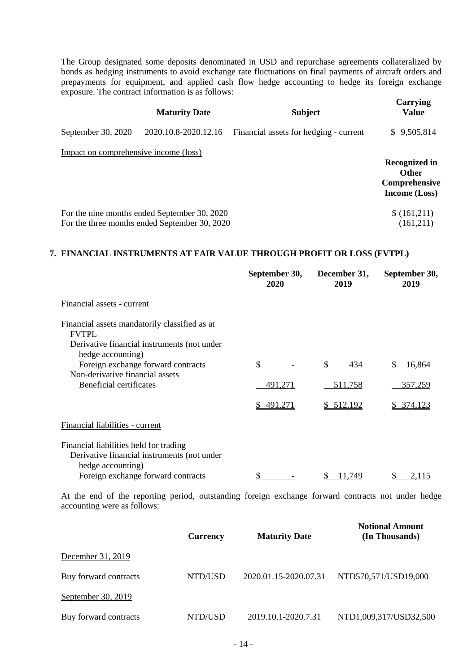The Group designated some deposits denominated in USD and repurchase agreements collateralized by bonds as hedging instruments to avoid exchange rate fluctuations on final payments of aircraft orders and prepayments for equipment, and applied cash flow hedge accounting to hedge its foreign exchange exposure. The contract information is as follows:

| <b>Maturity Date</b>                  |                                                                                               | <b>Subject</b>                         | Carrying<br><b>Value</b>                                                      |
|---------------------------------------|-----------------------------------------------------------------------------------------------|----------------------------------------|-------------------------------------------------------------------------------|
| September 30, 2020                    | 2020.10.8-2020.12.16                                                                          | Financial assets for hedging - current | \$9,505,814                                                                   |
| Impact on comprehensive income (loss) |                                                                                               |                                        | <b>Recognized in</b><br><b>Other</b><br>Comprehensive<br><b>Income</b> (Loss) |
|                                       | For the nine months ended September 30, 2020<br>For the three months ended September 30, 2020 |                                        | \$(161,211)<br>(161,211)                                                      |

#### **7. FINANCIAL INSTRUMENTS AT FAIR VALUE THROUGH PROFIT OR LOSS (FVTPL)**

|                                                                                                                                   | September 30,<br>2020 | December 31,<br>2019 | September 30,<br>2019 |
|-----------------------------------------------------------------------------------------------------------------------------------|-----------------------|----------------------|-----------------------|
| Financial assets - current                                                                                                        |                       |                      |                       |
| Financial assets mandatorily classified as at<br><b>FVTPL</b><br>Derivative financial instruments (not under<br>hedge accounting) |                       |                      |                       |
| Foreign exchange forward contracts                                                                                                | \$                    | \$<br>434            | \$.<br>16,864         |
| Non-derivative financial assets<br>Beneficial certificates                                                                        | 491,271               | 511,758              | 357,259               |
|                                                                                                                                   | \$491,271             | \$512,192            | \$ 374,123            |
| Financial liabilities - current                                                                                                   |                       |                      |                       |
| Financial liabilities held for trading<br>Derivative financial instruments (not under<br>hedge accounting)                        |                       |                      |                       |
| Foreign exchange forward contracts                                                                                                |                       | 11.749               |                       |

At the end of the reporting period, outstanding foreign exchange forward contracts not under hedge accounting were as follows:

|                       | <b>Currency</b> | <b>Maturity Date</b>  | <b>Notional Amount</b><br>(In Thousands) |
|-----------------------|-----------------|-----------------------|------------------------------------------|
| December 31, 2019     |                 |                       |                                          |
| Buy forward contracts | NTD/USD         | 2020.01.15-2020.07.31 | NTD570,571/USD19,000                     |
| September 30, 2019    |                 |                       |                                          |
| Buy forward contracts | NTD/USD         | 2019.10.1-2020.7.31   | NTD1,009,317/USD32,500                   |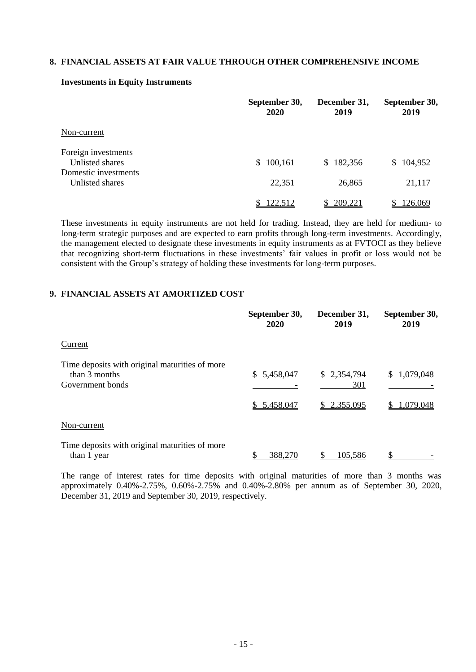#### **8. FINANCIAL ASSETS AT FAIR VALUE THROUGH OTHER COMPREHENSIVE INCOME**

|                                         | September 30,<br>2020 | December 31,<br>2019 | September 30,<br>2019 |
|-----------------------------------------|-----------------------|----------------------|-----------------------|
| Non-current                             |                       |                      |                       |
| Foreign investments<br>Unlisted shares  | 100,161<br>S.         | 182,356<br>S         | \$104,952             |
| Domestic investments<br>Unlisted shares | 22,351                | 26,865               | 21,117                |
|                                         | 122,512               | 209,221              | 126,069               |

#### **Investments in Equity Instruments**

These investments in equity instruments are not held for trading. Instead, they are held for medium- to long-term strategic purposes and are expected to earn profits through long-term investments. Accordingly, the management elected to designate these investments in equity instruments as at FVTOCI as they believe that recognizing short-term fluctuations in these investments' fair values in profit or loss would not be consistent with the Group's strategy of holding these investments for long-term purposes.

### **9. FINANCIAL ASSETS AT AMORTIZED COST**

|                                                                                     | September 30,<br>2020      | December 31,<br>2019              | September 30,<br>2019    |
|-------------------------------------------------------------------------------------|----------------------------|-----------------------------------|--------------------------|
| Current                                                                             |                            |                                   |                          |
| Time deposits with original maturities of more<br>than 3 months<br>Government bonds | \$5,458,047<br>\$5,458,047 | \$2,354,794<br>301<br>\$2,355,095 | \$1,079,048<br>1,079,048 |
| Non-current                                                                         |                            |                                   |                          |
| Time deposits with original maturities of more<br>than 1 year                       | 388,270                    | 105,586                           |                          |

The range of interest rates for time deposits with original maturities of more than 3 months was approximately 0.40%-2.75%, 0.60%-2.75% and 0.40%-2.80% per annum as of September 30, 2020, December 31, 2019 and September 30, 2019, respectively.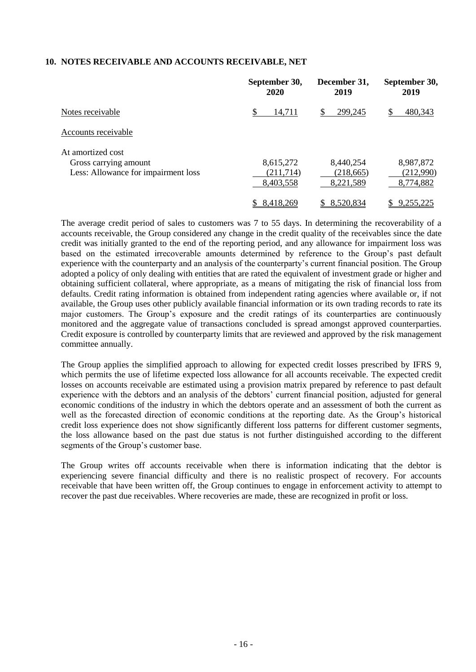### **10. NOTES RECEIVABLE AND ACCOUNTS RECEIVABLE, NET**

|                                                                                   | September 30,<br>2020               | December 31,<br>2019                 | September 30,<br>2019               |
|-----------------------------------------------------------------------------------|-------------------------------------|--------------------------------------|-------------------------------------|
| Notes receivable                                                                  | \$<br>14,711                        | 299,245<br>S                         | 480,343                             |
| Accounts receivable                                                               |                                     |                                      |                                     |
| At amortized cost<br>Gross carrying amount<br>Less: Allowance for impairment loss | 8,615,272<br>(211,714)<br>8,403,558 | 8,440,254<br>(218, 665)<br>8,221,589 | 8,987,872<br>(212,990)<br>8,774,882 |
|                                                                                   | 8,418,269<br>S                      | 8,520,834                            | 9,255,225                           |

The average credit period of sales to customers was 7 to 55 days. In determining the recoverability of a accounts receivable, the Group considered any change in the credit quality of the receivables since the date credit was initially granted to the end of the reporting period, and any allowance for impairment loss was based on the estimated irrecoverable amounts determined by reference to the Group's past default experience with the counterparty and an analysis of the counterparty's current financial position. The Group adopted a policy of only dealing with entities that are rated the equivalent of investment grade or higher and obtaining sufficient collateral, where appropriate, as a means of mitigating the risk of financial loss from defaults. Credit rating information is obtained from independent rating agencies where available or, if not available, the Group uses other publicly available financial information or its own trading records to rate its major customers. The Group's exposure and the credit ratings of its counterparties are continuously monitored and the aggregate value of transactions concluded is spread amongst approved counterparties. Credit exposure is controlled by counterparty limits that are reviewed and approved by the risk management committee annually.

The Group applies the simplified approach to allowing for expected credit losses prescribed by IFRS 9, which permits the use of lifetime expected loss allowance for all accounts receivable. The expected credit losses on accounts receivable are estimated using a provision matrix prepared by reference to past default experience with the debtors and an analysis of the debtors' current financial position, adjusted for general economic conditions of the industry in which the debtors operate and an assessment of both the current as well as the forecasted direction of economic conditions at the reporting date. As the Group's historical credit loss experience does not show significantly different loss patterns for different customer segments, the loss allowance based on the past due status is not further distinguished according to the different segments of the Group's customer base.

The Group writes off accounts receivable when there is information indicating that the debtor is experiencing severe financial difficulty and there is no realistic prospect of recovery. For accounts receivable that have been written off, the Group continues to engage in enforcement activity to attempt to recover the past due receivables. Where recoveries are made, these are recognized in profit or loss.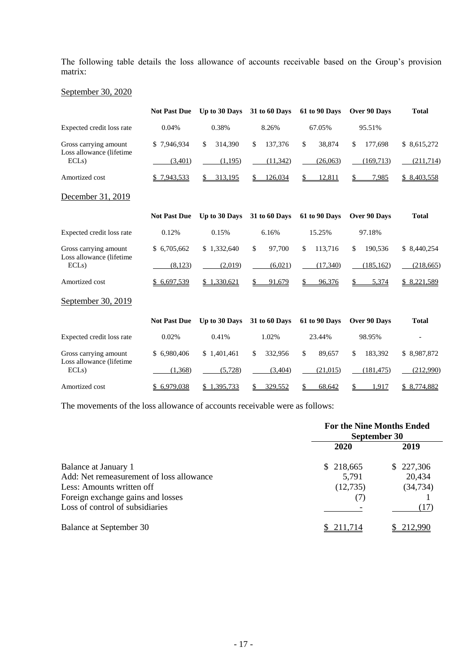The following table details the loss allowance of accounts receivable based on the Group's provision matrix:

# September 30, 2020

|                                  | <b>Not Past Due</b> | Up to 30 Days | 31 to 60 Days        | 61 to 90 Days | Over 90 Days  | <b>Total</b> |
|----------------------------------|---------------------|---------------|----------------------|---------------|---------------|--------------|
| Expected credit loss rate        | 0.04%               | 0.38%         | 8.26%                | 67.05%        | 95.51%        |              |
| Gross carrying amount            | \$7,946,934         | 314,390<br>\$ | \$<br>137,376        | \$<br>38,874  | \$<br>177,698 | \$8,615,272  |
| Loss allowance (lifetime<br>ECLs | (3,401)             | (1,195)       | (11, 342)            | (26,063)      | (169,713)     | (211,714)    |
| Amortized cost                   | 7,943,533           | 313,195<br>\$ | \$.<br>126,034       | \$<br>12,811  | \$<br>7,985   | \$8,403,558  |
| December 31, 2019                |                     |               |                      |               |               |              |
|                                  | <b>Not Past Due</b> | Up to 30 Days | <b>31 to 60 Days</b> | 61 to 90 Days | Over 90 Days  | <b>Total</b> |
| Expected credit loss rate        | 0.12%               | 0.15%         | 6.16%                | 15.25%        | 97.18%        |              |
| Gross carrying amount            | \$6,705,662         | \$1,332,640   | \$<br>97,700         | \$<br>113,716 | \$<br>190,536 | \$8,440,254  |
| Loss allowance (lifetime<br>ECLs | (8, 123)            | (2,019)       | (6,021)              | (17,340)      | (185, 162)    | (218, 665)   |
| Amortized cost                   | \$6,697,539         | \$1,330,621   | 91,679<br>\$         | 96,376<br>S   | 5,374<br>\$.  | \$8,221,589  |
| September 30, 2019               |                     |               |                      |               |               |              |
|                                  | <b>Not Past Due</b> | Up to 30 Days | 31 to 60 Days        | 61 to 90 Days | Over 90 Days  | <b>Total</b> |
| Expected credit loss rate        | 0.02%               | 0.41%         | 1.02%                | 23.44%        | 98.95%        |              |
| Gross carrying amount            | \$ 6,980,406        | \$1,401,461   | \$<br>332,956        | \$<br>89,657  | \$<br>183,392 | \$8,987,872  |
| Loss allowance (lifetime<br>ECLs | (1,368)             | (5, 728)      | (3.404)              | (21, 015)     | (181, 475)    | (212,990)    |
| Amortized cost                   | \$6,979,038         | \$1,395,733   | 329,552              | 68,642        | 1,917<br>\$   | \$8,774,882  |

The movements of the loss allowance of accounts receivable were as follows:

|                                          | <b>For the Nine Months Ended</b><br>September 30 |           |  |  |
|------------------------------------------|--------------------------------------------------|-----------|--|--|
|                                          | 2020                                             | 2019      |  |  |
| Balance at January 1                     | \$218,665                                        | \$227,306 |  |  |
| Add: Net remeasurement of loss allowance | 5,791                                            | 20,434    |  |  |
| Less: Amounts written off                | (12,735)                                         | (34, 734) |  |  |
| Foreign exchange gains and losses        | (7)                                              |           |  |  |
| Loss of control of subsidiaries          |                                                  | (17)      |  |  |
| Balance at September 30                  | 211.714                                          | 212.990   |  |  |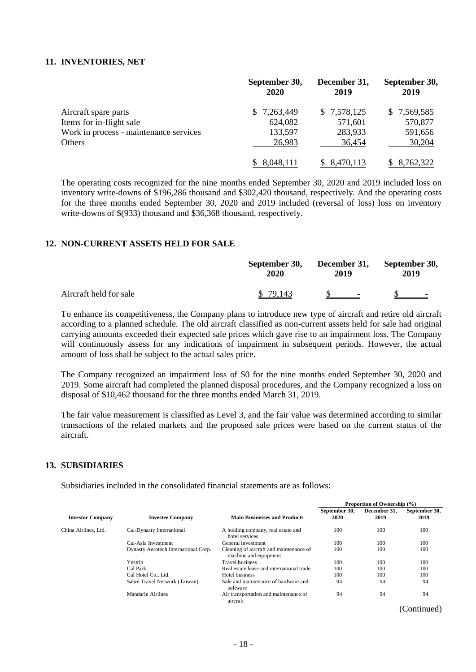#### **11. INVENTORIES, NET**

|                                        | September 30,<br><b>2020</b> | December 31,<br>2019 | September 30,<br>2019 |
|----------------------------------------|------------------------------|----------------------|-----------------------|
| Aircraft spare parts                   | \$7,263,449                  | \$7,578,125          | \$7,569,585           |
| Items for in-flight sale               | 624,082                      | 571,601              | 570,877               |
| Work in process - maintenance services | 133,597                      | 283,933              | 591,656               |
| Others                                 | 26,983                       | 36,454               | 30,204                |
|                                        | 8,048,111                    | 8,470,113            | \$ 8,762,322          |

The operating costs recognized for the nine months ended September 30, 2020 and 2019 included loss on inventory write-downs of \$196,286 thousand and \$302,420 thousand, respectively. And the operating costs for the three months ended September 30, 2020 and 2019 included (reversal of loss) loss on inventory write-downs of \$(933) thousand and \$36,368 thousand, respectively.

## **12. NON-CURRENT ASSETS HELD FOR SALE**

|                        | September 30,<br>2020 | December 31, September 30,<br>2019 | 2019                     |  |
|------------------------|-----------------------|------------------------------------|--------------------------|--|
| Aircraft held for sale | \$ 79.143             | $S =$                              | $\overline{\phantom{a}}$ |  |

To enhance its competitiveness, the Company plans to introduce new type of aircraft and retire old aircraft according to a planned schedule. The old aircraft classified as non-current assets held for sale had original carrying amounts exceeded their expected sale prices which gave rise to an impairment loss. The Company will continuously assess for any indications of impairment in subsequent periods. However, the actual amount of loss shall be subject to the actual sales price.

The Company recognized an impairment loss of \$0 for the nine months ended September 30, 2020 and 2019. Some aircraft had completed the planned disposal procedures, and the Company recognized a loss on disposal of \$10,462 thousand for the three months ended March 31, 2019.

The fair value measurement is classified as Level 3, and the fair value was determined according to similar transactions of the related markets and the proposed sale prices were based on the current status of the aircraft.

#### **13. SUBSIDIARIES**

Subsidiaries included in the consolidated financial statements are as follows:

|                         |                                      |                                                                  | Proportion of Ownership (%) |                      |                       |  |
|-------------------------|--------------------------------------|------------------------------------------------------------------|-----------------------------|----------------------|-----------------------|--|
| <b>Investor Company</b> | <b>Investee Company</b>              | <b>Main Businesses and Products</b>                              | September 30,<br>2020       | December 31.<br>2019 | September 30,<br>2019 |  |
| China Airlines, Ltd.    | Cal-Dynasty International            | A holding company, real estate and<br>hotel services             | 100                         | 100                  | 100                   |  |
|                         | Cal-Asia Investment                  | General investment                                               | 100                         | 100                  | 100                   |  |
|                         | Dynasty Aerotech International Corp. | Cleaning of aircraft and maintenance of<br>machine and equipment | 100                         | 100                  | 100                   |  |
|                         | Yestrip                              | <b>Travel business</b>                                           | 100                         | 100                  | 100                   |  |
|                         | Cal Park                             | Real estate lease and international trade                        | 100                         | 100                  | 100                   |  |
|                         | Cal Hotel Co., Ltd.                  | Hotel business                                                   | 100                         | 100                  | 100                   |  |
|                         | Sabre Travel Network (Taiwan)        | Sale and maintenance of hardware and<br>software                 | 94                          | 94                   | 94                    |  |
|                         | Mandarin Airlines                    | Air transportation and maintenance of<br>aircraft                | 94                          | 94                   | 94                    |  |
|                         |                                      |                                                                  |                             |                      | (Continued)           |  |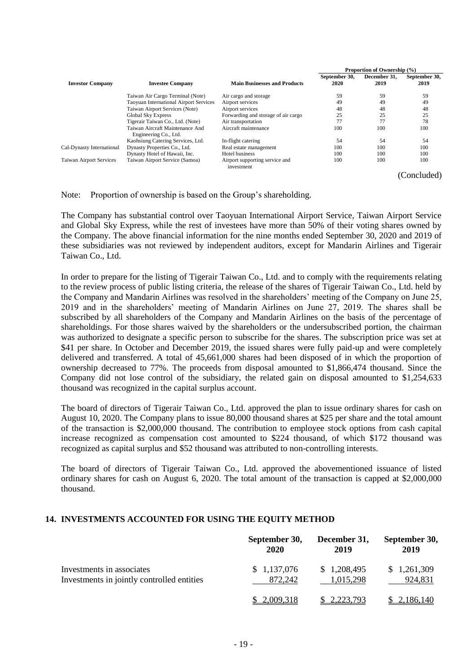|                                |                                                          |                                              | Proportion of Ownership (%) |              |               |  |
|--------------------------------|----------------------------------------------------------|----------------------------------------------|-----------------------------|--------------|---------------|--|
|                                |                                                          |                                              | September 30,               | December 31, | September 30, |  |
| <b>Investor Company</b>        | <b>Investee Company</b>                                  | <b>Main Businesses and Products</b>          | 2020                        | 2019         | 2019          |  |
|                                | Taiwan Air Cargo Terminal (Note)                         | Air cargo and storage                        | 59                          | 59           | 59            |  |
|                                | <b>Taoyuan International Airport Services</b>            | Airport services                             | 49                          | 49           | 49            |  |
|                                | Taiwan Airport Services (Note)                           | Airport services                             | 48                          | 48           | 48            |  |
|                                | <b>Global Sky Express</b>                                | Forwarding and storage of air cargo          | 25                          | 25           | 25            |  |
|                                | Tigerair Taiwan Co., Ltd. (Note)                         | Air transportation                           | 77                          | 77           | 78            |  |
|                                | Taiwan Aircraft Maintenance And<br>Engineering Co., Ltd. | Aircraft maintenance                         | 100                         | 100          | 100           |  |
|                                | Kaohsiung Catering Services, Ltd.                        | In-flight catering                           | 54                          | 54           | 54            |  |
| Cal-Dynasty International      | Dynasty Properties Co., Ltd.                             | Real estate management                       | 100                         | 100          | 100           |  |
|                                | Dynasty Hotel of Hawaii, Inc.                            | <b>Hotel business</b>                        | 100                         | 100          | 100           |  |
| <b>Taiwan Airport Services</b> | Taiwan Airport Service (Samoa)                           | Airport supporting service and<br>investment | 100                         | 100          | 100           |  |
|                                |                                                          |                                              |                             |              | (Concluded)   |  |

Note: Proportion of ownership is based on the Group's shareholding.

The Company has substantial control over Taoyuan International Airport Service, Taiwan Airport Service and Global Sky Express, while the rest of investees have more than 50% of their voting shares owned by the Company. The above financial information for the nine months ended September 30, 2020 and 2019 of these subsidiaries was not reviewed by independent auditors, except for Mandarin Airlines and Tigerair Taiwan Co., Ltd.

In order to prepare for the listing of Tigerair Taiwan Co., Ltd. and to comply with the requirements relating to the review process of public listing criteria, the release of the shares of Tigerair Taiwan Co., Ltd. held by the Company and Mandarin Airlines was resolved in the shareholders' meeting of the Company on June 25, 2019 and in the shareholders' meeting of Mandarin Airlines on June 27, 2019. The shares shall be subscribed by all shareholders of the Company and Mandarin Airlines on the basis of the percentage of shareholdings. For those shares waived by the shareholders or the undersubscribed portion, the chairman was authorized to designate a specific person to subscribe for the shares. The subscription price was set at \$41 per share. In October and December 2019, the issued shares were fully paid-up and were completely delivered and transferred. A total of 45,661,000 shares had been disposed of in which the proportion of ownership decreased to 77%. The proceeds from disposal amounted to \$1,866,474 thousand. Since the Company did not lose control of the subsidiary, the related gain on disposal amounted to \$1,254,633 thousand was recognized in the capital surplus account.

The board of directors of Tigerair Taiwan Co., Ltd. approved the plan to issue ordinary shares for cash on August 10, 2020. The Company plans to issue 80,000 thousand shares at \$25 per share and the total amount of the transaction is \$2,000,000 thousand. The contribution to employee stock options from cash capital increase recognized as compensation cost amounted to \$224 thousand, of which \$172 thousand was recognized as capital surplus and \$52 thousand was attributed to non-controlling interests.

The board of directors of Tigerair Taiwan Co., Ltd. approved the abovementioned issuance of listed ordinary shares for cash on August 6, 2020. The total amount of the transaction is capped at \$2,000,000 thousand.

# **14. INVESTMENTS ACCOUNTED FOR USING THE EQUITY METHOD**

|                                            | September 30,    | December 31, | September 30, |
|--------------------------------------------|------------------|--------------|---------------|
|                                            | 2020             | 2019         | 2019          |
| Investments in associates                  | \$1,137,076      | \$1,208,495  | \$1,261,309   |
| Investments in jointly controlled entities | 872.242          | 1.015.298    | 924,831       |
|                                            | <u>2,009,318</u> | 2.223.793    | 2,186,140     |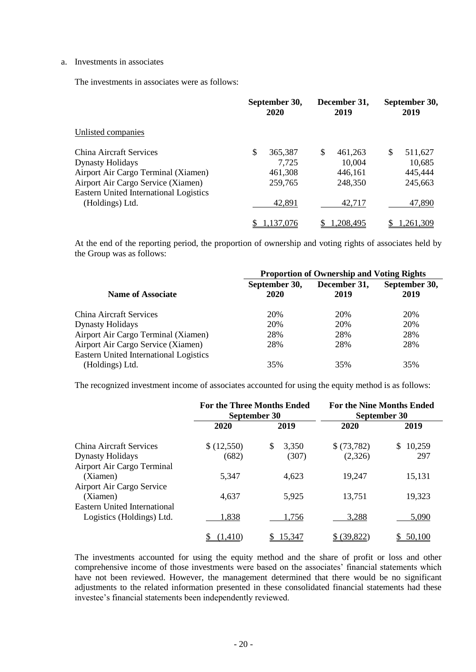#### a. Investments in associates

The investments in associates were as follows:

|                                                                              | September 30,<br>2020 |    | December 31,<br>2019 |   | September 30,<br>2019 |  |
|------------------------------------------------------------------------------|-----------------------|----|----------------------|---|-----------------------|--|
| Unlisted companies                                                           |                       |    |                      |   |                       |  |
| China Aircraft Services                                                      | \$<br>365,387         | \$ | 461,263              | S | 511,627               |  |
| <b>Dynasty Holidays</b>                                                      | 7,725                 |    | 10,004               |   | 10,685                |  |
| Airport Air Cargo Terminal (Xiamen)                                          | 461,308               |    | 446,161              |   | 445,444               |  |
| Airport Air Cargo Service (Xiamen)<br>Eastern United International Logistics | 259,765               |    | 248,350              |   | 245,663               |  |
| (Holdings) Ltd.                                                              | 42,891                |    | 42,717               |   | 47,890                |  |
|                                                                              | .137,076              |    | .208,495             |   | 1.261.309             |  |

At the end of the reporting period, the proportion of ownership and voting rights of associates held by the Group was as follows:

|                                                                                     | <b>Proportion of Ownership and Voting Rights</b> |                      |                       |  |
|-------------------------------------------------------------------------------------|--------------------------------------------------|----------------------|-----------------------|--|
| <b>Name of Associate</b>                                                            | September 30,<br>2020                            | December 31,<br>2019 | September 30,<br>2019 |  |
| China Aircraft Services                                                             | 20%                                              | 20%                  | 20%                   |  |
| <b>Dynasty Holidays</b>                                                             | 20%                                              | 20%                  | 20%                   |  |
| Airport Air Cargo Terminal (Xiamen)                                                 | 28%                                              | 28%                  | 28%                   |  |
| Airport Air Cargo Service (Xiamen)<br><b>Eastern United International Logistics</b> | 28%                                              | 28%                  | 28%                   |  |
| (Holdings) Ltd.                                                                     | 35%                                              | 35%                  | 35%                   |  |

The recognized investment income of associates accounted for using the equity method is as follows:

|                                     | <b>For the Three Months Ended</b><br>September 30 |             | <b>For the Nine Months Ended</b><br>September 30 |        |
|-------------------------------------|---------------------------------------------------|-------------|--------------------------------------------------|--------|
|                                     | 2020                                              | 2019        | 2020                                             | 2019   |
| China Aircraft Services             | \$(12,550)                                        | \$<br>3,350 | \$(73,782)                                       | 10,259 |
| <b>Dynasty Holidays</b>             | (682)                                             | (307)       | (2,326)                                          | 297    |
| Airport Air Cargo Terminal          |                                                   |             |                                                  |        |
| (Xiamen)                            | 5.347                                             | 4,623       | 19,247                                           | 15,131 |
| Airport Air Cargo Service           |                                                   |             |                                                  |        |
| (Xiamen)                            | 4,637                                             | 5,925       | 13,751                                           | 19,323 |
| <b>Eastern United International</b> |                                                   |             |                                                  |        |
| Logistics (Holdings) Ltd.           | 1,838                                             | 1,756       | 3,288                                            | 5,090  |
|                                     | (1,410)                                           | 15,347      | \$ (39,822)                                      | 50,100 |

The investments accounted for using the equity method and the share of profit or loss and other comprehensive income of those investments were based on the associates' financial statements which have not been reviewed. However, the management determined that there would be no significant adjustments to the related information presented in these consolidated financial statements had these investee's financial statements been independently reviewed.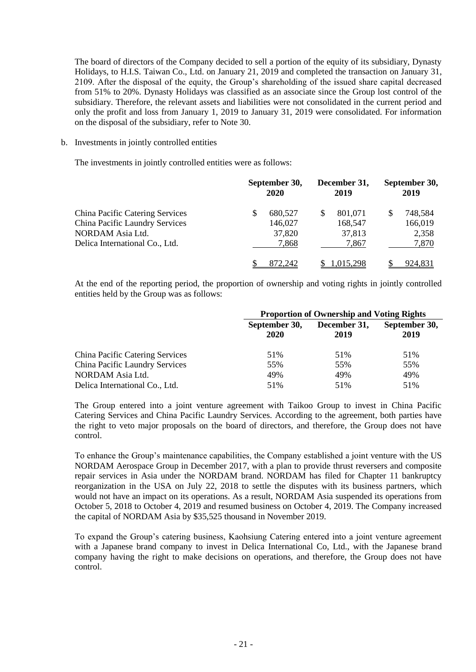The board of directors of the Company decided to sell a portion of the equity of its subsidiary, Dynasty Holidays, to H.I.S. Taiwan Co., Ltd. on January 21, 2019 and completed the transaction on January 31, 2109. After the disposal of the equity, the Group's shareholding of the issued share capital decreased from 51% to 20%. Dynasty Holidays was classified as an associate since the Group lost control of the subsidiary. Therefore, the relevant assets and liabilities were not consolidated in the current period and only the profit and loss from January 1, 2019 to January 31, 2019 were consolidated. For information on the disposal of the subsidiary, refer to Note 30.

#### b. Investments in jointly controlled entities

The investments in jointly controlled entities were as follows:

|                                                                                                                                       |   | September 30,<br>2020                 |  | December 31,<br>2019                  |  | September 30,<br>2019                |  |
|---------------------------------------------------------------------------------------------------------------------------------------|---|---------------------------------------|--|---------------------------------------|--|--------------------------------------|--|
| <b>China Pacific Catering Services</b><br><b>China Pacific Laundry Services</b><br>NORDAM Asia Ltd.<br>Delica International Co., Ltd. | S | 680,527<br>146,027<br>37,820<br>7,868 |  | 801,071<br>168,547<br>37,813<br>7,867 |  | 748,584<br>166,019<br>2,358<br>7,870 |  |
|                                                                                                                                       |   | 872.242                               |  | 1.015.298                             |  | 924,831                              |  |

At the end of the reporting period, the proportion of ownership and voting rights in jointly controlled entities held by the Group was as follows:

|                                        | <b>Proportion of Ownership and Voting Rights</b> |                      |                       |  |
|----------------------------------------|--------------------------------------------------|----------------------|-----------------------|--|
|                                        | September 30,<br>2020                            | December 31,<br>2019 | September 30,<br>2019 |  |
| <b>China Pacific Catering Services</b> | 51%                                              | 51%                  | 51%                   |  |
| <b>China Pacific Laundry Services</b>  | 55%                                              | 55%                  | 55%                   |  |
| NORDAM Asia Ltd.                       | 49%                                              | 49%                  | 49%                   |  |
| Delica International Co., Ltd.         | 51%                                              | 51%                  | 51%                   |  |

The Group entered into a joint venture agreement with Taikoo Group to invest in China Pacific Catering Services and China Pacific Laundry Services. According to the agreement, both parties have the right to veto major proposals on the board of directors, and therefore, the Group does not have control.

To enhance the Group's maintenance capabilities, the Company established a joint venture with the US NORDAM Aerospace Group in December 2017, with a plan to provide thrust reversers and composite repair services in Asia under the NORDAM brand. NORDAM has filed for Chapter 11 bankruptcy reorganization in the USA on July 22, 2018 to settle the disputes with its business partners, which would not have an impact on its operations. As a result, NORDAM Asia suspended its operations from October 5, 2018 to October 4, 2019 and resumed business on October 4, 2019. The Company increased the capital of NORDAM Asia by \$35,525 thousand in November 2019.

To expand the Group's catering business, Kaohsiung Catering entered into a joint venture agreement with a Japanese brand company to invest in Delica International Co, Ltd., with the Japanese brand company having the right to make decisions on operations, and therefore, the Group does not have control.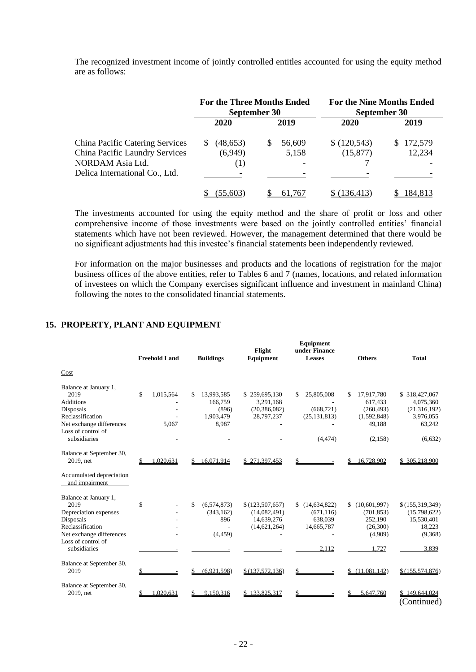The recognized investment income of jointly controlled entitles accounted for using the equity method are as follows:

|                                                                                                                                | <b>For the Three Months Ended</b><br>September 30 |                      | <b>For the Nine Months Ended</b><br>September 30 |                   |
|--------------------------------------------------------------------------------------------------------------------------------|---------------------------------------------------|----------------------|--------------------------------------------------|-------------------|
|                                                                                                                                | 2020                                              | 2019                 | 2020                                             | 2019              |
| <b>China Pacific Catering Services</b><br>China Pacific Laundry Services<br>NORDAM Asia Ltd.<br>Delica International Co., Ltd. | (48, 653)<br>S.<br>(6,949)<br>$\left(1\right)$    | 56,609<br>S<br>5,158 | \$(120,543)<br>(15, 877)                         | 172,579<br>12,234 |
|                                                                                                                                | 55.603                                            | 61.767               | 136,413                                          | 184.813           |

The investments accounted for using the equity method and the share of profit or loss and other comprehensive income of those investments were based on the jointly controlled entities' financial statements which have not been reviewed. However, the management determined that there would be no significant adjustments had this investee's financial statements been independently reviewed.

For information on the major businesses and products and the locations of registration for the major business offices of the above entities, refer to Tables 6 and 7 (names, locations, and related information of investees on which the Company exercises significant influence and investment in mainland China) following the notes to the consolidated financial statements.

### **15. PROPERTY, PLANT AND EQUIPMENT**

|                                                                                                                                                           | <b>Freehold Land</b>     | <b>Buildings</b>                                     | Flight<br>Equipment                                             | Equipment<br>under Finance<br><b>Leases</b>                          | <b>Others</b>                                                                  | <b>Total</b>                                                                    |
|-----------------------------------------------------------------------------------------------------------------------------------------------------------|--------------------------|------------------------------------------------------|-----------------------------------------------------------------|----------------------------------------------------------------------|--------------------------------------------------------------------------------|---------------------------------------------------------------------------------|
| Cost                                                                                                                                                      |                          |                                                      |                                                                 |                                                                      |                                                                                |                                                                                 |
| Balance at January 1,<br>2019<br><b>Additions</b><br>Disposals<br>Reclassification<br>Net exchange differences<br>Loss of control of<br>subsidiaries      | \$<br>1,015,564<br>5.067 | 13,993,585<br>166.759<br>(896)<br>1,903,479<br>8,987 | \$259,695,130<br>3,291,168<br>(20, 386, 082)<br>28,797,237      | 25,805,008<br>\$<br>(668, 721)<br>(25, 131, 813)<br>(4, 474)         | \$<br>17,917,780<br>617,433<br>(260, 493)<br>(1,592,848)<br>49,188<br>(2, 158) | \$318,427,067<br>4,075,360<br>(21, 316, 192)<br>3,976,055<br>63,242<br>(6, 632) |
|                                                                                                                                                           |                          |                                                      |                                                                 |                                                                      |                                                                                |                                                                                 |
| Balance at September 30,<br>2019, net                                                                                                                     | .020,631                 | 16,071,914                                           | \$271,397,453                                                   | \$                                                                   | 16,728,902<br>\$                                                               | \$305,218,900                                                                   |
| Accumulated depreciation<br>and impairment                                                                                                                |                          |                                                      |                                                                 |                                                                      |                                                                                |                                                                                 |
| Balance at January 1,<br>2019<br>Depreciation expenses<br>Disposals<br>Reclassification<br>Net exchange differences<br>Loss of control of<br>subsidiaries | \$                       | \$<br>(6,574,873)<br>(343, 162)<br>896<br>(4, 459)   | \$(123, 507, 657)<br>(14,082,491)<br>14,639,276<br>(14,621,264) | (14, 634, 822)<br>S.<br>(671, 116)<br>638,039<br>14,665,787<br>2.112 | (10,601,997)<br>\$<br>(701, 853)<br>252,190<br>(26,300)<br>(4,909)<br>1.727    | \$(155,319,349)<br>(15,798,622)<br>15,530,401<br>18,223<br>(9,368)<br>3,839     |
| Balance at September 30,<br>2019                                                                                                                          |                          | (6.921, 598)                                         | \$(137,572,136)                                                 | \$                                                                   | (11,081,142)                                                                   | \$(155, 574, 876)                                                               |
| Balance at September 30,<br>2019, net                                                                                                                     | .020.631                 | 9,150,316                                            | \$133,825,317                                                   |                                                                      | 5,647,760                                                                      | \$149,644,024<br>(Continued)                                                    |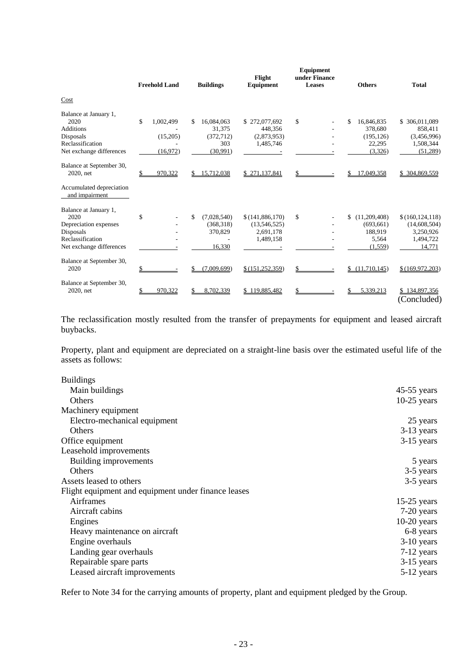|                                                                                                                     | <b>Freehold Land</b>                    | <b>Buildings</b>                                            | Flight<br>Equipment                                       | Equipment<br>under Finance<br>Leases | <b>Others</b>                                                   | <b>Total</b>                                                          |
|---------------------------------------------------------------------------------------------------------------------|-----------------------------------------|-------------------------------------------------------------|-----------------------------------------------------------|--------------------------------------|-----------------------------------------------------------------|-----------------------------------------------------------------------|
| Cost                                                                                                                |                                         |                                                             |                                                           |                                      |                                                                 |                                                                       |
| Balance at January 1,<br>2020<br><b>Additions</b><br>Disposals<br>Reclassification<br>Net exchange differences      | \$<br>1,002,499<br>(15,205)<br>(16,972) | 16,084,063<br>\$<br>31.375<br>(372, 712)<br>303<br>(30.991) | \$272,077,692<br>448,356<br>(2,873,953)<br>1,485,746      | \$                                   | \$<br>16,846,835<br>378,680<br>(195, 126)<br>22,295<br>(3,326)  | \$ 306,011,089<br>858,411<br>(3,456,996)<br>1,508,344<br>(51,289)     |
| Balance at September 30,<br>2020, net                                                                               | 970,322                                 | 15,712,038<br>\$                                            | \$271,137,841                                             | \$                                   | 17,049,358<br>\$                                                | \$304,869,559                                                         |
| Accumulated depreciation<br>and impairment                                                                          |                                         |                                                             |                                                           |                                      |                                                                 |                                                                       |
| Balance at January 1,<br>2020<br>Depreciation expenses<br>Disposals<br>Reclassification<br>Net exchange differences | \$                                      | \$<br>(7,028,540)<br>(368, 318)<br>370,829<br>16,330        | \$(141,886,170)<br>(13,546,525)<br>2,691,178<br>1,489,158 | \$                                   | (11,209,408)<br>\$<br>(693, 661)<br>188,919<br>5,564<br>(1,559) | \$(160, 124, 118)<br>(14,608,504)<br>3,250,926<br>1,494,722<br>14,771 |
| Balance at September 30,<br>2020                                                                                    |                                         | (7,009,699)                                                 | \$(151, 252, 359)                                         | \$                                   | (11,710,145)<br>\$                                              | \$(169, 972, 203)                                                     |
| Balance at September 30,<br>2020, net                                                                               | 970.322                                 | 8.702.339                                                   | \$119,885,482                                             |                                      | 5,339,213                                                       | \$134,897,356<br>(Concluded)                                          |

The reclassification mostly resulted from the transfer of prepayments for equipment and leased aircraft buybacks.

Property, plant and equipment are depreciated on a straight-line basis over the estimated useful life of the assets as follows:

| <b>Buildings</b>                                    |               |
|-----------------------------------------------------|---------------|
| Main buildings                                      | $45-55$ years |
| <b>Others</b>                                       | $10-25$ years |
| Machinery equipment                                 |               |
| Electro-mechanical equipment                        | 25 years      |
| <b>Others</b>                                       | $3-13$ years  |
| Office equipment                                    | $3-15$ years  |
| Leasehold improvements                              |               |
| Building improvements                               | 5 years       |
| Others                                              | 3-5 years     |
| Assets leased to others                             | 3-5 years     |
| Flight equipment and equipment under finance leases |               |
| Airframes                                           | $15-25$ years |
| Aircraft cabins                                     | $7-20$ years  |
| Engines                                             | $10-20$ years |
| Heavy maintenance on aircraft                       | 6-8 years     |
| Engine overhauls                                    | $3-10$ years  |
| Landing gear overhauls                              | 7-12 years    |
| Repairable spare parts                              | $3-15$ years  |
| Leased aircraft improvements                        | 5-12 years    |
|                                                     |               |

Refer to Note 34 for the carrying amounts of property, plant and equipment pledged by the Group.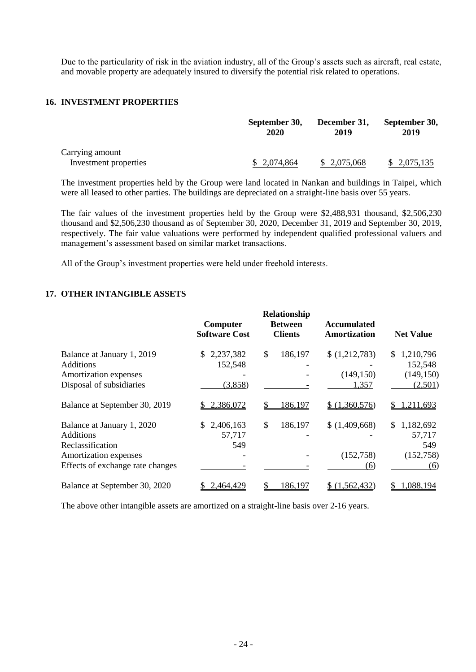Due to the particularity of risk in the aviation industry, all of the Group's assets such as aircraft, real estate, and movable property are adequately insured to diversify the potential risk related to operations.

## **16. INVESTMENT PROPERTIES**

|                                          | September 30, | December 31, | September 30, |
|------------------------------------------|---------------|--------------|---------------|
|                                          | 2020          | 2019         | 2019          |
| Carrying amount<br>Investment properties | \$2,074,864   | \$2,075,068  | \$2,075,135   |

The investment properties held by the Group were land located in Nankan and buildings in Taipei, which were all leased to other parties. The buildings are depreciated on a straight-line basis over 55 years.

The fair values of the investment properties held by the Group were \$2,488,931 thousand, \$2,506,230 thousand and \$2,506,230 thousand as of September 30, 2020, December 31, 2019 and September 30, 2019, respectively. The fair value valuations were performed by independent qualified professional valuers and management's assessment based on similar market transactions.

All of the Group's investment properties were held under freehold interests.

#### **17. OTHER INTANGIBLE ASSETS**

|                                                                                                                                 | Computer<br><b>Software Cost</b>      | Relationship<br><b>Between</b><br><b>Clients</b> | <b>Accumulated</b><br>Amortization   | <b>Net Value</b>                                    |
|---------------------------------------------------------------------------------------------------------------------------------|---------------------------------------|--------------------------------------------------|--------------------------------------|-----------------------------------------------------|
| Balance at January 1, 2019<br><b>Additions</b><br>Amortization expenses<br>Disposal of subsidiaries                             | 2,237,382<br>S.<br>152,548<br>(3,858) | \$<br>186,197                                    | \$(1,212,783)<br>(149, 150)<br>1,357 | 1,210,796<br>S.<br>152,548<br>(149, 150)<br>(2,501) |
| Balance at September 30, 2019                                                                                                   | 2,386,072                             | 186,197<br>S                                     | \$(1,360,576)                        | 1,211,693<br>\$                                     |
| Balance at January 1, 2020<br><b>Additions</b><br>Reclassification<br>Amortization expenses<br>Effects of exchange rate changes | 2,406,163<br>S.<br>57,717<br>549      | \$<br>186,197                                    | \$(1,409,668)<br>(152,758)<br>(6)    | \$1,182,692<br>57,717<br>549<br>(152, 758)<br>(6)   |
| Balance at September 30, 2020                                                                                                   | <u>2,464,429</u>                      | 186,197                                          | \$(1,562,432)                        | 1,088,194                                           |

The above other intangible assets are amortized on a straight-line basis over 2-16 years.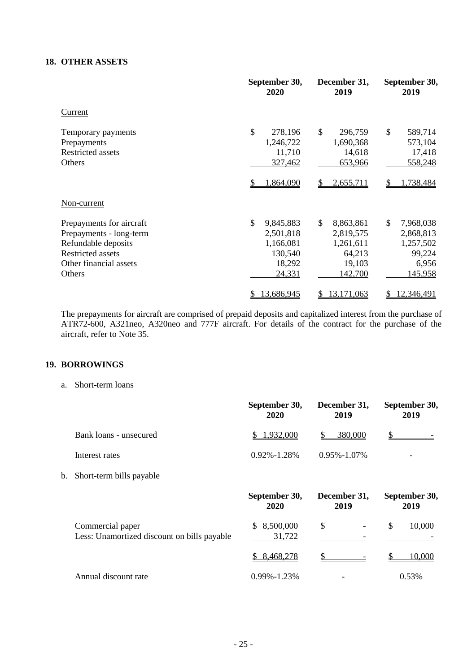## **18. OTHER ASSETS**

|                                                                                                                                            | September 30,<br>2020                                                    | December 31,<br>2019                                                               | September 30,<br>2019                                                   |
|--------------------------------------------------------------------------------------------------------------------------------------------|--------------------------------------------------------------------------|------------------------------------------------------------------------------------|-------------------------------------------------------------------------|
| Current                                                                                                                                    |                                                                          |                                                                                    |                                                                         |
| Temporary payments<br>Prepayments<br><b>Restricted assets</b><br>Others                                                                    | \$<br>278,196<br>1,246,722<br>11,710<br>327,462                          | \$<br>296,759<br>1,690,368<br>14,618<br>653,966                                    | \$<br>589,714<br>573,104<br>17,418<br>558,248                           |
|                                                                                                                                            | <u>1,864,090</u>                                                         | 2,655,711                                                                          | .738,484                                                                |
| Non-current                                                                                                                                |                                                                          |                                                                                    |                                                                         |
| Prepayments for aircraft<br>Prepayments - long-term<br>Refundable deposits<br><b>Restricted assets</b><br>Other financial assets<br>Others | \$<br>9,845,883<br>2,501,818<br>1,166,081<br>130,540<br>18,292<br>24,331 | $\mathbb{S}$<br>8,863,861<br>2,819,575<br>1,261,611<br>64,213<br>19,103<br>142,700 | \$<br>7,968,038<br>2,868,813<br>1,257,502<br>99,224<br>6,956<br>145,958 |
|                                                                                                                                            | 13,686,945                                                               | 13,171,063<br>S                                                                    | 12,346,491<br>\$                                                        |

The prepayments for aircraft are comprised of prepaid deposits and capitalized interest from the purchase of ATR72-600, A321neo, A320neo and 777F aircraft. For details of the contract for the purchase of the aircraft, refer to Note 35.

# **19. BORROWINGS**

a. Short-term loans

|    |                                                                 | September 30,<br>2020 | December 31,<br>2019 | September 30,<br>2019 |
|----|-----------------------------------------------------------------|-----------------------|----------------------|-----------------------|
|    | Bank loans - unsecured                                          | \$1,932,000           | 380,000<br>\$.       |                       |
|    | Interest rates                                                  | $0.92\% - 1.28\%$     | 0.95%-1.07%          |                       |
| b. | Short-term bills payable                                        |                       |                      |                       |
|    |                                                                 | September 30,<br>2020 | December 31,<br>2019 | September 30,<br>2019 |
|    | Commercial paper<br>Less: Unamortized discount on bills payable | \$8,500,000<br>31,722 | \$                   | \$<br>10,000          |
|    |                                                                 | 8,468,278<br>S.       |                      | 10,000                |
|    | Annual discount rate                                            | $0.99\% - 1.23\%$     |                      | 0.53%                 |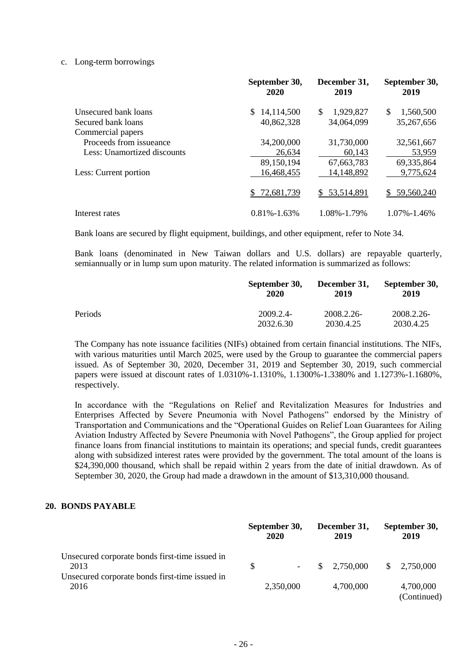#### c. Long-term borrowings

|                             | September 30,<br>2020 | December 31,<br>2019 | September 30,<br>2019 |
|-----------------------------|-----------------------|----------------------|-----------------------|
| Unsecured bank loans        | 14,114,500<br>S.      | \$<br>1,929,827      | \$<br>1,560,500       |
| Secured bank loans          | 40,862,328            | 34,064,099           | 35,267,656            |
| Commercial papers           |                       |                      |                       |
| Proceeds from issueance     | 34,200,000            | 31,730,000           | 32,561,667            |
| Less: Unamortized discounts | 26,634                | 60,143               | 53,959                |
|                             | 89,150,194            | 67,663,783           | 69,335,864            |
| Less: Current portion       | 16,468,455            | 14,148,892           | 9,775,624             |
|                             | 72,681,739            | \$53,514,891         | 59,560,240<br>S.      |
| Interest rates              | $0.81\% - 1.63\%$     | 1.08%-1.79%          | 1.07%-1.46%           |

Bank loans are secured by flight equipment, buildings, and other equipment, refer to Note 34.

Bank loans (denominated in New Taiwan dollars and U.S. dollars) are repayable quarterly, semiannually or in lump sum upon maturity. The related information is summarized as follows:

|         | September 30,<br>2020 | December 31,<br>2019 | September 30,<br>2019 |
|---------|-----------------------|----------------------|-----------------------|
| Periods | 2009.2.4-             | 2008.2.26-           | 2008.2.26-            |
|         | 2032.6.30             | 2030.4.25            | 2030.4.25             |

The Company has note issuance facilities (NIFs) obtained from certain financial institutions. The NIFs, with various maturities until March 2025, were used by the Group to guarantee the commercial papers issued. As of September 30, 2020, December 31, 2019 and September 30, 2019, such commercial papers were issued at discount rates of 1.0310%-1.1310%, 1.1300%-1.3380% and 1.1273%-1.1680%, respectively.

In accordance with the "Regulations on Relief and Revitalization Measures for Industries and Enterprises Affected by Severe Pneumonia with Novel Pathogens" endorsed by the Ministry of Transportation and Communications and the "Operational Guides on Relief Loan Guarantees for Ailing Aviation Industry Affected by Severe Pneumonia with Novel Pathogens", the Group applied for project finance loans from financial institutions to maintain its operations; and special funds, credit guarantees along with subsidized interest rates were provided by the government. The total amount of the loans is \$24,390,000 thousand, which shall be repaid within 2 years from the date of initial drawdown. As of September 30, 2020, the Group had made a drawdown in the amount of \$13,310,000 thousand.

#### **20. BONDS PAYABLE**

|                                                                                                          |              | September 30,<br>2020 | December 31,<br>2019   |     | September 30,<br>2019    |
|----------------------------------------------------------------------------------------------------------|--------------|-----------------------|------------------------|-----|--------------------------|
| Unsecured corporate bonds first-time issued in<br>2013<br>Unsecured corporate bonds first-time issued in | <sup>S</sup> |                       | $\frac{\$}{2,750,000}$ | \$. | 2,750,000                |
| 2016                                                                                                     |              | 2,350,000             | 4,700,000              |     | 4,700,000<br>(Continued) |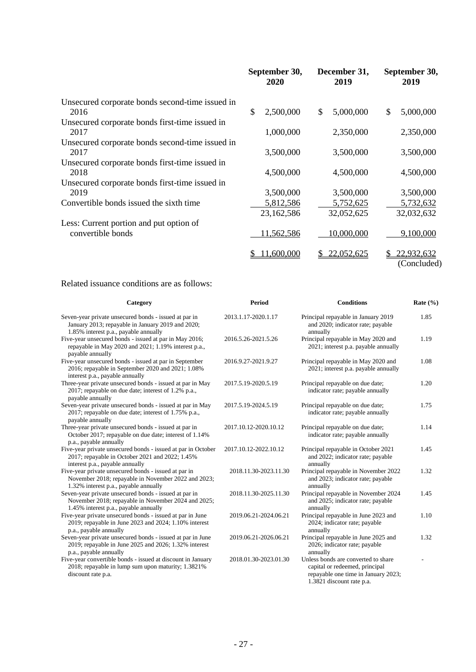|                                                         | September 30,<br>2020 | December 31,<br>2019 | September 30,<br>2019           |
|---------------------------------------------------------|-----------------------|----------------------|---------------------------------|
| Unsecured corporate bonds second-time issued in<br>2016 | \$<br>2,500,000       | 5,000,000<br>\$      | \$<br>5,000,000                 |
| Unsecured corporate bonds first-time issued in          |                       |                      |                                 |
| 2017                                                    | 1,000,000             | 2,350,000            | 2,350,000                       |
| Unsecured corporate bonds second-time issued in         |                       |                      |                                 |
| 2017                                                    | 3,500,000             | 3,500,000            | 3,500,000                       |
| Unsecured corporate bonds first-time issued in          |                       |                      |                                 |
| 2018                                                    | 4,500,000             | 4,500,000            | 4,500,000                       |
| Unsecured corporate bonds first-time issued in          |                       |                      |                                 |
| 2019                                                    | 3,500,000             | 3,500,000            | 3,500,000                       |
| Convertible bonds issued the sixth time                 | 5,812,586             | 5,752,625            | 5,732,632                       |
|                                                         | 23,162,586            | 32,052,625           | 32,032,632                      |
| Less: Current portion and put option of                 |                       |                      |                                 |
| convertible bonds                                       | 11,562,586            | 10,000,000           | 9,100,000                       |
|                                                         | 11,600,000            | 22,052,625           | 22,932,632<br>S.<br>(Concluded) |

# Related issuance conditions are as follows:

| Category                                                                                                                                              | <b>Period</b>         | <b>Conditions</b>                                                                                                                         | Rate $(\% )$ |
|-------------------------------------------------------------------------------------------------------------------------------------------------------|-----------------------|-------------------------------------------------------------------------------------------------------------------------------------------|--------------|
| Seven-year private unsecured bonds - issued at par in<br>January 2013; repayable in January 2019 and 2020;<br>1.85% interest p.a., payable annually   | 2013.1.17-2020.1.17   | Principal repayable in January 2019<br>and 2020; indicator rate; payable<br>annually                                                      | 1.85         |
| Five-year unsecured bonds - issued at par in May 2016;<br>repayable in May 2020 and 2021; 1.19% interest p.a.,<br>payable annually                    | 2016.5.26-2021.5.26   | Principal repayable in May 2020 and<br>2021; interest p.a. payable annually                                                               | 1.19         |
| Five-year unsecured bonds - issued at par in September<br>2016; repayable in September 2020 and 2021; 1.08%<br>interest p.a., payable annually        | 2016.9.27-2021.9.27   | Principal repayable in May 2020 and<br>2021; interest p.a. payable annually                                                               | 1.08         |
| Three-year private unsecured bonds - issued at par in May<br>2017; repayable on due date; interest of 1.2% p.a.,<br>payable annually                  | 2017.5.19-2020.5.19   | Principal repayable on due date;<br>indicator rate; payable annually                                                                      | 1.20         |
| Seven-year private unsecured bonds - issued at par in May<br>2017; repayable on due date; interest of 1.75% p.a.,<br>payable annually                 | 2017.5.19-2024.5.19   | Principal repayable on due date;<br>indicator rate; payable annually                                                                      | 1.75         |
| Three-year private unsecured bonds - issued at par in<br>October 2017; repayable on due date; interest of 1.14%<br>p.a., payable annually             | 2017.10.12-2020.10.12 | Principal repayable on due date;<br>indicator rate; payable annually                                                                      | 1.14         |
| Five-year private unsecured bonds - issued at par in October<br>2017; repayable in October 2021 and 2022; 1.45%<br>interest p.a., payable annually    | 2017.10.12-2022.10.12 | Principal repayable in October 2021<br>and 2022; indicator rate; payable<br>annually                                                      | 1.45         |
| Five-year private unsecured bonds - issued at par in<br>November 2018; repayable in November 2022 and 2023;<br>1.32% interest p.a., payable annually  | 2018.11.30-2023.11.30 | Principal repayable in November 2022<br>and 2023; indicator rate; payable<br>annually                                                     | 1.32         |
| Seven-year private unsecured bonds - issued at par in<br>November 2018; repayable in November 2024 and 2025;<br>1.45% interest p.a., payable annually | 2018.11.30-2025.11.30 | Principal repayable in November 2024<br>and 2025; indicator rate; payable<br>annually                                                     | 1.45         |
| Five-year private unsecured bonds - issued at par in June<br>2019; repayable in June 2023 and 2024; 1.10% interest<br>p.a., payable annually          | 2019.06.21-2024.06.21 | Principal repayable in June 2023 and<br>2024; indicator rate; payable<br>annually                                                         | 1.10         |
| Seven-year private unsecured bonds - issued at par in June<br>2019; repayable in June 2025 and 2026; 1.32% interest<br>p.a., payable annually         | 2019.06.21-2026.06.21 | Principal repayable in June 2025 and<br>2026; indicator rate; payable<br>annually                                                         | 1.32         |
| Five-year convertible bonds - issued at discount in January<br>2018; repayable in lump sum upon maturity; 1.3821%<br>discount rate p.a.               | 2018.01.30-2023.01.30 | Unless bonds are converted to share<br>capital or redeemed, principal<br>repayable one time in January 2023;<br>1.3821 discount rate p.a. |              |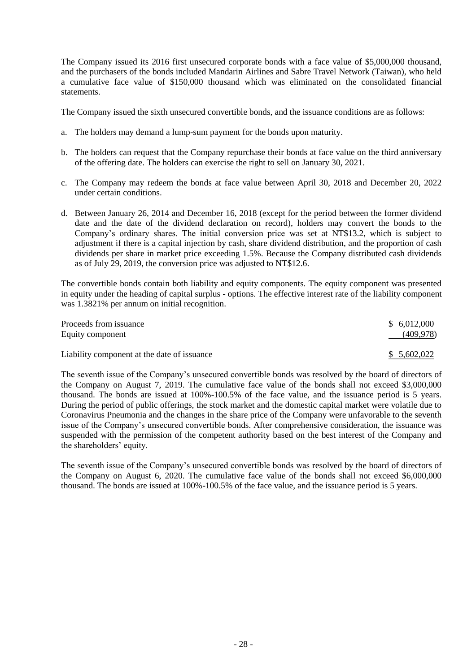The Company issued its 2016 first unsecured corporate bonds with a face value of \$5,000,000 thousand, and the purchasers of the bonds included Mandarin Airlines and Sabre Travel Network (Taiwan), who held a cumulative face value of \$150,000 thousand which was eliminated on the consolidated financial statements.

The Company issued the sixth unsecured convertible bonds, and the issuance conditions are as follows:

- a. The holders may demand a lump-sum payment for the bonds upon maturity.
- b. The holders can request that the Company repurchase their bonds at face value on the third anniversary of the offering date. The holders can exercise the right to sell on January 30, 2021.
- c. The Company may redeem the bonds at face value between April 30, 2018 and December 20, 2022 under certain conditions.
- d. Between January 26, 2014 and December 16, 2018 (except for the period between the former dividend date and the date of the dividend declaration on record), holders may convert the bonds to the Company's ordinary shares. The initial conversion price was set at NT\$13.2, which is subject to adjustment if there is a capital injection by cash, share dividend distribution, and the proportion of cash dividends per share in market price exceeding 1.5%. Because the Company distributed cash dividends as of July 29, 2019, the conversion price was adjusted to NT\$12.6.

The convertible bonds contain both liability and equity components. The equity component was presented in equity under the heading of capital surplus - options. The effective interest rate of the liability component was 1.3821% per annum on initial recognition.

| Proceeds from issuance<br>Equity component  | \$6,012,000<br>(409, 978) |
|---------------------------------------------|---------------------------|
| Liability component at the date of issuance | \$5,602,022               |

The seventh issue of the Company's unsecured convertible bonds was resolved by the board of directors of the Company on August 7, 2019. The cumulative face value of the bonds shall not exceed \$3,000,000 thousand. The bonds are issued at 100%-100.5% of the face value, and the issuance period is 5 years. During the period of public offerings, the stock market and the domestic capital market were volatile due to Coronavirus Pneumonia and the changes in the share price of the Company were unfavorable to the seventh issue of the Company's unsecured convertible bonds. After comprehensive consideration, the issuance was suspended with the permission of the competent authority based on the best interest of the Company and the shareholders' equity.

The seventh issue of the Company's unsecured convertible bonds was resolved by the board of directors of the Company on August 6, 2020. The cumulative face value of the bonds shall not exceed \$6,000,000 thousand. The bonds are issued at 100%-100.5% of the face value, and the issuance period is 5 years.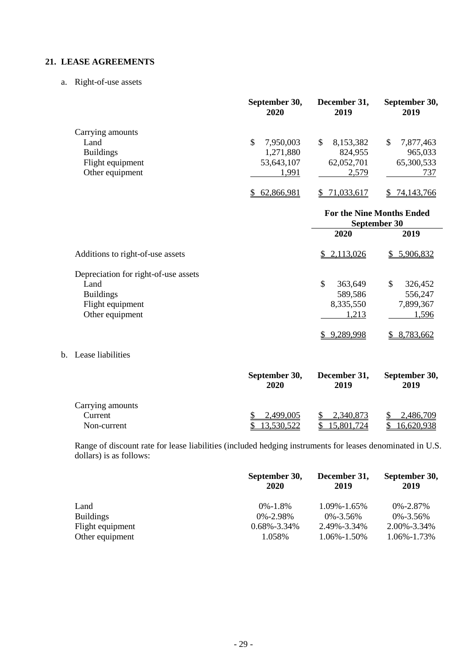## **21. LEASE AGREEMENTS**

a. Right-of-use assets

|                  | September 30,<br>2020 | December 31,<br>2019 | September 30,<br>2019 |
|------------------|-----------------------|----------------------|-----------------------|
| Carrying amounts |                       |                      |                       |
| Land             | 7,950,003<br>\$       | 8,153,382<br>\$      | 7,877,463<br>\$       |
| <b>Buildings</b> | 1,271,880             | 824,955              | 965,033               |
| Flight equipment | 53,643,107            | 62,052,701           | 65,300,533            |
| Other equipment  | 1,991                 | 2,579                | 737                   |
|                  | 62,866,981            | 71,033,617           | 74,143,766            |

|                                      | <b>For the Nine Months Ended</b><br>September 30 |               |  |
|--------------------------------------|--------------------------------------------------|---------------|--|
|                                      | 2020                                             | 2019          |  |
| Additions to right-of-use assets     | \$2,113,026                                      | \$5,906,832   |  |
| Depreciation for right-of-use assets |                                                  |               |  |
| Land                                 | \$<br>363,649                                    | \$<br>326,452 |  |
| <b>Buildings</b>                     | 589,586                                          | 556,247       |  |
| Flight equipment                     | 8,335,550                                        | 7,899,367     |  |
| Other equipment                      | 1,213                                            | 1,596         |  |
|                                      | 9,289,998                                        | 8,783,662     |  |

b. Lease liabilities

|                  | September 30,<br>2020 | December 31,<br>2019 | September 30,<br>2019 |
|------------------|-----------------------|----------------------|-----------------------|
| Carrying amounts |                       |                      |                       |
| Current          | <u>2,499,005</u>      | 2,340,873            | <u>2,486,709</u>      |
| Non-current      | 3,530,522             | 5,801,724            | 6,620,938             |

Range of discount rate for lease liabilities (included hedging instruments for leases denominated in U.S. dollars) is as follows:

|                  | September 30,<br>2020 | December 31,<br>2019 | September 30,<br>2019 |
|------------------|-----------------------|----------------------|-----------------------|
| Land             | $0\% - 1.8\%$         | 1.09%-1.65%          | $0\% - 2.87\%$        |
| <b>Buildings</b> | $0\% - 2.98\%$        | $0\% - 3.56\%$       | $0\% - 3.56\%$        |
| Flight equipment | $0.68\% - 3.34\%$     | 2.49%-3.34%          | 2.00%-3.34%           |
| Other equipment  | 1.058%                | 1.06%-1.50%          | 1.06%-1.73%           |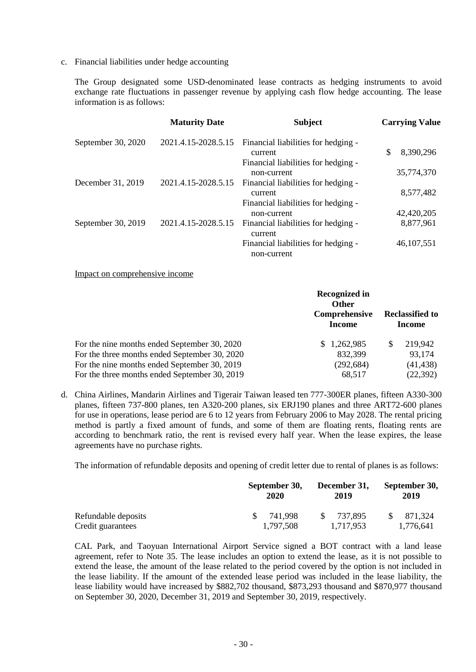c. Financial liabilities under hedge accounting

The Group designated some USD-denominated lease contracts as hedging instruments to avoid exchange rate fluctuations in passenger revenue by applying cash flow hedge accounting. The lease information is as follows:

|                    | <b>Maturity Date</b> | <b>Subject</b>                                 | <b>Carrying Value</b> |
|--------------------|----------------------|------------------------------------------------|-----------------------|
| September 30, 2020 | 2021.4.15-2028.5.15  | Financial liabilities for hedging -            |                       |
|                    |                      | current                                        | \$<br>8,390,296       |
|                    |                      | Financial liabilities for hedging -            |                       |
|                    |                      | non-current                                    | 35,774,370            |
| December 31, 2019  | 2021.4.15-2028.5.15  | Financial liabilities for hedging -            |                       |
|                    |                      | current                                        | 8,577,482             |
|                    |                      | Financial liabilities for hedging -            |                       |
|                    |                      | non-current                                    | 42,420,205            |
| September 30, 2019 | 2021.4.15-2028.5.15  | Financial liabilities for hedging -<br>current | 8,877,961             |
|                    |                      | Financial liabilities for hedging -            | 46, 107, 551          |
|                    |                      | non-current                                    |                       |

Impact on comprehensive income

|                                               | <b>Recognized in</b><br><b>Other</b><br>Comprehensive<br><b>Income</b> | <b>Reclassified to</b><br><b>Income</b> |
|-----------------------------------------------|------------------------------------------------------------------------|-----------------------------------------|
| For the nine months ended September 30, 2020  | \$1,262,985                                                            | 219,942<br>S                            |
| For the three months ended September 30, 2020 | 832,399                                                                | 93,174                                  |
| For the nine months ended September 30, 2019  | (292, 684)                                                             | (41, 438)                               |
| For the three months ended September 30, 2019 | 68,517                                                                 | (22, 392)                               |

d. China Airlines, Mandarin Airlines and Tigerair Taiwan leased ten 777-300ER planes, fifteen A330-300 planes, fifteen 737-800 planes, ten A320-200 planes, six ERJ190 planes and three ART72-600 planes for use in operations, lease period are 6 to 12 years from February 2006 to May 2028. The rental pricing method is partly a fixed amount of funds, and some of them are floating rents, floating rents are according to benchmark ratio, the rent is revised every half year. When the lease expires, the lease agreements have no purchase rights.

The information of refundable deposits and opening of credit letter due to rental of planes is as follows:

| September 30,<br>2020 | December 31,<br>2019    | September 30,<br>2019 |  |  |
|-----------------------|-------------------------|-----------------------|--|--|
| 741.998               | 737.895<br><sup>S</sup> | 871,324<br>1,776,641  |  |  |
|                       | 1,797,508               | 1.717.953             |  |  |

CAL Park, and Taoyuan International Airport Service signed a BOT contract with a land lease agreement, refer to Note 35. The lease includes an option to extend the lease, as it is not possible to extend the lease, the amount of the lease related to the period covered by the option is not included in the lease liability. If the amount of the extended lease period was included in the lease liability, the lease liability would have increased by \$882,702 thousand, \$873,293 thousand and \$870,977 thousand on September 30, 2020, December 31, 2019 and September 30, 2019, respectively.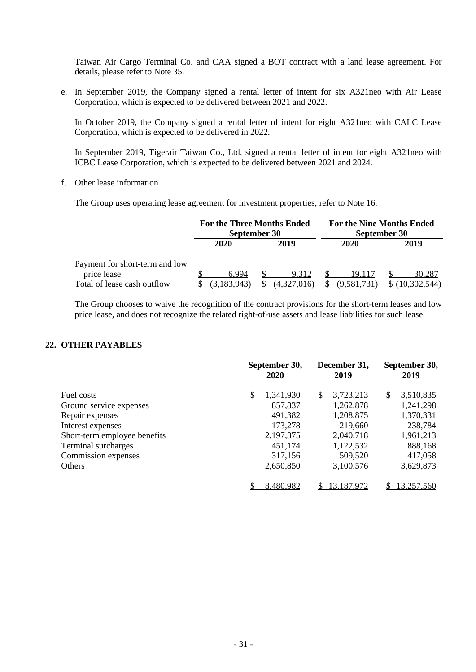Taiwan Air Cargo Terminal Co. and CAA signed a BOT contract with a land lease agreement. For details, please refer to Note 35.

e. In September 2019, the Company signed a rental letter of intent for six A321neo with Air Lease Corporation, which is expected to be delivered between 2021 and 2022.

In October 2019, the Company signed a rental letter of intent for eight A321neo with CALC Lease Corporation, which is expected to be delivered in 2022.

In September 2019, Tigerair Taiwan Co., Ltd. signed a rental letter of intent for eight A321neo with ICBC Lease Corporation, which is expected to be delivered between 2021 and 2024.

## f. Other lease information

The Group uses operating lease agreement for investment properties, refer to Note 16.

|                                |                      | <b>For the Three Months Ended</b><br>September 30 |            | <b>For the Nine Months Ended</b><br>September 30 |  |  |
|--------------------------------|----------------------|---------------------------------------------------|------------|--------------------------------------------------|--|--|
|                                | 2020<br>2020<br>2019 |                                                   |            | 2019                                             |  |  |
| Payment for short-term and low |                      |                                                   |            |                                                  |  |  |
| price lease                    | 6.994                | 9.312                                             | 19.117     | 30.287                                           |  |  |
| Total of lease cash outflow    |                      |                                                   | .9.581.731 |                                                  |  |  |

The Group chooses to waive the recognition of the contract provisions for the short-term leases and low price lease, and does not recognize the related right-of-use assets and lease liabilities for such lease.

# **22. OTHER PAYABLES**

|                              | September 30,<br>2020 | December 31,<br>2019 | September 30,<br>2019 |  |  |
|------------------------------|-----------------------|----------------------|-----------------------|--|--|
| Fuel costs                   | \$<br>1,341,930       | 3,723,213<br>\$      | 3,510,835<br>\$       |  |  |
| Ground service expenses      | 857,837               | 1,262,878            | 1,241,298             |  |  |
| Repair expenses              | 491,382               | 1,208,875            | 1,370,331             |  |  |
| Interest expenses            | 173,278               | 219,660              | 238,784               |  |  |
| Short-term employee benefits | 2,197,375             | 2,040,718            | 1,961,213             |  |  |
| Terminal surcharges          | 451,174               | 1,122,532            | 888,168               |  |  |
| Commission expenses          | 317,156               | 509,520              | 417,058               |  |  |
| Others                       | 2,650,850             | 3,100,576            | 3,629,873             |  |  |
|                              | 8,480,982             | 13,187,972           | 13,257,560            |  |  |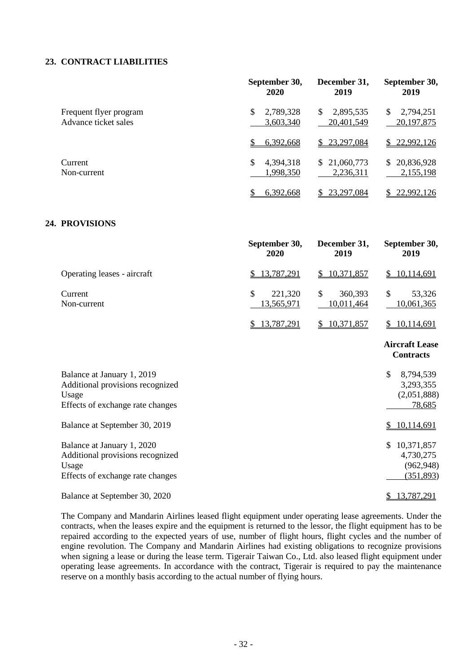#### **23. CONTRACT LIABILITIES**

|                                                | September 30,<br>2020        | December 31,<br>2019         | September 30,<br>2019          |  |  |
|------------------------------------------------|------------------------------|------------------------------|--------------------------------|--|--|
| Frequent flyer program<br>Advance ticket sales | 2,789,328<br>\$<br>3,603,340 | 2,895,535<br>S<br>20,401,549 | 2,794,251<br>S<br>20, 197, 875 |  |  |
|                                                | 6,392,668                    | 23,297,084<br>S.             | \$22,992,126                   |  |  |
| Current<br>Non-current                         | \$<br>4,394,318<br>1,998,350 | \$21,060,773<br>2,236,311    | \$20,836,928<br>2,155,198      |  |  |
|                                                | 6,392,668                    | 23,297,084                   | 22,992,126                     |  |  |

# **24. PROVISIONS**

|                                                                                                             | September 30,<br>2020                        | December 31,<br>2019                   | September 30,<br>2019                                            |
|-------------------------------------------------------------------------------------------------------------|----------------------------------------------|----------------------------------------|------------------------------------------------------------------|
| Operating leases - aircraft                                                                                 | 13,787,291<br>\$                             | 10,371,857<br>\$                       | 10,114,691<br>\$                                                 |
| Current<br>Non-current                                                                                      | $\mathbb{S}$<br>221,320<br><u>13,565,971</u> | $\mathcal{S}$<br>360,393<br>10,011,464 | \$<br>53,326<br>10,061,365                                       |
|                                                                                                             | 13,787,291<br>S.                             | 10,371,857<br>\$                       | 10,114,691<br>$\mathbb{S}^-$                                     |
|                                                                                                             |                                              |                                        | <b>Aircraft Lease</b><br><b>Contracts</b>                        |
| Balance at January 1, 2019<br>Additional provisions recognized<br>Usage<br>Effects of exchange rate changes |                                              |                                        | $\mathcal{S}$<br>8,794,539<br>3,293,355<br>(2,051,888)<br>78,685 |
| Balance at September 30, 2019                                                                               |                                              |                                        | 10,114,691<br>\$                                                 |
| Balance at January 1, 2020<br>Additional provisions recognized<br>Usage<br>Effects of exchange rate changes |                                              |                                        | 10,371,857<br>\$.<br>4,730,275<br>(962, 948)<br>(351,893)        |
| Balance at September 30, 2020                                                                               |                                              |                                        | 13,787,291<br>\$                                                 |

The Company and Mandarin Airlines leased flight equipment under operating lease agreements. Under the contracts, when the leases expire and the equipment is returned to the lessor, the flight equipment has to be repaired according to the expected years of use, number of flight hours, flight cycles and the number of engine revolution. The Company and Mandarin Airlines had existing obligations to recognize provisions when signing a lease or during the lease term. Tigerair Taiwan Co., Ltd. also leased flight equipment under operating lease agreements. In accordance with the contract, Tigerair is required to pay the maintenance reserve on a monthly basis according to the actual number of flying hours.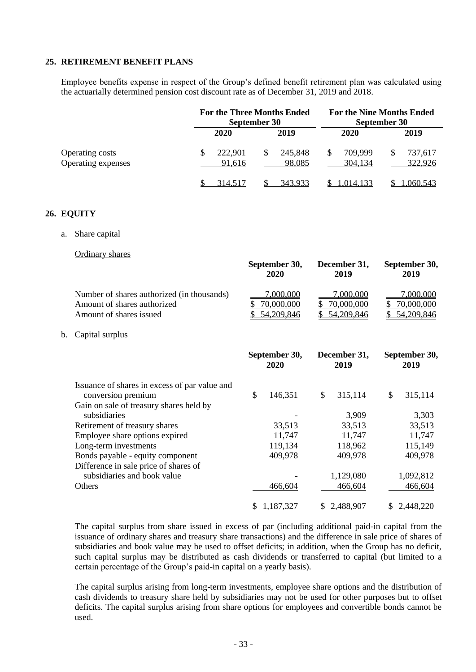#### **25. RETIREMENT BENEFIT PLANS**

Employee benefits expense in respect of the Group's defined benefit retirement plan was calculated using the actuarially determined pension cost discount rate as of December 31, 2019 and 2018.

|                                              |                   | <b>For the Three Months Ended</b><br>September 30 | <b>For the Nine Months Ended</b><br>September 30 |                    |  |
|----------------------------------------------|-------------------|---------------------------------------------------|--------------------------------------------------|--------------------|--|
|                                              | 2020              | 2019                                              | 2020                                             | 2019               |  |
| <b>Operating costs</b><br>Operating expenses | 222,901<br>91,616 | 245,848<br>S<br>98,085                            | 709,999<br>304,134                               | 737,617<br>322,926 |  |
|                                              | 314.517           | 343.933                                           | 1,014,133                                        | .060.543           |  |

#### **26. EQUITY**

a. Share capital

Ordinary shares

|    |                                                                                                      |    | September 30,<br>2020                 | December 31,<br>2019                  |     | September 30,<br>2019                 |
|----|------------------------------------------------------------------------------------------------------|----|---------------------------------------|---------------------------------------|-----|---------------------------------------|
|    | Number of shares authorized (in thousands)<br>Amount of shares authorized<br>Amount of shares issued |    | 7,000,000<br>70,000,000<br>54,209,846 | 7,000,000<br>70,000,000<br>54,209,846 |     | 7,000,000<br>70,000,000<br>54,209,846 |
| b. | Capital surplus                                                                                      |    |                                       |                                       |     |                                       |
|    |                                                                                                      |    | September 30,<br>2020                 | December 31,<br>2019                  |     | September 30,<br>2019                 |
|    | Issuance of shares in excess of par value and                                                        |    |                                       |                                       |     |                                       |
|    | conversion premium                                                                                   | \$ | 146,351                               | \$<br>315,114                         | \$  | 315,114                               |
|    | Gain on sale of treasury shares held by                                                              |    |                                       |                                       |     |                                       |
|    | subsidiaries                                                                                         |    |                                       | 3,909                                 |     | 3,303                                 |
|    | Retirement of treasury shares                                                                        |    | 33,513                                | 33,513                                |     | 33,513                                |
|    | Employee share options expired<br>Long-term investments                                              |    | 11,747<br>119,134                     | 11,747<br>118,962                     |     | 11,747<br>115,149                     |
|    | Bonds payable - equity component                                                                     |    | 409,978                               | 409,978                               |     | 409,978                               |
|    | Difference in sale price of shares of                                                                |    |                                       |                                       |     |                                       |
|    | subsidiaries and book value                                                                          |    |                                       | 1,129,080                             |     | 1,092,812                             |
|    | Others                                                                                               |    | 466,604                               | 466,604                               |     | 466,604                               |
|    |                                                                                                      | S  | 1,187,327                             | \$<br>2,488,907                       | \$. | 2,448,220                             |

The capital surplus from share issued in excess of par (including additional paid-in capital from the issuance of ordinary shares and treasury share transactions) and the difference in sale price of shares of subsidiaries and book value may be used to offset deficits; in addition, when the Group has no deficit, such capital surplus may be distributed as cash dividends or transferred to capital (but limited to a certain percentage of the Group's paid-in capital on a yearly basis).

The capital surplus arising from long-term investments, employee share options and the distribution of cash dividends to treasury share held by subsidiaries may not be used for other purposes but to offset deficits. The capital surplus arising from share options for employees and convertible bonds cannot be used.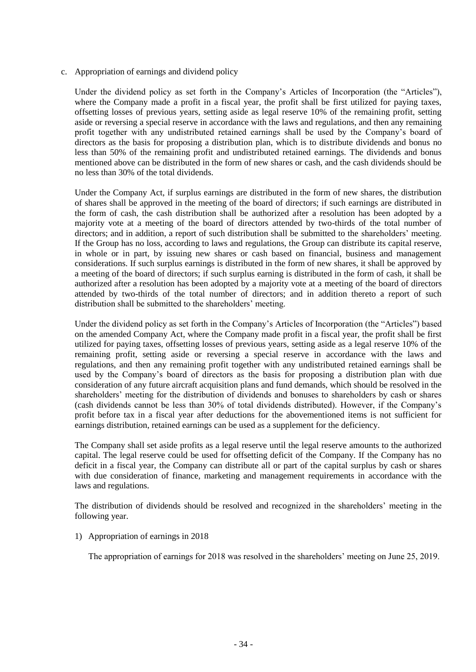c. Appropriation of earnings and dividend policy

Under the dividend policy as set forth in the Company's Articles of Incorporation (the "Articles"), where the Company made a profit in a fiscal year, the profit shall be first utilized for paying taxes, offsetting losses of previous years, setting aside as legal reserve 10% of the remaining profit, setting aside or reversing a special reserve in accordance with the laws and regulations, and then any remaining profit together with any undistributed retained earnings shall be used by the Company's board of directors as the basis for proposing a distribution plan, which is to distribute dividends and bonus no less than 50% of the remaining profit and undistributed retained earnings. The dividends and bonus mentioned above can be distributed in the form of new shares or cash, and the cash dividends should be no less than 30% of the total dividends.

Under the Company Act, if surplus earnings are distributed in the form of new shares, the distribution of shares shall be approved in the meeting of the board of directors; if such earnings are distributed in the form of cash, the cash distribution shall be authorized after a resolution has been adopted by a majority vote at a meeting of the board of directors attended by two-thirds of the total number of directors; and in addition, a report of such distribution shall be submitted to the shareholders' meeting. If the Group has no loss, according to laws and regulations, the Group can distribute its capital reserve, in whole or in part, by issuing new shares or cash based on financial, business and management considerations. If such surplus earnings is distributed in the form of new shares, it shall be approved by a meeting of the board of directors; if such surplus earning is distributed in the form of cash, it shall be authorized after a resolution has been adopted by a majority vote at a meeting of the board of directors attended by two-thirds of the total number of directors; and in addition thereto a report of such distribution shall be submitted to the shareholders' meeting.

Under the dividend policy as set forth in the Company's Articles of Incorporation (the "Articles") based on the amended Company Act, where the Company made profit in a fiscal year, the profit shall be first utilized for paying taxes, offsetting losses of previous years, setting aside as a legal reserve 10% of the remaining profit, setting aside or reversing a special reserve in accordance with the laws and regulations, and then any remaining profit together with any undistributed retained earnings shall be used by the Company's board of directors as the basis for proposing a distribution plan with due consideration of any future aircraft acquisition plans and fund demands, which should be resolved in the shareholders' meeting for the distribution of dividends and bonuses to shareholders by cash or shares (cash dividends cannot be less than 30% of total dividends distributed). However, if the Company's profit before tax in a fiscal year after deductions for the abovementioned items is not sufficient for earnings distribution, retained earnings can be used as a supplement for the deficiency.

The Company shall set aside profits as a legal reserve until the legal reserve amounts to the authorized capital. The legal reserve could be used for offsetting deficit of the Company. If the Company has no deficit in a fiscal year, the Company can distribute all or part of the capital surplus by cash or shares with due consideration of finance, marketing and management requirements in accordance with the laws and regulations.

The distribution of dividends should be resolved and recognized in the shareholders' meeting in the following year.

1) Appropriation of earnings in 2018

The appropriation of earnings for 2018 was resolved in the shareholders' meeting on June 25, 2019.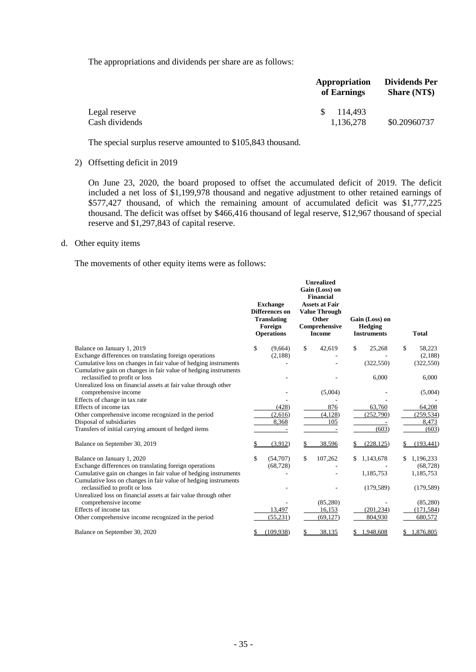The appropriations and dividends per share are as follows:

|                | Appropriation<br>of Earnings | Dividends Per<br><b>Share (NT\$)</b> |
|----------------|------------------------------|--------------------------------------|
| Legal reserve  | 114.493<br>SS.               |                                      |
| Cash dividends | 1.136.278                    | \$0.20960737                         |

The special surplus reserve amounted to \$105,843 thousand.

#### 2) Offsetting deficit in 2019

On June 23, 2020, the board proposed to offset the accumulated deficit of 2019. The deficit included a net loss of \$1,199,978 thousand and negative adjustment to other retained earnings of \$577,427 thousand, of which the remaining amount of accumulated deficit was \$1,777,225 thousand. The deficit was offset by \$466,416 thousand of legal reserve, \$12,967 thousand of special reserve and \$1,297,843 of capital reserve.

#### d. Other equity items

The movements of other equity items were as follows:

|                                                                                                                                    |    | <b>Exchange</b><br><b>Differences</b> on<br><b>Translating</b><br>Foreign<br><b>Operations</b> | <b>Unrealized</b><br>Gain (Loss) on<br><b>Financial</b><br><b>Assets at Fair</b><br><b>Value Through</b><br>Other<br>Comprehensive<br><b>Income</b> | Gain (Loss) on<br><b>Hedging</b><br><b>Instruments</b> | Total                  |
|------------------------------------------------------------------------------------------------------------------------------------|----|------------------------------------------------------------------------------------------------|-----------------------------------------------------------------------------------------------------------------------------------------------------|--------------------------------------------------------|------------------------|
| Balance on January 1, 2019                                                                                                         | \$ | (9,664)                                                                                        | \$<br>42,619                                                                                                                                        | \$<br>25,268                                           | \$<br>58,223           |
| Exchange differences on translating foreign operations                                                                             |    | (2,188)                                                                                        |                                                                                                                                                     |                                                        | (2,188)                |
| Cumulative loss on changes in fair value of hedging instruments<br>Cumulative gain on changes in fair value of hedging instruments |    |                                                                                                |                                                                                                                                                     | (322, 550)                                             | (322, 550)             |
| reclassified to profit or loss                                                                                                     |    |                                                                                                |                                                                                                                                                     | 6,000                                                  | 6,000                  |
| Unrealized loss on financial assets at fair value through other                                                                    |    |                                                                                                |                                                                                                                                                     |                                                        |                        |
| comprehensive income                                                                                                               |    |                                                                                                | (5,004)                                                                                                                                             |                                                        | (5,004)                |
| Effects of change in tax rate                                                                                                      |    |                                                                                                |                                                                                                                                                     |                                                        |                        |
| Effects of income tax                                                                                                              |    | (428)                                                                                          | 876                                                                                                                                                 | 63,760                                                 | 64,208                 |
| Other comprehensive income recognized in the period                                                                                |    | (2,616)                                                                                        | (4,128)                                                                                                                                             | (252,790)                                              | (259, 534)             |
| Disposal of subsidiaries                                                                                                           |    | 8,368                                                                                          | 105                                                                                                                                                 |                                                        | 8,473                  |
| Transfers of initial carrying amount of hedged items                                                                               |    |                                                                                                |                                                                                                                                                     | (603)                                                  | (603)                  |
| Balance on September 30, 2019                                                                                                      |    | (3,912)                                                                                        | 38,596                                                                                                                                              | (228, 125)                                             | (193, 441)             |
| Balance on January 1, 2020                                                                                                         | \$ | (54,707)                                                                                       | \$<br>107,262                                                                                                                                       | \$<br>1,143,678                                        | 1,196,233              |
| Exchange differences on translating foreign operations                                                                             |    | (68, 728)                                                                                      |                                                                                                                                                     |                                                        | (68, 728)              |
| Cumulative gain on changes in fair value of hedging instruments                                                                    |    |                                                                                                |                                                                                                                                                     | 1,185,753                                              | 1,185,753              |
| Cumulative loss on changes in fair value of hedging instruments                                                                    |    |                                                                                                |                                                                                                                                                     |                                                        |                        |
| reclassified to profit or loss                                                                                                     |    |                                                                                                |                                                                                                                                                     | (179, 589)                                             | (179, 589)             |
| Unrealized loss on financial assets at fair value through other                                                                    |    |                                                                                                |                                                                                                                                                     |                                                        |                        |
| comprehensive income<br>Effects of income tax                                                                                      |    | 13,497                                                                                         | (85,280)<br>16,153                                                                                                                                  | (201, 234)                                             | (85,280)<br>(171, 584) |
| Other comprehensive income recognized in the period                                                                                |    | (55, 231)                                                                                      | (69, 127)                                                                                                                                           | 804,930                                                | 680,572                |
|                                                                                                                                    |    |                                                                                                |                                                                                                                                                     |                                                        |                        |
| Balance on September 30, 2020                                                                                                      |    | (109, 938)                                                                                     | 38,135                                                                                                                                              | 1,948,608                                              | 1,876,805              |
|                                                                                                                                    |    |                                                                                                |                                                                                                                                                     |                                                        |                        |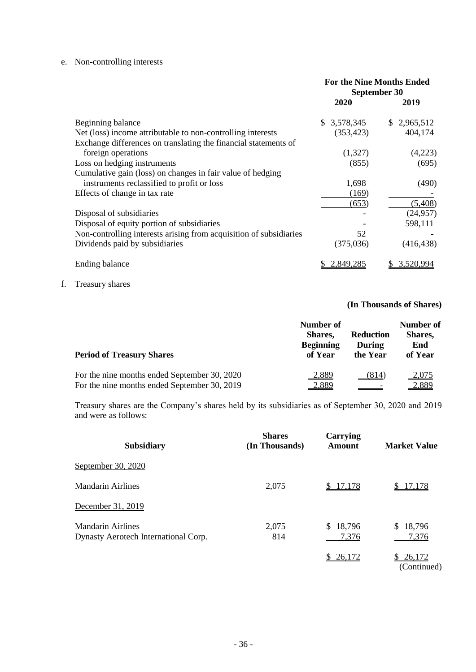## e. Non-controlling interests

|                                                                    | <b>For the Nine Months Ended</b><br>September 30 |             |  |
|--------------------------------------------------------------------|--------------------------------------------------|-------------|--|
|                                                                    | 2020                                             | 2019        |  |
| Beginning balance                                                  | \$3,578,345                                      | \$2,965,512 |  |
| Net (loss) income attributable to non-controlling interests        | (353, 423)                                       | 404,174     |  |
| Exchange differences on translating the financial statements of    |                                                  |             |  |
| foreign operations                                                 | (1,327)                                          | (4,223)     |  |
| Loss on hedging instruments                                        | (855)                                            | (695)       |  |
| Cumulative gain (loss) on changes in fair value of hedging         |                                                  |             |  |
| instruments reclassified to profit or loss                         | 1,698                                            | (490)       |  |
| Effects of change in tax rate                                      | (169)                                            |             |  |
|                                                                    | (653)                                            | (5,408)     |  |
| Disposal of subsidiaries                                           |                                                  | (24, 957)   |  |
| Disposal of equity portion of subsidiaries                         |                                                  | 598,111     |  |
| Non-controlling interests arising from acquisition of subsidiaries | 52                                               |             |  |
| Dividends paid by subsidiaries                                     | (375, 036)                                       | (416, 438)  |  |
| Ending balance                                                     | 2,849,285                                        | 3.520.994   |  |

f. Treasury shares

#### **(In Thousands of Shares)**

| <b>Period of Treasury Shares</b>             | Number of<br>Shares,<br><b>Beginning</b><br>of Year | <b>Reduction</b><br>During<br>the Year | Number of<br>Shares,<br>End<br>of Year |
|----------------------------------------------|-----------------------------------------------------|----------------------------------------|----------------------------------------|
| For the nine months ended September 30, 2020 | <u>2,889</u>                                        | (814)                                  | <u>2,075</u>                           |
| For the nine months ended September 30, 2019 | <u>2,889</u>                                        |                                        | <u>4,880</u>                           |

Treasury shares are the Company's shares held by its subsidiaries as of September 30, 2020 and 2019 and were as follows:

| <b>Subsidiary</b>                                                | <b>Shares</b><br>(In Thousands) | <b>Carrying</b><br><b>Amount</b> | <b>Market Value</b>         |
|------------------------------------------------------------------|---------------------------------|----------------------------------|-----------------------------|
| September 30, 2020                                               |                                 |                                  |                             |
| Mandarin Airlines                                                | 2,075                           | \$17,178                         | 17,178                      |
| December 31, 2019                                                |                                 |                                  |                             |
| <b>Mandarin Airlines</b><br>Dynasty Aerotech International Corp. | 2,075<br>814                    | 18,796<br>\$.<br>7,376           | 18,796<br>\$.<br>7,376      |
|                                                                  |                                 | \$26,172                         | 26,172<br>S.<br>(Continued) |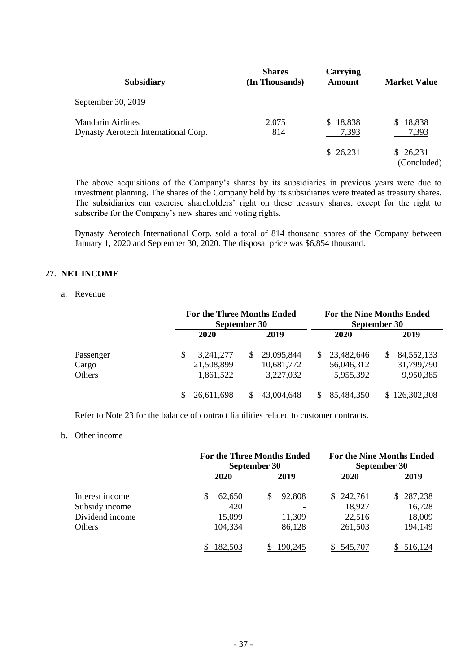| <b>Subsidiary</b>                                                | <b>Shares</b><br>(In Thousands) | Carrying<br><b>Amount</b> | <b>Market Value</b>   |
|------------------------------------------------------------------|---------------------------------|---------------------------|-----------------------|
| September 30, 2019                                               |                                 |                           |                       |
| <b>Mandarin Airlines</b><br>Dynasty Aerotech International Corp. | 2,075<br>814                    | \$18,838<br>7,393         | 18,838<br>S<br>7,393  |
|                                                                  |                                 | \$26,231                  | 26,231<br>(Concluded) |

The above acquisitions of the Company's shares by its subsidiaries in previous years were due to investment planning. The shares of the Company held by its subsidiaries were treated as treasury shares. The subsidiaries can exercise shareholders' right on these treasury shares, except for the right to subscribe for the Company's new shares and voting rights.

Dynasty Aerotech International Corp. sold a total of 814 thousand shares of the Company between January 1, 2020 and September 30, 2020. The disposal price was \$6,854 thousand.

#### **27. NET INCOME**

#### a. Revenue

|                              | <b>For the Three Months Ended</b><br>September 30 |                                       |  | <b>For the Nine Months Ended</b><br>September 30 |    |                                         |
|------------------------------|---------------------------------------------------|---------------------------------------|--|--------------------------------------------------|----|-----------------------------------------|
|                              | 2020                                              | 2019                                  |  | 2020                                             |    | 2019                                    |
| Passenger<br>Cargo<br>Others | \$<br>3,241,277<br>S.<br>21,508,899<br>1,861,522  | 29,095,844<br>10,681,772<br>3,227,032 |  | 23,482,646<br>56,046,312<br>5,955,392            | S. | 84, 552, 133<br>31,799,790<br>9,950,385 |
|                              | 26,611,698                                        | 43,004,648                            |  | 85,484,350                                       |    | \$126,302,308                           |

Refer to Note 23 for the balance of contract liabilities related to customer contracts.

#### b. Other income

|                 |             | <b>For the Three Months Ended</b><br>September 30 | <b>For the Nine Months Ended</b><br>September 30 |               |  |
|-----------------|-------------|---------------------------------------------------|--------------------------------------------------|---------------|--|
|                 | <b>2020</b> | 2019                                              | <b>2020</b>                                      | 2019          |  |
| Interest income | 62,650<br>S | 92,808                                            | 242,761<br>S.                                    | 287,238<br>S. |  |
| Subsidy income  | 420         |                                                   | 18,927                                           | 16,728        |  |
| Dividend income | 15,099      | 11,309                                            | 22,516                                           | 18,009        |  |
| Others          | 104,334     | 86,128                                            | 261,503                                          | 194,149       |  |
|                 | 182,503     | 190,245                                           | 545,707                                          | 516,124       |  |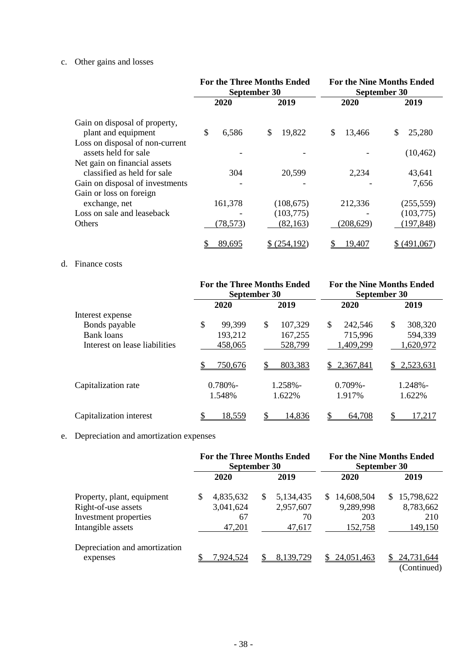## c. Other gains and losses

|                                                             | <b>For the Three Months Ended</b><br>September 30 |                          | <b>For the Nine Months Ended</b><br>September 30 |                          |  |
|-------------------------------------------------------------|---------------------------------------------------|--------------------------|--------------------------------------------------|--------------------------|--|
|                                                             | 2020                                              | 2019                     | 2020                                             | 2019                     |  |
| Gain on disposal of property,<br>plant and equipment        | \$<br>6,586                                       | 19,822<br>\$             | \$<br>13,466                                     | 25,280<br>\$             |  |
| Loss on disposal of non-current<br>assets held for sale     |                                                   |                          |                                                  | (10, 462)                |  |
| Net gain on financial assets<br>classified as held for sale | 304                                               | 20,599                   | 2,234                                            | 43,641                   |  |
| Gain on disposal of investments<br>Gain or loss on foreign  |                                                   |                          |                                                  | 7,656                    |  |
| exchange, net<br>Loss on sale and leaseback                 | 161,378                                           | (108, 675)<br>(103, 775) | 212,336                                          | (255, 559)<br>(103, 775) |  |
| <b>Others</b>                                               | (78, 573)                                         | (82, 163)                | (208, 629)                                       | (197, 848)               |  |
|                                                             | 89,695                                            | \$(254,192)              | 19,407                                           | \$ (491,067)             |  |

#### d. Finance costs

|                               |                      | <b>For the Three Months Ended</b><br>September 30 | <b>For the Nine Months Ended</b><br>September 30 |                      |  |
|-------------------------------|----------------------|---------------------------------------------------|--------------------------------------------------|----------------------|--|
|                               | 2020                 | 2019                                              | 2020                                             | 2019                 |  |
| Interest expense              |                      |                                                   |                                                  |                      |  |
| Bonds payable                 | \$<br>99,399         | \$.<br>107,329                                    | \$<br>242,546                                    | \$<br>308,320        |  |
| <b>Bank loans</b>             | 193,212              | 167,255                                           | 715,996                                          | 594,339              |  |
| Interest on lease liabilities | 458,065              | 528,799                                           | ,409,299                                         | 1,620,972            |  |
|                               | <u>750,676</u>       | 803,383                                           | 2,367,841<br>\$.                                 | 2,523,631<br>\$.     |  |
| Capitalization rate           | $0.780% -$<br>1.548% | $1.258\%$ -<br>1.622%                             | $0.709\%$ -<br>1.917%                            | $1.248% -$<br>1.622% |  |
| Capitalization interest       | 18,559               | 14,836                                            | 64,708                                           | S<br>17.217          |  |

# e. Depreciation and amortization expenses

|                                                                                                 | <b>For the Three Months Ended</b><br>September 30 |                                        |    | <b>For the Nine Months Ended</b><br>September 30 |     |                                           |    |                                           |
|-------------------------------------------------------------------------------------------------|---------------------------------------------------|----------------------------------------|----|--------------------------------------------------|-----|-------------------------------------------|----|-------------------------------------------|
|                                                                                                 |                                                   | <b>2020</b>                            |    | 2019                                             |     | <b>2020</b>                               |    | 2019                                      |
| Property, plant, equipment<br>Right-of-use assets<br>Investment properties<br>Intangible assets | S                                                 | 4,835,632<br>3,041,624<br>67<br>47,201 | \$ | 5,134,435<br>2,957,607<br>70<br>47,617           | \$. | 14,608,504<br>9,289,998<br>203<br>152,758 | S. | 15,798,622<br>8,783,662<br>210<br>149,150 |
| Depreciation and amortization<br>expenses                                                       |                                                   | 7,924,524                              |    | 8,139,729                                        |     | 24,051,463                                |    | 24,731,644<br>(Continued)                 |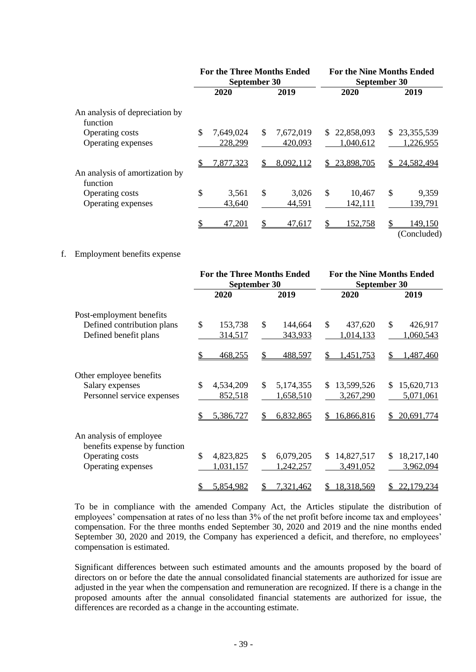|                                              |                            | <b>For the Three Months Ended</b><br>September 30 | <b>For the Nine Months Ended</b><br>September 30 |                                 |  |
|----------------------------------------------|----------------------------|---------------------------------------------------|--------------------------------------------------|---------------------------------|--|
|                                              | 2020                       | 2019                                              | 2020                                             | 2019                            |  |
| An analysis of depreciation by<br>function   |                            |                                                   |                                                  |                                 |  |
| Operating costs<br>Operating expenses        | \$<br>7,649,024<br>228,299 | \$<br>7,672,019<br>420,093                        | 22,858,093<br>S.<br>1,040,612                    | 23, 355, 539<br>S.<br>1,226,955 |  |
| An analysis of amortization by<br>function   | 7,877,323<br>S             | 8,092,112<br>S.                                   | 23,898,705<br>S.                                 | 24,582,494<br>S.                |  |
| <b>Operating costs</b><br>Operating expenses | \$<br>3,561<br>43,640      | \$<br>3,026<br>44,591                             | \$<br>10,467<br>142,111                          | \$<br>9,359<br>139,791          |  |
|                                              | 47,201                     | 47,617                                            | 152,758                                          | 149,150<br>(Concluded)          |  |

#### f. Employment benefits expense

|                                                         | September 30               | <b>For the Three Months Ended</b> | <b>For the Nine Months Ended</b><br>September 30 |                   |  |
|---------------------------------------------------------|----------------------------|-----------------------------------|--------------------------------------------------|-------------------|--|
|                                                         | 2020                       | 2019                              | 2020                                             | 2019              |  |
| Post-employment benefits                                |                            |                                   |                                                  |                   |  |
| Defined contribution plans                              | \$<br>153,738              | $\mathcal{S}$<br>144,664          | \$<br>437,620                                    | \$<br>426,917     |  |
| Defined benefit plans                                   | 314,517                    | 343,933                           | 1,014,133                                        | 1,060,543         |  |
|                                                         | 468,255                    | \$<br>488,597                     | 1,451,753<br>S                                   | ,487,460<br>\$    |  |
| Other employee benefits                                 |                            |                                   |                                                  |                   |  |
| Salary expenses                                         | $\mathcal{S}$<br>4,534,209 | $\mathbb{S}$<br>5,174,355         | 13,599,526<br>\$.                                | 15,620,713<br>\$. |  |
| Personnel service expenses                              | 852,518                    | 1,658,510                         | 3,267,290                                        | 5,071,061         |  |
|                                                         | 5,386,727                  | \$<br>6,832,865                   | 16,866,816<br>\$                                 | 20,691,774<br>\$  |  |
| An analysis of employee<br>benefits expense by function |                            |                                   |                                                  |                   |  |
| Operating costs                                         | $\mathcal{S}$<br>4,823,825 | \$<br>6,079,205                   | 14,827,517<br>\$                                 | 18,217,140<br>\$  |  |
| Operating expenses                                      | 1,031,157                  | 1,242,257                         | 3,491,052                                        | 3,962,094         |  |
|                                                         | 5,854,982                  | 7,321,462<br>\$                   | 18,318,569<br>S                                  | 22,179,234<br>S   |  |

To be in compliance with the amended Company Act, the Articles stipulate the distribution of employees' compensation at rates of no less than 3% of the net profit before income tax and employees' compensation. For the three months ended September 30, 2020 and 2019 and the nine months ended September 30, 2020 and 2019, the Company has experienced a deficit, and therefore, no employees' compensation is estimated.

Significant differences between such estimated amounts and the amounts proposed by the board of directors on or before the date the annual consolidated financial statements are authorized for issue are adjusted in the year when the compensation and remuneration are recognized. If there is a change in the proposed amounts after the annual consolidated financial statements are authorized for issue, the differences are recorded as a change in the accounting estimate.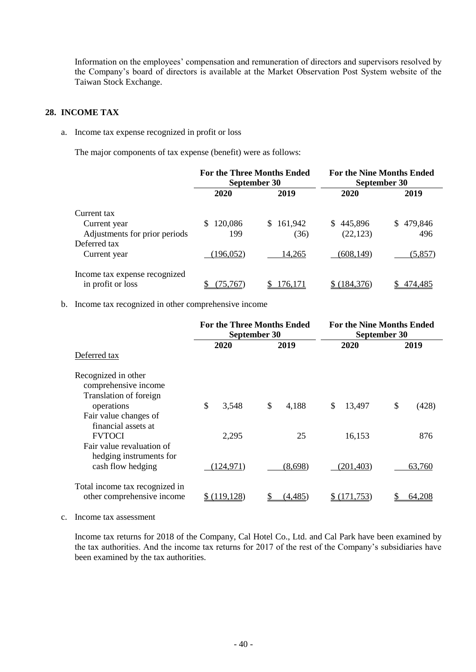Information on the employees' compensation and remuneration of directors and supervisors resolved by the Company's board of directors is available at the Market Observation Post System website of the Taiwan Stock Exchange.

#### **28. INCOME TAX**

a. Income tax expense recognized in profit or loss

The major components of tax expense (benefit) were as follows:

|                                                    | <b>For the Three Months Ended</b><br>September 30 |                | <b>For the Nine Months Ended</b><br>September 30 |                |  |
|----------------------------------------------------|---------------------------------------------------|----------------|--------------------------------------------------|----------------|--|
|                                                    | 2020                                              | 2019           | 2020                                             | 2019           |  |
| Current tax                                        |                                                   |                |                                                  |                |  |
| Current year                                       | 120,086<br>\$.                                    | 161,942<br>\$. | 445,896<br>S.                                    | 479,846<br>\$. |  |
| Adjustments for prior periods                      | 199                                               | (36)           | (22, 123)                                        | 496            |  |
| Deferred tax                                       |                                                   |                |                                                  |                |  |
| Current year                                       | 196,052)                                          | 14.265         | (608,149)                                        | (5, 857)       |  |
| Income tax expense recognized<br>in profit or loss | 75.767                                            | 176,171        | (184, 376)                                       | 474,485        |  |

#### b. Income tax recognized in other comprehensive income

|                                                      | <b>For the Three Months Ended</b><br>September 30 |             | <b>For the Nine Months Ended</b><br><b>September 30</b> |             |  |
|------------------------------------------------------|---------------------------------------------------|-------------|---------------------------------------------------------|-------------|--|
| Deferred tax                                         | 2020                                              | 2019        | 2020                                                    | 2019        |  |
|                                                      |                                                   |             |                                                         |             |  |
| Recognized in other<br>comprehensive income          |                                                   |             |                                                         |             |  |
| Translation of foreign                               |                                                   |             |                                                         |             |  |
| operations                                           | \$<br>3,548                                       | \$<br>4,188 | \$<br>13,497                                            | \$<br>(428) |  |
| Fair value changes of                                |                                                   |             |                                                         |             |  |
| financial assets at                                  |                                                   |             |                                                         |             |  |
| <b>FVTOCI</b>                                        | 2,295                                             | 25          | 16,153                                                  | 876         |  |
| Fair value revaluation of<br>hedging instruments for |                                                   |             |                                                         |             |  |
| cash flow hedging                                    | 124,971)                                          | (8,698)     | (201, 403)                                              | 63,760      |  |
| Total income tax recognized in                       |                                                   |             |                                                         |             |  |
| other comprehensive income                           | \$(119,128)                                       | (4,485)     | \$(171, 753)                                            | 64.208      |  |

c. Income tax assessment

Income tax returns for 2018 of the Company, Cal Hotel Co., Ltd. and Cal Park have been examined by the tax authorities. And the income tax returns for 2017 of the rest of the Company's subsidiaries have been examined by the tax authorities.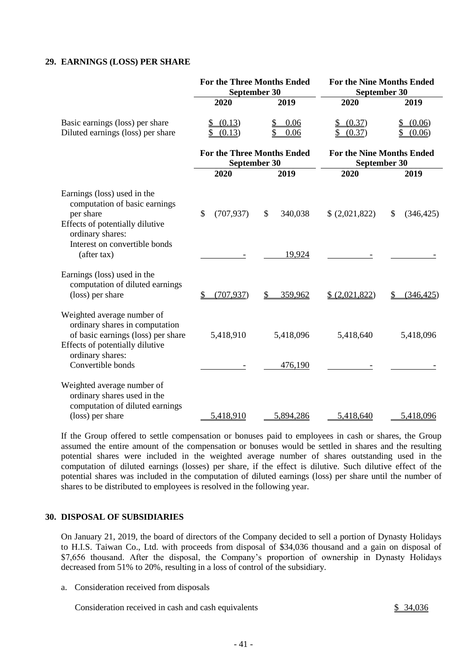#### **29. EARNINGS (LOSS) PER SHARE**

|                                                                                                                                                                                | <b>For the Three Months Ended</b><br>September 30 |                          | <b>For the Nine Months Ended</b><br>September 30 |                  |  |
|--------------------------------------------------------------------------------------------------------------------------------------------------------------------------------|---------------------------------------------------|--------------------------|--------------------------------------------------|------------------|--|
|                                                                                                                                                                                | 2020                                              | 2019                     | 2020                                             | 2019             |  |
| Basic earnings (loss) per share<br>Diluted earnings (loss) per share                                                                                                           | (0.13)<br>(0.13)                                  | 0.06<br>\$<br>0.06       | (0.37)<br>\$<br>(0.37)                           | (0.06)<br>(0.06) |  |
|                                                                                                                                                                                | <b>For the Three Months Ended</b><br>September 30 |                          | <b>For the Nine Months Ended</b><br>September 30 |                  |  |
|                                                                                                                                                                                | 2020                                              | 2019                     | 2020                                             | 2019             |  |
| Earnings (loss) used in the<br>computation of basic earnings<br>per share<br>Effects of potentially dilutive<br>ordinary shares:<br>Interest on convertible bonds              | \$<br>(707, 937)                                  | \$<br>340,038            | \$ (2,021,822)                                   | \$<br>(346, 425) |  |
| (after tax)                                                                                                                                                                    |                                                   | 19,924                   |                                                  |                  |  |
| Earnings (loss) used in the<br>computation of diluted earnings<br>(loss) per share                                                                                             | $\mathcal{S}$<br>(707.937)                        | $\mathcal{S}$<br>359,962 | \$ (2,021,822)                                   | (346, 425)<br>\$ |  |
| Weighted average number of<br>ordinary shares in computation<br>of basic earnings (loss) per share<br>Effects of potentially dilutive<br>ordinary shares:<br>Convertible bonds | 5,418,910                                         | 5,418,096<br>476,190     | 5,418,640                                        | 5,418,096        |  |
|                                                                                                                                                                                |                                                   |                          |                                                  |                  |  |
| Weighted average number of<br>ordinary shares used in the<br>computation of diluted earnings<br>(loss) per share                                                               | 5,418,910                                         | 5,894,286                | 5,418,640                                        | 5,418,096        |  |

If the Group offered to settle compensation or bonuses paid to employees in cash or shares, the Group assumed the entire amount of the compensation or bonuses would be settled in shares and the resulting potential shares were included in the weighted average number of shares outstanding used in the computation of diluted earnings (losses) per share, if the effect is dilutive. Such dilutive effect of the potential shares was included in the computation of diluted earnings (loss) per share until the number of shares to be distributed to employees is resolved in the following year.

#### **30. DISPOSAL OF SUBSIDIARIES**

On January 21, 2019, the board of directors of the Company decided to sell a portion of Dynasty Holidays to H.I.S. Taiwan Co., Ltd. with proceeds from disposal of \$34,036 thousand and a gain on disposal of \$7,656 thousand. After the disposal, the Company's proportion of ownership in Dynasty Holidays decreased from 51% to 20%, resulting in a loss of control of the subsidiary.

a. Consideration received from disposals

Consideration received in cash and cash equivalents \$ 34,036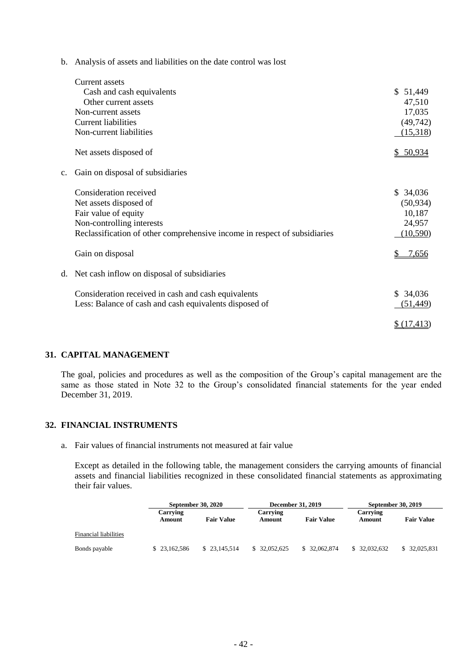b. Analysis of assets and liabilities on the date control was lost

| Current assets                                         |                                                                           |             |
|--------------------------------------------------------|---------------------------------------------------------------------------|-------------|
| Cash and cash equivalents                              |                                                                           | \$51,449    |
| Other current assets                                   |                                                                           | 47,510      |
| Non-current assets                                     |                                                                           | 17,035      |
| <b>Current liabilities</b>                             |                                                                           | (49, 742)   |
| Non-current liabilities                                |                                                                           | (15,318)    |
| Net assets disposed of                                 |                                                                           | \$50,934    |
| Gain on disposal of subsidiaries<br>c.                 |                                                                           |             |
| Consideration received                                 |                                                                           | \$34,036    |
| Net assets disposed of                                 |                                                                           | (50, 934)   |
| Fair value of equity                                   |                                                                           | 10,187      |
| Non-controlling interests                              |                                                                           | 24,957      |
|                                                        | Reclassification of other comprehensive income in respect of subsidiaries | (10, 590)   |
| Gain on disposal                                       |                                                                           | 7,656       |
| Net cash inflow on disposal of subsidiaries<br>d.      |                                                                           |             |
| Consideration received in cash and cash equivalents    |                                                                           | \$34,036    |
| Less: Balance of cash and cash equivalents disposed of |                                                                           | (51, 449)   |
|                                                        |                                                                           | \$(17, 413) |

#### **31. CAPITAL MANAGEMENT**

The goal, policies and procedures as well as the composition of the Group's capital management are the same as those stated in Note 32 to the Group's consolidated financial statements for the year ended December 31, 2019.

#### **32. FINANCIAL INSTRUMENTS**

a. Fair values of financial instruments not measured at fair value

Except as detailed in the following table, the management considers the carrying amounts of financial assets and financial liabilities recognized in these consolidated financial statements as approximating their fair values.

|                       |                    | September 30, 2020 |                    | <b>December 31, 2019</b> | September 30, 2019 |                   |
|-----------------------|--------------------|--------------------|--------------------|--------------------------|--------------------|-------------------|
|                       | Carrying<br>Amount | <b>Fair Value</b>  | Carrying<br>Amount | <b>Fair Value</b>        | Carrying<br>Amount | <b>Fair Value</b> |
| Financial liabilities |                    |                    |                    |                          |                    |                   |
| Bonds payable         | \$23,162,586       | \$ 23,145,514      | \$ 32,052,625      | \$ 32,062,874            | \$ 32,032,632      | \$ 32,025,831     |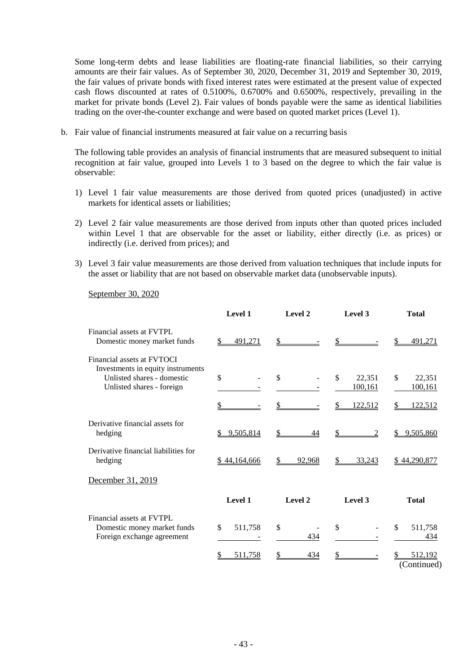Some long-term debts and lease liabilities are floating-rate financial liabilities, so their carrying amounts are their fair values. As of September 30, 2020, December 31, 2019 and September 30, 2019, the fair values of private bonds with fixed interest rates were estimated at the present value of expected cash flows discounted at rates of 0.5100%, 0.6700% and 0.6500%, respectively, prevailing in the market for private bonds (Level 2). Fair values of bonds payable were the same as identical liabilities trading on the over-the-counter exchange and were based on quoted market prices (Level 1).

b. Fair value of financial instruments measured at fair value on a recurring basis

The following table provides an analysis of financial instruments that are measured subsequent to initial recognition at fair value, grouped into Levels 1 to 3 based on the degree to which the fair value is observable:

- 1) Level 1 fair value measurements are those derived from quoted prices (unadjusted) in active markets for identical assets or liabilities;
- 2) Level 2 fair value measurements are those derived from inputs other than quoted prices included within Level 1 that are observable for the asset or liability, either directly (i.e. as prices) or indirectly (i.e. derived from prices); and
- 3) Level 3 fair value measurements are those derived from valuation techniques that include inputs for the asset or liability that are not based on observable market data (unobservable inputs).

September 30, 2020

|                                                                                                                            | Level 1             | Level 2             | Level 3                             | <b>Total</b>                                    |  |
|----------------------------------------------------------------------------------------------------------------------------|---------------------|---------------------|-------------------------------------|-------------------------------------------------|--|
| Financial assets at FVTPL<br>Domestic money market funds                                                                   | 491,271             | \$                  |                                     | 491,271                                         |  |
| Financial assets at FVTOCI<br>Investments in equity instruments<br>Unlisted shares - domestic<br>Unlisted shares - foreign | $\mathcal{S}$<br>\$ | $\mathcal{S}$<br>\$ | \$<br>22,351<br>100, 161<br>122,512 | \$<br>22,351<br>100, 161<br><u>122,512</u><br>S |  |
| Derivative financial assets for<br>hedging                                                                                 | 9,505,814<br>S.     | \$<br>44            | \$<br>2                             | 9,505,860<br>S                                  |  |
| Derivative financial liabilities for<br>hedging                                                                            | \$44,164,666        | \$<br>92,968        | 33,243<br>\$                        | \$44,290,877                                    |  |
| December 31, 2019                                                                                                          |                     |                     |                                     |                                                 |  |
|                                                                                                                            | Level 1             | Level 2             | Level 3                             | <b>Total</b>                                    |  |
| Financial assets at FVTPL<br>Domestic money market funds<br>Foreign exchange agreement                                     | \$<br>511,758       | \$<br>434           | \$                                  | \$<br>511,758<br>434                            |  |
|                                                                                                                            | 511,758             | \$<br>434           |                                     | 512,192<br>(Continued)                          |  |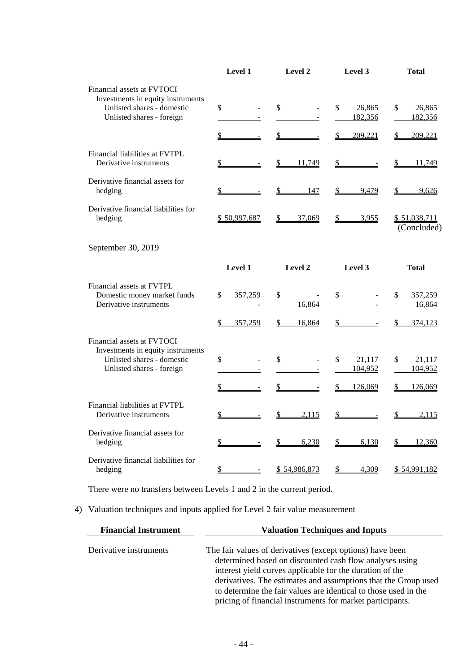|                                                                                                                            | Level 1       | Level 2                       | Level 3                  | <b>Total</b>                |
|----------------------------------------------------------------------------------------------------------------------------|---------------|-------------------------------|--------------------------|-----------------------------|
| Financial assets at FVTOCI<br>Investments in equity instruments<br>Unlisted shares - domestic<br>Unlisted shares - foreign | \$            | \$                            | \$<br>26,865<br>182,356  | \$<br>26,865<br>182,356     |
|                                                                                                                            | \$            | \$                            | \$<br>209,221            | 209,221<br>\$               |
| Financial liabilities at FVTPL<br>Derivative instruments                                                                   | \$            | \$<br>11,749                  | \$                       | \$<br>11,749                |
| Derivative financial assets for<br>hedging                                                                                 | \$            | $\mathbf{\mathcal{S}}$<br>147 | \$<br>9,479              | \$<br>9,626                 |
| Derivative financial liabilities for<br>hedging                                                                            | \$50,997,687  | 37,069<br>\$                  | \$<br>3,955              | \$51,038,711<br>(Concluded) |
| September 30, 2019                                                                                                         |               |                               |                          |                             |
|                                                                                                                            | Level 1       | Level 2                       | Level 3                  | <b>Total</b>                |
| Financial assets at FVTPL<br>Domestic money market funds<br>Derivative instruments                                         | \$<br>357,259 | \$<br>16,864                  | \$<br>$\blacksquare$     | \$<br>357,259<br>16,864     |
|                                                                                                                            | \$<br>357,259 | \$<br>16,864                  |                          | $\frac{1}{2}$<br>374,123    |
| Financial assets at FVTOCI<br>Investments in equity instruments<br>Unlisted shares - domestic<br>Unlisted shares - foreign | \$            | \$                            | \$<br>21,117<br>104,952  | 21,117<br>\$<br>104,952     |
|                                                                                                                            | \$            | \$                            | $\frac{1}{2}$<br>126,069 | $\mathcal{L}$<br>126,069    |
| Financial liabilities at FVTPL<br>Derivative instruments                                                                   | \$            | $\mathcal{L}$<br>2,115        | \$                       | 2,115<br>\$                 |
| Derivative financial assets for<br>hedging                                                                                 | \$            | $\frac{1}{2}$<br>6,230        | \$<br>6,130              | \$<br>12,360                |
| Derivative financial liabilities for<br>hedging                                                                            | $\frac{1}{2}$ | \$54,986,873                  | $\mathbb{S}$<br>4,309    | \$54,991,182                |

There were no transfers between Levels 1 and 2 in the current period.

## 4) Valuation techniques and inputs applied for Level 2 fair value measurement

| <b>Financial Instrument</b> | <b>Valuation Techniques and Inputs</b>                                                                                                                                                                                                                                                                                                                                             |  |  |  |  |
|-----------------------------|------------------------------------------------------------------------------------------------------------------------------------------------------------------------------------------------------------------------------------------------------------------------------------------------------------------------------------------------------------------------------------|--|--|--|--|
| Derivative instruments      | The fair values of derivatives (except options) have been<br>determined based on discounted cash flow analyses using<br>interest yield curves applicable for the duration of the<br>derivatives. The estimates and assumptions that the Group used<br>to determine the fair values are identical to those used in the<br>pricing of financial instruments for market participants. |  |  |  |  |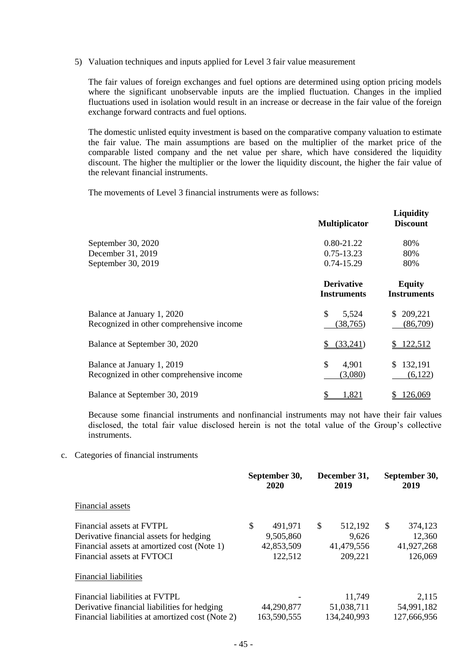5) Valuation techniques and inputs applied for Level 3 fair value measurement

The fair values of foreign exchanges and fuel options are determined using option pricing models where the significant unobservable inputs are the implied fluctuation. Changes in the implied fluctuations used in isolation would result in an increase or decrease in the fair value of the foreign exchange forward contracts and fuel options.

The domestic unlisted equity investment is based on the comparative company valuation to estimate the fair value. The main assumptions are based on the multiplier of the market price of the comparable listed company and the net value per share, which have considered the liquidity discount. The higher the multiplier or the lower the liquidity discount, the higher the fair value of the relevant financial instruments.

The movements of Level 3 financial instruments were as follows:

|                                                                        | <b>Multiplicator</b>                    | <b>Liquidity</b><br><b>Discount</b> |
|------------------------------------------------------------------------|-----------------------------------------|-------------------------------------|
| September 30, 2020                                                     | 0.80-21.22                              | 80%                                 |
| December 31, 2019                                                      | $0.75 - 13.23$                          | 80%                                 |
| September 30, 2019                                                     | 0.74-15.29                              | 80%                                 |
|                                                                        | <b>Derivative</b><br><b>Instruments</b> | <b>Equity</b><br><b>Instruments</b> |
| Balance at January 1, 2020<br>Recognized in other comprehensive income | \$<br>5,524<br>(38, 765)                | 209,221<br>\$.<br>(86,709)          |
| Balance at September 30, 2020                                          | (33,241)                                | 122,512                             |
| Balance at January 1, 2019<br>Recognized in other comprehensive income | \$<br>4,901<br>(3,080)                  | 132,191<br>S<br>(6,122)             |
| Balance at September 30, 2019                                          | 1,821                                   | 126,069                             |

Because some financial instruments and nonfinancial instruments may not have their fair values disclosed, the total fair value disclosed herein is not the total value of the Group's collective instruments.

c. Categories of financial instruments

|                                                  |    | September 30,<br>2020 |    | December 31,<br>2019 |    | September 30,<br>2019 |  |
|--------------------------------------------------|----|-----------------------|----|----------------------|----|-----------------------|--|
| Financial assets                                 |    |                       |    |                      |    |                       |  |
| Financial assets at FVTPL                        | \$ | 491,971               | \$ | 512,192              | \$ | 374,123               |  |
| Derivative financial assets for hedging          |    | 9,505,860             |    | 9,626                |    | 12,360                |  |
| Financial assets at amortized cost (Note 1)      |    | 42,853,509            |    | 41,479,556           |    | 41,927,268            |  |
| Financial assets at FVTOCI                       |    | 122,512               |    | 209,221              |    | 126,069               |  |
| <b>Financial liabilities</b>                     |    |                       |    |                      |    |                       |  |
| Financial liabilities at FVTPL                   |    |                       |    | 11,749               |    | 2,115                 |  |
| Derivative financial liabilities for hedging     |    | 44,290,877            |    | 51,038,711           |    | 54,991,182            |  |
| Financial liabilities at amortized cost (Note 2) |    | 163,590,555           |    | 134,240,993          |    | 127,666,956           |  |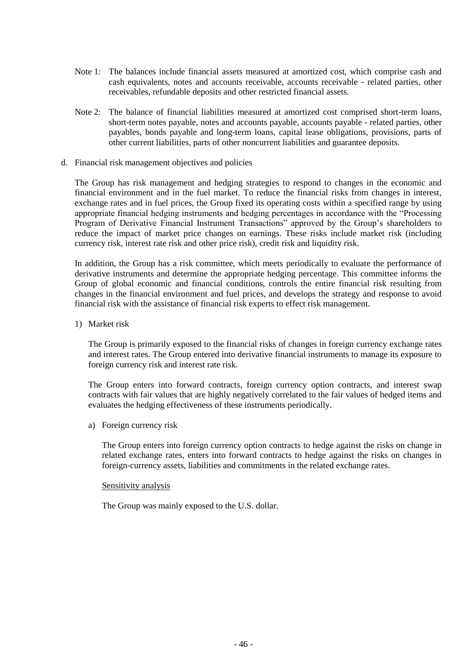- Note 1: The balances include financial assets measured at amortized cost, which comprise cash and cash equivalents, notes and accounts receivable, accounts receivable - related parties, other receivables, refundable deposits and other restricted financial assets.
- Note 2: The balance of financial liabilities measured at amortized cost comprised short-term loans, short-term notes payable, notes and accounts payable, accounts payable - related parties, other payables, bonds payable and long-term loans, capital lease obligations, provisions, parts of other current liabilities, parts of other noncurrent liabilities and guarantee deposits.
- d. Financial risk management objectives and policies

The Group has risk management and hedging strategies to respond to changes in the economic and financial environment and in the fuel market. To reduce the financial risks from changes in interest, exchange rates and in fuel prices, the Group fixed its operating costs within a specified range by using appropriate financial hedging instruments and hedging percentages in accordance with the "Processing Program of Derivative Financial Instrument Transactions" approved by the Group's shareholders to reduce the impact of market price changes on earnings. These risks include market risk (including currency risk, interest rate risk and other price risk), credit risk and liquidity risk.

In addition, the Group has a risk committee, which meets periodically to evaluate the performance of derivative instruments and determine the appropriate hedging percentage. This committee informs the Group of global economic and financial conditions, controls the entire financial risk resulting from changes in the financial environment and fuel prices, and develops the strategy and response to avoid financial risk with the assistance of financial risk experts to effect risk management.

1) Market risk

The Group is primarily exposed to the financial risks of changes in foreign currency exchange rates and interest rates. The Group entered into derivative financial instruments to manage its exposure to foreign currency risk and interest rate risk.

The Group enters into forward contracts, foreign currency option contracts, and interest swap contracts with fair values that are highly negatively correlated to the fair values of hedged items and evaluates the hedging effectiveness of these instruments periodically.

a) Foreign currency risk

The Group enters into foreign currency option contracts to hedge against the risks on change in related exchange rates, enters into forward contracts to hedge against the risks on changes in foreign-currency assets, liabilities and commitments in the related exchange rates.

#### Sensitivity analysis

The Group was mainly exposed to the U.S. dollar.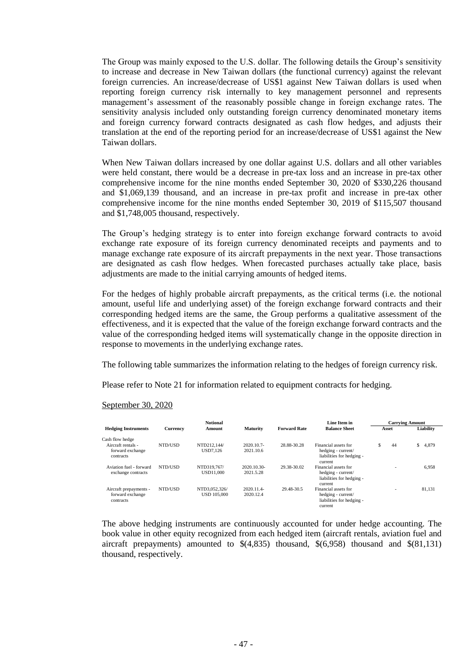The Group was mainly exposed to the U.S. dollar. The following details the Group's sensitivity to increase and decrease in New Taiwan dollars (the functional currency) against the relevant foreign currencies. An increase/decrease of US\$1 against New Taiwan dollars is used when reporting foreign currency risk internally to key management personnel and represents management's assessment of the reasonably possible change in foreign exchange rates. The sensitivity analysis included only outstanding foreign currency denominated monetary items and foreign currency forward contracts designated as cash flow hedges, and adjusts their translation at the end of the reporting period for an increase/decrease of US\$1 against the New Taiwan dollars.

When New Taiwan dollars increased by one dollar against U.S. dollars and all other variables were held constant, there would be a decrease in pre-tax loss and an increase in pre-tax other comprehensive income for the nine months ended September 30, 2020 of \$330,226 thousand and \$1,069,139 thousand, and an increase in pre-tax profit and increase in pre-tax other comprehensive income for the nine months ended September 30, 2019 of \$115,507 thousand and \$1,748,005 thousand, respectively.

The Group's hedging strategy is to enter into foreign exchange forward contracts to avoid exchange rate exposure of its foreign currency denominated receipts and payments and to manage exchange rate exposure of its aircraft prepayments in the next year. Those transactions are designated as cash flow hedges. When forecasted purchases actually take place, basis adjustments are made to the initial carrying amounts of hedged items.

For the hedges of highly probable aircraft prepayments, as the critical terms (i.e. the notional amount, useful life and underlying asset) of the foreign exchange forward contracts and their corresponding hedged items are the same, the Group performs a qualitative assessment of the effectiveness, and it is expected that the value of the foreign exchange forward contracts and the value of the corresponding hedged items will systematically change in the opposite direction in response to movements in the underlying exchange rates.

The following table summarizes the information relating to the hedges of foreign currency risk.

Please refer to Note 21 for information related to equipment contracts for hedging.

#### September 30, 2020

|                            |          | <b>Notional</b>    |                 |                     | Line Item in              | <b>Carrying Amount</b> |                          |             |
|----------------------------|----------|--------------------|-----------------|---------------------|---------------------------|------------------------|--------------------------|-------------|
| <b>Hedging Instruments</b> | Currency | Amount             | <b>Maturity</b> | <b>Forward Rate</b> | <b>Balance Sheet</b>      |                        | Asset                    | Liability   |
| Cash flow hedge            |          |                    |                 |                     |                           |                        |                          |             |
| Aircraft rentals -         | NTD/USD  | NTD212.144/        | 2020.10.7-      | 28.88-30.28         | Financial assets for      | S                      | 44                       | \$<br>4,879 |
| forward exchange           |          | USD7.126           | 2021.10.6       |                     | hedging - current/        |                        |                          |             |
| contracts                  |          |                    |                 |                     | liabilities for hedging - |                        |                          |             |
|                            |          |                    |                 |                     | current                   |                        |                          |             |
| Aviation fuel - forward    | NTD/USD  | NTD319.767/        | 2020.10.30-     | 29.38-30.02         | Financial assets for      |                        |                          | 6.958       |
| exchange contracts         |          | USD11,000          | 2021.5.28       |                     | hedging - current/        |                        |                          |             |
|                            |          |                    |                 |                     | liabilities for hedging - |                        |                          |             |
|                            |          |                    |                 |                     | current                   |                        |                          |             |
| Aircraft prepayments -     | NTD/USD  | NTD3.052.326/      | 2020.11.4       | 29.48-30.5          | Financial assets for      |                        | $\overline{\phantom{a}}$ | 81.131      |
| forward exchange           |          | <b>USD 105,000</b> | 2020.12.4       |                     | hedging - current/        |                        |                          |             |
| contracts                  |          |                    |                 |                     | liabilities for hedging - |                        |                          |             |
|                            |          |                    |                 |                     | current                   |                        |                          |             |

The above hedging instruments are continuously accounted for under hedge accounting. The book value in other equity recognized from each hedged item (aircraft rentals, aviation fuel and aircraft prepayments) amounted to  $\frac{1}{2}(4,835)$  thousand,  $\frac{1}{2}(6,958)$  thousand and  $\frac{1}{2}(81,131)$ thousand, respectively.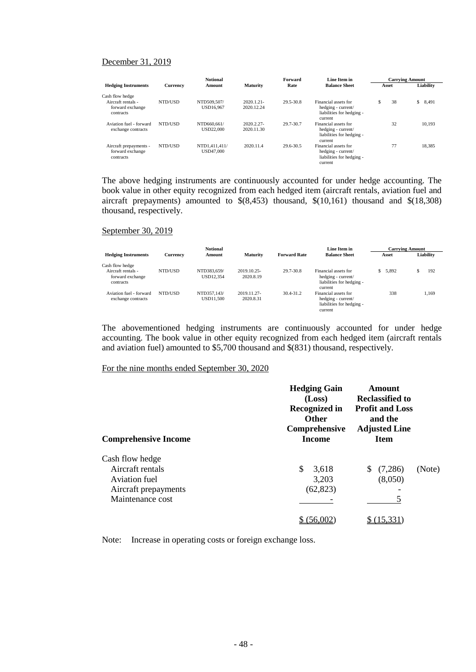#### December 31, 2019

|                                                         |          | <b>Notional</b>                   |                             |           | Line Item in<br>Forward                                                            |       | <b>Carrying Amount</b> |             |  |
|---------------------------------------------------------|----------|-----------------------------------|-----------------------------|-----------|------------------------------------------------------------------------------------|-------|------------------------|-------------|--|
| <b>Hedging Instruments</b>                              | Currency | Amount                            | <b>Maturity</b>             | Rate      | <b>Balance Sheet</b>                                                               | Asset |                        | Liability   |  |
| Cash flow hedge                                         |          |                                   |                             |           |                                                                                    |       |                        |             |  |
| Aircraft rentals -<br>forward exchange<br>contracts     | NTD/USD  | NTD509.507/<br>USD16,967          | $2020.1.21 -$<br>2020.12.24 | 29.5-30.8 | Financial assets for<br>hedging - current/<br>liabilities for hedging -<br>current | Ŝ     | 38                     | \$<br>8,491 |  |
| Aviation fuel - forward<br>exchange contracts           | NTD/USD  | NTD660.661/<br>USD22,000          | 2020.2.27-<br>2020.11.30    | 29.7-30.7 | Financial assets for<br>hedging - current/<br>liabilities for hedging -<br>current |       | 32                     | 10.193      |  |
| Aircraft prepayments -<br>forward exchange<br>contracts | NTD/USD  | NTD1.411.411/<br><b>USD47,000</b> | 2020.11.4                   | 29.6-30.5 | Financial assets for<br>hedging - current/<br>liabilities for hedging -<br>current |       | 77                     | 18.385      |  |

The above hedging instruments are continuously accounted for under hedge accounting. The book value in other equity recognized from each hedged item (aircraft rentals, aviation fuel and aircraft prepayments) amounted to \$(8,453) thousand, \$(10,161) thousand and \$(18,308) thousand, respectively.

#### September 30, 2019

|                                                     |                 | <b>Notional</b>          |                          |                     | Line Item in                                                                       | <b>Carrying Amount</b> |           |  |
|-----------------------------------------------------|-----------------|--------------------------|--------------------------|---------------------|------------------------------------------------------------------------------------|------------------------|-----------|--|
| <b>Hedging Instruments</b>                          | <b>Currency</b> | Amount                   | <b>Maturity</b>          | <b>Forward Rate</b> | <b>Balance Sheet</b>                                                               | Asset                  | Liability |  |
| Cash flow hedge                                     |                 |                          |                          |                     |                                                                                    |                        |           |  |
| Aircraft rentals -<br>forward exchange<br>contracts | NTD/USD         | NTD383.659/<br>USD12.354 | 2019.10.25-<br>2020.8.19 | 29.7-30.8           | Financial assets for<br>hedging - current/<br>liabilities for hedging -<br>current | 5.892<br>S.            | 192       |  |
| Aviation fuel - forward<br>exchange contracts       | NTD/USD         | NTD357.143/<br>USD11.500 | 2019.11.27-<br>2020.8.31 | 30.4-31.2           | Financial assets for<br>hedging - current/<br>liabilities for hedging -<br>current | 338                    | 1.169     |  |

The abovementioned hedging instruments are continuously accounted for under hedge accounting. The book value in other equity recognized from each hedged item (aircraft rentals and aviation fuel) amounted to \$5,700 thousand and \$(831) thousand, respectively.

#### For the nine months ended September 30, 2020

| <b>Comprehensive Income</b>                                                                      | <b>Hedging Gain</b><br>(Loss)<br><b>Recognized in</b><br><b>Other</b><br>Comprehensive<br><b>Income</b> | Amount<br><b>Reclassified to</b><br><b>Profit and Loss</b><br>and the<br><b>Adjusted Line</b><br><b>Item</b> |        |
|--------------------------------------------------------------------------------------------------|---------------------------------------------------------------------------------------------------------|--------------------------------------------------------------------------------------------------------------|--------|
| Cash flow hedge<br>Aircraft rentals<br>Aviation fuel<br>Aircraft prepayments<br>Maintenance cost | \$<br>3,618<br>3,203<br>(62, 823)                                                                       | (7,286)<br>S.<br>(8,050)                                                                                     | (Note) |
|                                                                                                  |                                                                                                         |                                                                                                              |        |

Note: Increase in operating costs or foreign exchange loss.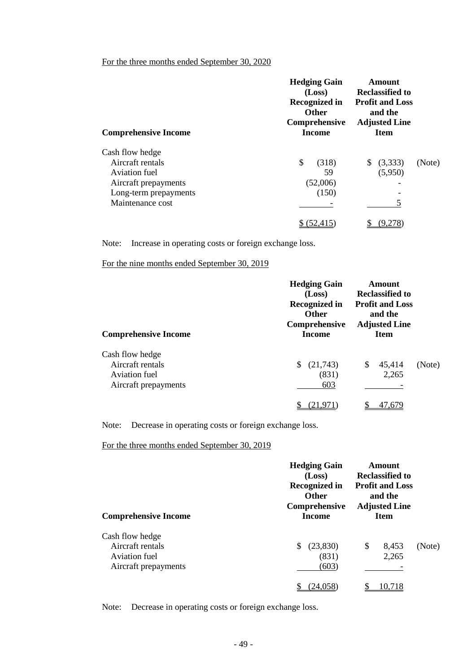#### For the three months ended September 30, 2020

| <b>Comprehensive Income</b> | <b>Hedging Gain</b><br>(Loss)<br><b>Recognized in</b><br><b>Other</b><br>Comprehensive<br><b>Income</b> | Amount<br><b>Reclassified to</b><br><b>Profit and Loss</b><br>and the<br><b>Adjusted Line</b><br><b>Item</b> |
|-----------------------------|---------------------------------------------------------------------------------------------------------|--------------------------------------------------------------------------------------------------------------|
| Cash flow hedge             |                                                                                                         |                                                                                                              |
| Aircraft rentals            | \$<br>(318)                                                                                             | (3,333)<br>(Note)<br>S.                                                                                      |
| Aviation fuel               | 59                                                                                                      | (5,950)                                                                                                      |
| Aircraft prepayments        | (52,006)                                                                                                |                                                                                                              |
| Long-term prepayments       | (150)                                                                                                   |                                                                                                              |
| Maintenance cost            |                                                                                                         |                                                                                                              |
|                             |                                                                                                         |                                                                                                              |

Note: Increase in operating costs or foreign exchange loss.

For the nine months ended September 30, 2019

| <b>Comprehensive Income</b>                                                  | <b>Hedging Gain</b><br>(Loss)<br><b>Recognized in</b><br><b>Other</b><br>Comprehensive<br><b>Income</b> | Amount<br><b>Reclassified to</b><br><b>Profit and Loss</b><br>and the<br><b>Adjusted Line</b><br><b>Item</b> |        |
|------------------------------------------------------------------------------|---------------------------------------------------------------------------------------------------------|--------------------------------------------------------------------------------------------------------------|--------|
| Cash flow hedge<br>Aircraft rentals<br>Aviation fuel<br>Aircraft prepayments | (21,743)<br>\$<br>(831)<br>603<br>(21,9                                                                 | 45,414<br>\$<br>2,265<br>47,679                                                                              | (Note) |

Note: Decrease in operating costs or foreign exchange loss.

For the three months ended September 30, 2019

| <b>Comprehensive Income</b>                                                  | <b>Hedging Gain</b><br>(Loss)<br><b>Recognized in</b><br><b>Other</b><br>Comprehensive<br><b>Income</b> | Amount<br><b>Reclassified to</b><br><b>Profit and Loss</b><br>and the<br><b>Adjusted Line</b> |                |        |
|------------------------------------------------------------------------------|---------------------------------------------------------------------------------------------------------|-----------------------------------------------------------------------------------------------|----------------|--------|
| Cash flow hedge<br>Aircraft rentals<br>Aviation fuel<br>Aircraft prepayments | (23,830)<br>S<br>(831)<br>(603)<br>24.058                                                               | \$                                                                                            | 8,453<br>2,265 | (Note) |

Note: Decrease in operating costs or foreign exchange loss.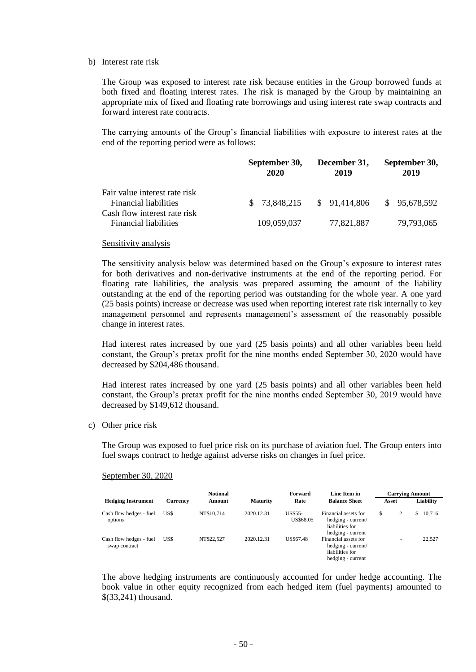#### b) Interest rate risk

The Group was exposed to interest rate risk because entities in the Group borrowed funds at both fixed and floating interest rates. The risk is managed by the Group by maintaining an appropriate mix of fixed and floating rate borrowings and using interest rate swap contracts and forward interest rate contracts.

The carrying amounts of the Group's financial liabilities with exposure to interest rates at the end of the reporting period were as follows:

|                                                                                               | September 30,<br>2020 | December 31,<br>2019 | September 30,<br>2019 |  |
|-----------------------------------------------------------------------------------------------|-----------------------|----------------------|-----------------------|--|
| Fair value interest rate risk<br><b>Financial liabilities</b><br>Cash flow interest rate risk | \$ 73,848,215         | \$91,414,806         | \$95,678,592          |  |
| Financial liabilities                                                                         | 109,059,037           | 77,821,887           | 79,793,065            |  |

#### Sensitivity analysis

The sensitivity analysis below was determined based on the Group's exposure to interest rates for both derivatives and non-derivative instruments at the end of the reporting period. For floating rate liabilities, the analysis was prepared assuming the amount of the liability outstanding at the end of the reporting period was outstanding for the whole year. A one yard (25 basis points) increase or decrease was used when reporting interest rate risk internally to key management personnel and represents management's assessment of the reasonably possible change in interest rates.

Had interest rates increased by one yard (25 basis points) and all other variables been held constant, the Group's pretax profit for the nine months ended September 30, 2020 would have decreased by \$204,486 thousand.

Had interest rates increased by one yard (25 basis points) and all other variables been held constant, the Group's pretax profit for the nine months ended September 30, 2019 would have decreased by \$149,612 thousand.

c) Other price risk

The Group was exposed to fuel price risk on its purchase of aviation fuel. The Group enters into fuel swaps contract to hedge against adverse risks on changes in fuel price.

#### September 30, 2020

|                                          |          | <b>Notional</b> |                 | Forward                     | Line Item in                                                                       |                          | <b>Carrying Amount</b> |
|------------------------------------------|----------|-----------------|-----------------|-----------------------------|------------------------------------------------------------------------------------|--------------------------|------------------------|
| <b>Hedging Instrument</b>                | Currency | Amount          | <b>Maturity</b> | Rate                        | <b>Balance Sheet</b>                                                               | Asset                    | Liability              |
| Cash flow hedges - fuel<br>options       | US\$     | NT\$10.714      | 2020.12.31      | <b>US\$55-</b><br>US\$68.05 | Financial assets for<br>hedging - current/<br>liabilities for<br>hedging - current | \$<br>2                  | 10.716<br>S            |
| Cash flow hedges - fuel<br>swap contract | US\$     | NT\$22.527      | 2020.12.31      | US\$67.48                   | Financial assets for<br>hedging - current/<br>liabilities for<br>hedging - current | $\overline{\phantom{a}}$ | 22,527                 |

The above hedging instruments are continuously accounted for under hedge accounting. The book value in other equity recognized from each hedged item (fuel payments) amounted to \$(33,241) thousand.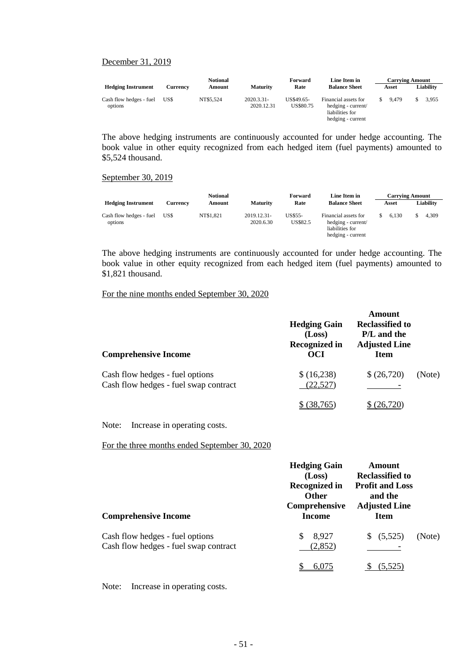#### December 31, 2019

| <b>Notional</b>                    |          |           | Forward                     |                         | Line Item in                                                                       | <b>Carrying Amount</b> |       |  |           |
|------------------------------------|----------|-----------|-----------------------------|-------------------------|------------------------------------------------------------------------------------|------------------------|-------|--|-----------|
| <b>Hedging Instrument</b>          | Currencv | Amount    | <b>Maturity</b>             | Rate                    | <b>Balance Sheet</b>                                                               |                        | Asset |  | Liability |
| Cash flow hedges - fuel<br>options | US\$     | NT\$5.524 | $2020.3.31 -$<br>2020.12.31 | US\$49.65-<br>US\$80.75 | Financial assets for<br>hedging - current/<br>liabilities for<br>hedging - current |                        | 9.479 |  | 3.955     |

The above hedging instruments are continuously accounted for under hedge accounting. The book value in other equity recognized from each hedged item (fuel payments) amounted to \$5,524 thousand.

#### September 30, 2019

|                                    |          | <b>Notional</b> |                          | Forward             | Line Item in                                                                       | <b>Carrying Amount</b> |       |  |           |
|------------------------------------|----------|-----------------|--------------------------|---------------------|------------------------------------------------------------------------------------|------------------------|-------|--|-----------|
| <b>Hedging Instrument</b>          | Currencv | Amount          | <b>Maturity</b>          | Rate                | <b>Balance Sheet</b>                                                               |                        | Asset |  | Liability |
| Cash flow hedges - fuel<br>options | US\$     | NT\$1,821       | 2019.12.31-<br>2020.6.30 | US\$55-<br>US\$82.5 | Financial assets for<br>hedging - current/<br>liabilities for<br>hedging - current |                        | 6.130 |  | 4,309     |

The above hedging instruments are continuously accounted for under hedge accounting. The book value in other equity recognized from each hedged item (fuel payments) amounted to \$1,821 thousand.

#### For the nine months ended September 30, 2020

| <b>Comprehensive Income</b>           | <b>Hedging Gain</b><br>(Loss)<br><b>Recognized in</b><br><b>OCI</b> | Amount<br>Reclassified to<br><b>P/L</b> and the<br><b>Adjusted Line</b><br><b>Item</b> |        |
|---------------------------------------|---------------------------------------------------------------------|----------------------------------------------------------------------------------------|--------|
| Cash flow hedges - fuel options       | \$ (16,238)                                                         | \$ (26,720)                                                                            | (Note) |
| Cash flow hedges - fuel swap contract | (22, 527)                                                           |                                                                                        |        |
|                                       | 38,765                                                              |                                                                                        |        |

Note: Increase in operating costs.

For the three months ended September 30, 2020

| <b>Comprehensive Income</b>                                              | <b>Hedging Gain</b><br>(Loss)<br><b>Recognized in</b><br><b>Other</b><br>Comprehensive<br>Income | Amount<br><b>Reclassified to</b><br><b>Profit and Loss</b><br>and the<br><b>Adjusted Line</b><br><b>Item</b> |        |
|--------------------------------------------------------------------------|--------------------------------------------------------------------------------------------------|--------------------------------------------------------------------------------------------------------------|--------|
| Cash flow hedges - fuel options<br>Cash flow hedges - fuel swap contract | 8,927<br>S<br>(2, 852)                                                                           | (5,525)<br>\$.                                                                                               | (Note) |
|                                                                          | 6.075                                                                                            | (5,525)                                                                                                      |        |

Note: Increase in operating costs.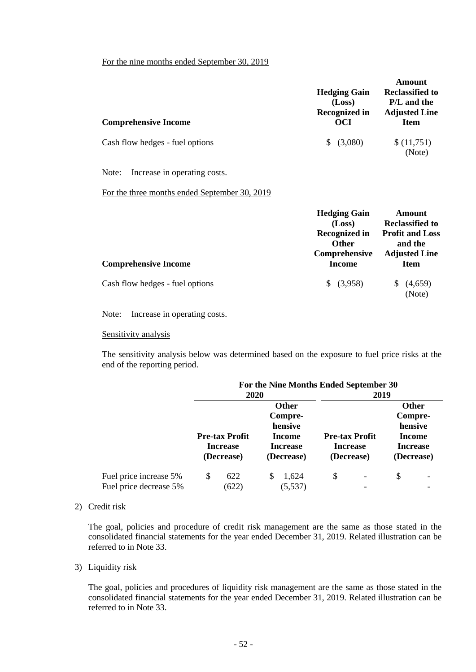## For the nine months ended September 30, 2019

| <b>Comprehensive Income</b>                   | <b>Hedging Gain</b><br>(Loss)<br><b>Recognized in</b><br><b>OCI</b>                                     | Amount<br><b>Reclassified to</b><br>P/L and the<br><b>Adjusted Line</b><br><b>Item</b>                       |
|-----------------------------------------------|---------------------------------------------------------------------------------------------------------|--------------------------------------------------------------------------------------------------------------|
| Cash flow hedges - fuel options               | (3,080)<br>\$                                                                                           | \$(11,751)<br>(Note)                                                                                         |
| Increase in operating costs.<br>Note:         |                                                                                                         |                                                                                                              |
| For the three months ended September 30, 2019 |                                                                                                         |                                                                                                              |
| <b>Comprehensive Income</b>                   | <b>Hedging Gain</b><br>(Loss)<br><b>Recognized in</b><br><b>Other</b><br>Comprehensive<br><b>Income</b> | Amount<br><b>Reclassified to</b><br><b>Profit and Loss</b><br>and the<br><b>Adjusted Line</b><br><b>Item</b> |
| Cash flow hedges - fuel options               | \$ (3,958)                                                                                              | (4,659)<br>\$<br>(Note)                                                                                      |

Note: Increase in operating costs.

#### Sensitivity analysis

The sensitivity analysis below was determined based on the exposure to fuel price risks at the end of the reporting period.

|                        |    | For the Nine Months Ended September 30 |   |                 |    |                          |              |            |  |
|------------------------|----|----------------------------------------|---|-----------------|----|--------------------------|--------------|------------|--|
|                        |    | 2020                                   |   |                 |    | 2019                     |              |            |  |
|                        |    |                                        |   | <b>Other</b>    |    |                          | <b>Other</b> |            |  |
|                        |    |                                        |   | Compre-         |    |                          | Compre-      |            |  |
|                        |    |                                        |   | hensive         |    |                          | hensive      |            |  |
|                        |    | <b>Pre-tax Profit</b>                  |   | Income          |    | <b>Pre-tax Profit</b>    |              | Income     |  |
|                        |    | <b>Increase</b><br><b>Increase</b>     |   | <b>Increase</b> |    | <b>Increase</b>          |              |            |  |
|                        |    | (Decrease)                             |   | (Decrease)      |    | (Decrease)               |              | (Decrease) |  |
| Fuel price increase 5% | \$ | 622                                    | S | 1,624           | \$ | $\overline{\phantom{a}}$ | \$           |            |  |
| Fuel price decrease 5% |    | (622)                                  |   | (5, 537)        |    |                          |              |            |  |

#### 2) Credit risk

The goal, policies and procedure of credit risk management are the same as those stated in the consolidated financial statements for the year ended December 31, 2019. Related illustration can be referred to in Note 33.

#### 3) Liquidity risk

The goal, policies and procedures of liquidity risk management are the same as those stated in the consolidated financial statements for the year ended December 31, 2019. Related illustration can be referred to in Note 33.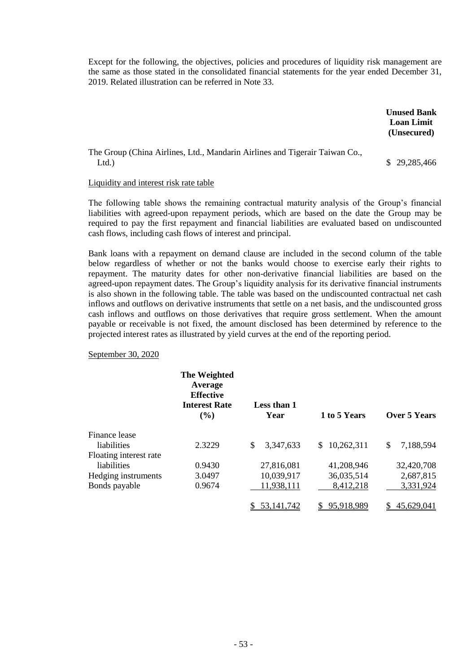Except for the following, the objectives, policies and procedures of liquidity risk management are the same as those stated in the consolidated financial statements for the year ended December 31, 2019. Related illustration can be referred in Note 33.

> **Unused Bank Loan Limit (Unsecured)**

### The Group (China Airlines, Ltd., Mandarin Airlines and Tigerair Taiwan Co., Ltd.) \$ 29,285,466

#### Liquidity and interest risk rate table

The following table shows the remaining contractual maturity analysis of the Group's financial liabilities with agreed-upon repayment periods, which are based on the date the Group may be required to pay the first repayment and financial liabilities are evaluated based on undiscounted cash flows, including cash flows of interest and principal.

Bank loans with a repayment on demand clause are included in the second column of the table below regardless of whether or not the banks would choose to exercise early their rights to repayment. The maturity dates for other non-derivative financial liabilities are based on the agreed-upon repayment dates. The Group's liquidity analysis for its derivative financial instruments is also shown in the following table. The table was based on the undiscounted contractual net cash inflows and outflows on derivative instruments that settle on a net basis, and the undiscounted gross cash inflows and outflows on those derivatives that require gross settlement. When the amount payable or receivable is not fixed, the amount disclosed has been determined by reference to the projected interest rates as illustrated by yield curves at the end of the reporting period.

September 30, 2020

|                        | The Weighted<br>Average<br><b>Effective</b><br><b>Interest Rate</b><br>$($ %) | Less than 1<br>Year | 1 to 5 Years      | Over 5 Years    |
|------------------------|-------------------------------------------------------------------------------|---------------------|-------------------|-----------------|
| Finance lease          |                                                                               |                     |                   |                 |
| liabilities            | 2.3229                                                                        | \$<br>3,347,633     | 10,262,311<br>\$. | 7,188,594<br>\$ |
| Floating interest rate |                                                                               |                     |                   |                 |
| liabilities            | 0.9430                                                                        | 27,816,081          | 41,208,946        | 32,420,708      |
| Hedging instruments    | 3.0497                                                                        | 10,039,917          | 36,035,514        | 2,687,815       |
| Bonds payable          | 0.9674                                                                        | 11,938,111          | 8,412,218         | 3,331,924       |
|                        |                                                                               | 53.141.742          | 95,918,989        | 45,629,041      |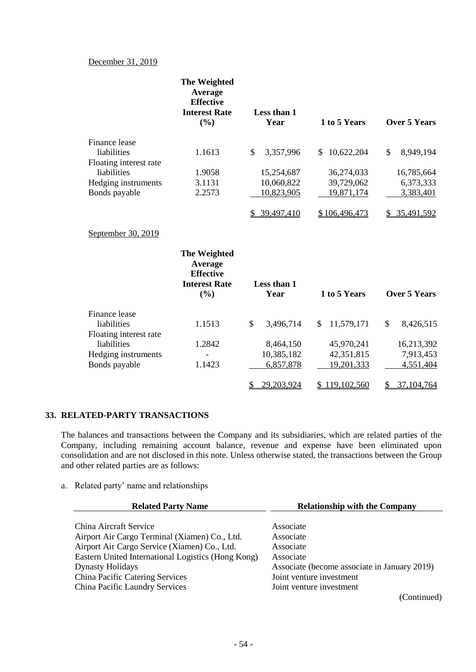#### December 31, 2019

|                        | <b>The Weighted</b><br>Average<br><b>Effective</b><br><b>Interest Rate</b><br>(9/0) | Less than 1<br>Year             | 1 to 5 Years     | <b>Over 5 Years</b>        |
|------------------------|-------------------------------------------------------------------------------------|---------------------------------|------------------|----------------------------|
| Finance lease          |                                                                                     |                                 |                  |                            |
| liabilities            | 1.1613                                                                              | \$<br>3,357,996                 | 10,622,204<br>\$ | \$<br>8,949,194            |
| Floating interest rate |                                                                                     |                                 |                  |                            |
| liabilities            | 1.9058                                                                              | 15,254,687                      | 36,274,033       | 16,785,664                 |
| Hedging instruments    | 3.1131                                                                              | 10,060,822                      | 39,729,062       | 6,373,333                  |
| Bonds payable          | 2.2573                                                                              | 10,823,905                      | 19,871,174       | 3,383,401                  |
|                        |                                                                                     | 39,497,410                      | \$106,496,473    | \$35,491,592               |
| September 30, 2019     |                                                                                     |                                 |                  |                            |
|                        | <b>The Weighted</b><br>Average<br><b>Effective</b><br><b>Interest Rate</b><br>(%)   | Less than 1<br>Year             | 1 to 5 Years     | <b>Over 5 Years</b>        |
| Finance lease          |                                                                                     |                                 |                  |                            |
| liabilities            | 1.1513                                                                              | $\mathbf{\hat{S}}$<br>3,496,714 | \$<br>11,579,171 | $\mathcal{S}$<br>8,426,515 |
| Floating interest rate |                                                                                     |                                 |                  |                            |
| liabilities            | 1.2842                                                                              | 8,464,150                       | 45,970,241       | 16,213,392                 |
| Hedging instruments    |                                                                                     | 10,385,182                      | 42,351,815       | 7,913,453                  |
| Bonds payable          | 1.1423                                                                              | 6,857,878                       | 19,201,333       | 4,551,404                  |
|                        |                                                                                     | 29,203,924<br>\$                | \$119,102,560    | 37,104,764<br>\$           |

#### **33. RELATED-PARTY TRANSACTIONS**

The balances and transactions between the Company and its subsidiaries, which are related parties of the Company, including remaining account balance, revenue and expense have been eliminated upon consolidation and are not disclosed in this note. Unless otherwise stated, the transactions between the Group and other related parties are as follows:

a. Related party' name and relationships

| <b>Related Party Name</b>                          | <b>Relationship with the Company</b>         |
|----------------------------------------------------|----------------------------------------------|
| China Aircraft Service                             | Associate                                    |
|                                                    |                                              |
| Airport Air Cargo Terminal (Xiamen) Co., Ltd.      | Associate                                    |
| Airport Air Cargo Service (Xiamen) Co., Ltd.       | Associate                                    |
| Eastern United International Logistics (Hong Kong) | Associate                                    |
| <b>Dynasty Holidays</b>                            | Associate (become associate in January 2019) |
| China Pacific Catering Services                    | Joint venture investment                     |
| China Pacific Laundry Services                     | Joint venture investment                     |
|                                                    | (Continued)                                  |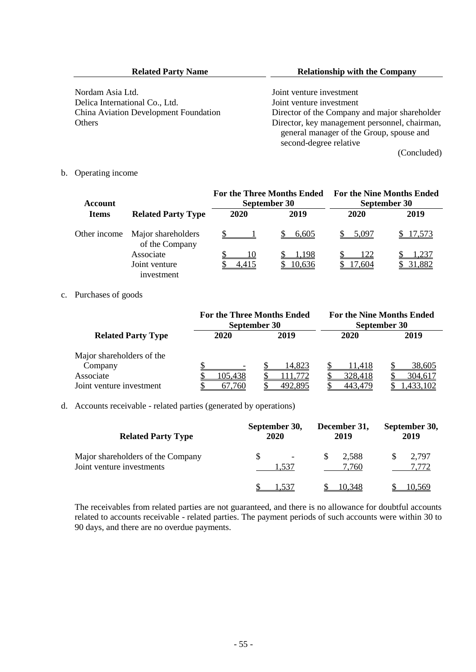| <b>Related Party Name</b> | <b>Relationship with the Company</b> |
|---------------------------|--------------------------------------|
|                           |                                      |

Nordam Asia Ltd.<br>
Delica International Co., Ltd.<br>
Joint venture investment<br>
Joint venture investment Delica International Co., Ltd.<br>China Aviation Development Foundation

Director of the Company and major shareholder Others Director, key management personnel, chairman, general manager of the Group, spouse and second-degree relative

(Concluded)

#### b. Operating income

| <b>Account</b> |                                      | <b>For the Three Months Ended</b><br>September 30 |        | <b>For the Nine Months Ended</b> | September 30  |
|----------------|--------------------------------------|---------------------------------------------------|--------|----------------------------------|---------------|
| <b>Items</b>   | <b>Related Party Type</b>            | 2020                                              | 2019   | 2020                             | 2019          |
| Other income   | Major shareholders<br>of the Company |                                                   | 6,605  | 5.097                            | <u>17,573</u> |
|                | Associate                            | 10                                                | .198   | 122                              |               |
|                | Joint venture<br>investment          |                                                   | 10,636 | 17.604                           | 31,882        |

#### c. Purchases of goods

|                                                                               | <b>For the Three Months Ended</b> | September 30               | <b>For the Nine Months Ended</b><br>September 30 |                               |  |
|-------------------------------------------------------------------------------|-----------------------------------|----------------------------|--------------------------------------------------|-------------------------------|--|
| <b>Related Party Type</b>                                                     | 2020                              | 2019                       | 2020                                             | 2019                          |  |
| Major shareholders of the<br>Company<br>Associate<br>Joint venture investment | 105,438<br>67.760                 | 14.823<br>1.772<br>492.895 | 11.418<br>328,418<br>443.479                     | 38,605<br>304,617<br>,433,102 |  |

#### d. Accounts receivable - related parties (generated by operations)

| <b>Related Party Type</b>                                      | September 30,<br><b>2020</b> |       |     | December 31,<br>2019 | September 30,<br>2019 |
|----------------------------------------------------------------|------------------------------|-------|-----|----------------------|-----------------------|
| Major shareholders of the Company<br>Joint venture investments |                              | 1.537 | \$. | 2,588<br>7.760       | 2,797<br>7.772        |
|                                                                |                              |       |     | 10.348               |                       |

The receivables from related parties are not guaranteed, and there is no allowance for doubtful accounts related to accounts receivable - related parties. The payment periods of such accounts were within 30 to 90 days, and there are no overdue payments.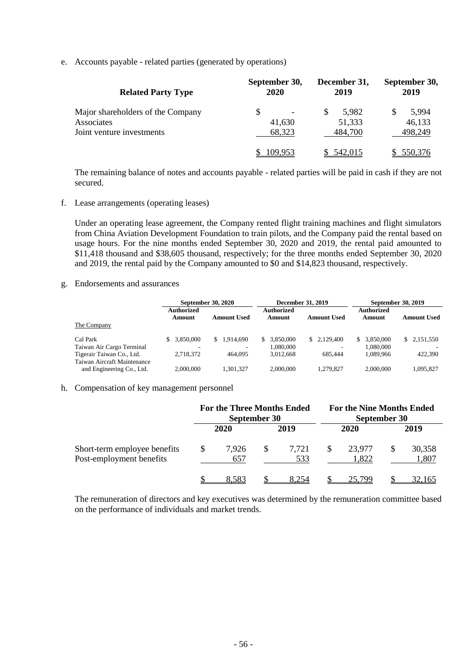e. Accounts payable - related parties (generated by operations)

| <b>Related Party Type</b>         | September 30,<br><b>2020</b> | December 31,<br>2019 | September 30,<br>2019 |  |
|-----------------------------------|------------------------------|----------------------|-----------------------|--|
| Major shareholders of the Company |                              | 5,982<br>S           | 5,994                 |  |
| Associates                        | 41,630                       | 51,333               | 46,133                |  |
| Joint venture investments         | 68,323                       | 484,700              | 498,249               |  |
|                                   | 109.953                      | 542,015              | 550.376               |  |

The remaining balance of notes and accounts payable - related parties will be paid in cash if they are not secured.

f. Lease arrangements (operating leases)

Under an operating lease agreement, the Company rented flight training machines and flight simulators from China Aviation Development Foundation to train pilots, and the Company paid the rental based on usage hours. For the nine months ended September 30, 2020 and 2019, the rental paid amounted to \$11,418 thousand and \$38,605 thousand, respectively; for the three months ended September 30, 2020 and 2019, the rental paid by the Company amounted to \$0 and \$14,823 thousand, respectively.

g. Endorsements and assurances

|                             | September 30, 2020   |                          | <b>December 31, 2019</b> |                    | <b>September 30, 2019</b> |                    |
|-----------------------------|----------------------|--------------------------|--------------------------|--------------------|---------------------------|--------------------|
|                             | Authorized<br>Amount | <b>Amount Used</b>       | Authorized<br>Amount     | <b>Amount Used</b> | Authorized<br>Amount      | <b>Amount Used</b> |
| The Company                 |                      |                          |                          |                    |                           |                    |
| Cal Park                    | 3.850,000            | 1.914.690<br>S.          | 3.850.000                | \$2,129,400        | \$ 3,850,000              | \$ 2.151.550       |
| Taiwan Air Cargo Terminal   |                      | $\overline{\phantom{a}}$ | 1,080,000                | -                  | 1.080.000                 |                    |
| Tigerair Taiwan Co., Ltd.   | 2.718.372            | 464,095                  | 3.012.668                | 685,444            | 1.089.966                 | 422,390            |
| Taiwan Aircraft Maintenance |                      |                          |                          |                    |                           |                    |
| and Engineering Co., Ltd.   | 2.000,000            | 1.301.327                | 2,000,000                | 1.279.827          | 2,000,000                 | 1.095.827          |

#### h. Compensation of key management personnel

|                                                          | <b>For the Three Months Ended</b><br>September 30 |              |     | <b>For the Nine Months Ended</b><br>September 30 |    |                 |  |                 |
|----------------------------------------------------------|---------------------------------------------------|--------------|-----|--------------------------------------------------|----|-----------------|--|-----------------|
|                                                          |                                                   | 2020         |     | 2019                                             |    | 2020            |  | 2019            |
| Short-term employee benefits<br>Post-employment benefits | S                                                 | 7.926<br>657 | \$. | 7.721<br>533                                     | S. | 23.977<br>1,822 |  | 30,358<br>1,807 |
|                                                          |                                                   | 8.583        |     | 8.254                                            |    | 25.799          |  | 32,165          |

The remuneration of directors and key executives was determined by the remuneration committee based on the performance of individuals and market trends.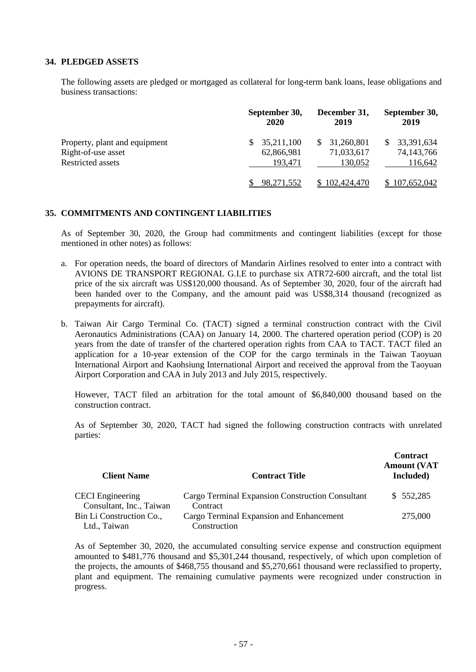#### **34. PLEDGED ASSETS**

The following assets are pledged or mortgaged as collateral for long-term bank loans, lease obligations and business transactions:

|                               | September 30,<br>2020 | December 31,<br>2019 | September 30,<br>2019 |
|-------------------------------|-----------------------|----------------------|-----------------------|
| Property, plant and equipment | 35,211,100            | 31,260,801<br>S.     | 33,391,634            |
| Right-of-use asset            | 62,866,981            | 71,033,617           | 74,143,766            |
| Restricted assets             | 193.471               | 130,052              | 116,642               |
|                               | <u>98,271,552</u>     | 102,424,470          | 107,652,042           |

#### **35. COMMITMENTS AND CONTINGENT LIABILITIES**

As of September 30, 2020, the Group had commitments and contingent liabilities (except for those mentioned in other notes) as follows:

- a. For operation needs, the board of directors of Mandarin Airlines resolved to enter into a contract with AVIONS DE TRANSPORT REGIONAL G.I.E to purchase six ATR72-600 aircraft, and the total list price of the six aircraft was US\$120,000 thousand. As of September 30, 2020, four of the aircraft had been handed over to the Company, and the amount paid was US\$8,314 thousand (recognized as prepayments for aircraft).
- b. Taiwan Air Cargo Terminal Co. (TACT) signed a terminal construction contract with the Civil Aeronautics Administrations (CAA) on January 14, 2000. The chartered operation period (COP) is 20 years from the date of transfer of the chartered operation rights from CAA to TACT. TACT filed an application for a 10-year extension of the COP for the cargo terminals in the Taiwan Taoyuan International Airport and Kaohsiung International Airport and received the approval from the Taoyuan Airport Corporation and CAA in July 2013 and July 2015, respectively.

However, TACT filed an arbitration for the total amount of \$6,840,000 thousand based on the construction contract.

As of September 30, 2020, TACT had signed the following construction contracts with unrelated parties:

| <b>Client Name</b>       | <b>Contract Title</b>                            | <b>Contract</b><br><b>Amount (VAT</b><br>Included) |
|--------------------------|--------------------------------------------------|----------------------------------------------------|
| <b>CECI</b> Engineering  | Cargo Terminal Expansion Construction Consultant | \$552,285                                          |
| Consultant, Inc., Taiwan | Contract                                         |                                                    |
| Bin Li Construction Co., | Cargo Terminal Expansion and Enhancement         | 275,000                                            |
| Ltd., Taiwan             | Construction                                     |                                                    |

As of September 30, 2020, the accumulated consulting service expense and construction equipment amounted to \$481,776 thousand and \$5,301,244 thousand, respectively, of which upon completion of the projects, the amounts of \$468,755 thousand and \$5,270,661 thousand were reclassified to property, plant and equipment. The remaining cumulative payments were recognized under construction in progress.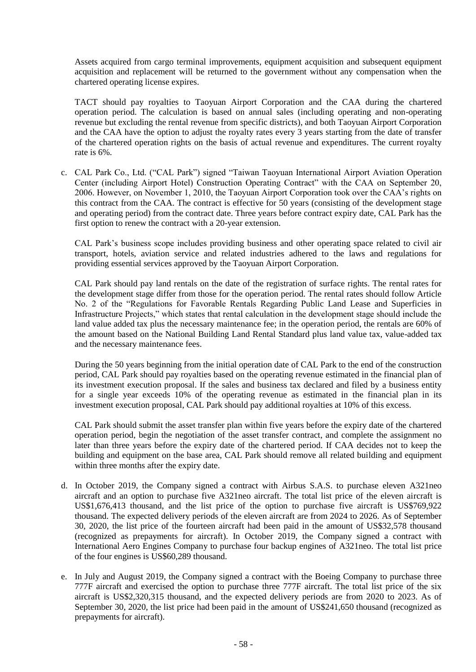Assets acquired from cargo terminal improvements, equipment acquisition and subsequent equipment acquisition and replacement will be returned to the government without any compensation when the chartered operating license expires.

TACT should pay royalties to Taoyuan Airport Corporation and the CAA during the chartered operation period. The calculation is based on annual sales (including operating and non-operating revenue but excluding the rental revenue from specific districts), and both Taoyuan Airport Corporation and the CAA have the option to adjust the royalty rates every 3 years starting from the date of transfer of the chartered operation rights on the basis of actual revenue and expenditures. The current royalty rate is 6%.

c. CAL Park Co., Ltd. ("CAL Park") signed "Taiwan Taoyuan International Airport Aviation Operation Center (including Airport Hotel) Construction Operating Contract" with the CAA on September 20, 2006. However, on November 1, 2010, the Taoyuan Airport Corporation took over the CAA's rights on this contract from the CAA. The contract is effective for 50 years (consisting of the development stage and operating period) from the contract date. Three years before contract expiry date, CAL Park has the first option to renew the contract with a 20-year extension.

CAL Park's business scope includes providing business and other operating space related to civil air transport, hotels, aviation service and related industries adhered to the laws and regulations for providing essential services approved by the Taoyuan Airport Corporation.

CAL Park should pay land rentals on the date of the registration of surface rights. The rental rates for the development stage differ from those for the operation period. The rental rates should follow Article No. 2 of the "Regulations for Favorable Rentals Regarding Public Land Lease and Superficies in Infrastructure Projects," which states that rental calculation in the development stage should include the land value added tax plus the necessary maintenance fee; in the operation period, the rentals are 60% of the amount based on the National Building Land Rental Standard plus land value tax, value-added tax and the necessary maintenance fees.

During the 50 years beginning from the initial operation date of CAL Park to the end of the construction period, CAL Park should pay royalties based on the operating revenue estimated in the financial plan of its investment execution proposal. If the sales and business tax declared and filed by a business entity for a single year exceeds 10% of the operating revenue as estimated in the financial plan in its investment execution proposal, CAL Park should pay additional royalties at 10% of this excess.

CAL Park should submit the asset transfer plan within five years before the expiry date of the chartered operation period, begin the negotiation of the asset transfer contract, and complete the assignment no later than three years before the expiry date of the chartered period. If CAA decides not to keep the building and equipment on the base area, CAL Park should remove all related building and equipment within three months after the expiry date.

- d. In October 2019, the Company signed a contract with Airbus S.A.S. to purchase eleven A321neo aircraft and an option to purchase five A321neo aircraft. The total list price of the eleven aircraft is US\$1,676,413 thousand, and the list price of the option to purchase five aircraft is US\$769,922 thousand. The expected delivery periods of the eleven aircraft are from 2024 to 2026. As of September 30, 2020, the list price of the fourteen aircraft had been paid in the amount of US\$32,578 thousand (recognized as prepayments for aircraft). In October 2019, the Company signed a contract with International Aero Engines Company to purchase four backup engines of A321neo. The total list price of the four engines is US\$60,289 thousand.
- e. In July and August 2019, the Company signed a contract with the Boeing Company to purchase three 777F aircraft and exercised the option to purchase three 777F aircraft. The total list price of the six aircraft is US\$2,320,315 thousand, and the expected delivery periods are from 2020 to 2023. As of September 30, 2020, the list price had been paid in the amount of US\$241,650 thousand (recognized as prepayments for aircraft).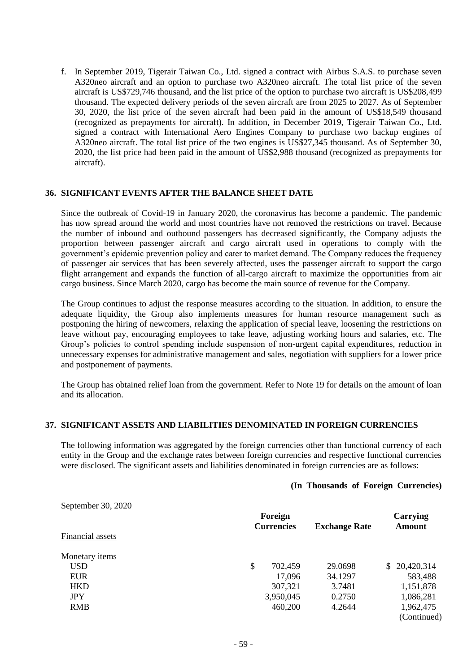f. In September 2019, Tigerair Taiwan Co., Ltd. signed a contract with Airbus S.A.S. to purchase seven A320neo aircraft and an option to purchase two A320neo aircraft. The total list price of the seven aircraft is US\$729,746 thousand, and the list price of the option to purchase two aircraft is US\$208,499 thousand. The expected delivery periods of the seven aircraft are from 2025 to 2027. As of September 30, 2020, the list price of the seven aircraft had been paid in the amount of US\$18,549 thousand (recognized as prepayments for aircraft). In addition, in December 2019, Tigerair Taiwan Co., Ltd. signed a contract with International Aero Engines Company to purchase two backup engines of A320neo aircraft. The total list price of the two engines is US\$27,345 thousand. As of September 30, 2020, the list price had been paid in the amount of US\$2,988 thousand (recognized as prepayments for aircraft).

#### **36. SIGNIFICANT EVENTS AFTER THE BALANCE SHEET DATE**

Since the outbreak of Covid-19 in January 2020, the coronavirus has become a pandemic. The pandemic has now spread around the world and most countries have not removed the restrictions on travel. Because the number of inbound and outbound passengers has decreased significantly, the Company adjusts the proportion between passenger aircraft and cargo aircraft used in operations to comply with the government's epidemic prevention policy and cater to market demand. The Company reduces the frequency of passenger air services that has been severely affected, uses the passenger aircraft to support the cargo flight arrangement and expands the function of all-cargo aircraft to maximize the opportunities from air cargo business. Since March 2020, cargo has become the main source of revenue for the Company.

The Group continues to adjust the response measures according to the situation. In addition, to ensure the adequate liquidity, the Group also implements measures for human resource management such as postponing the hiring of newcomers, relaxing the application of special leave, loosening the restrictions on leave without pay, encouraging employees to take leave, adjusting working hours and salaries, etc. The Group's policies to control spending include suspension of non-urgent capital expenditures, reduction in unnecessary expenses for administrative management and sales, negotiation with suppliers for a lower price and postponement of payments.

The Group has obtained relief loan from the government. Refer to Note 19 for details on the amount of loan and its allocation.

#### **37. SIGNIFICANT ASSETS AND LIABILITIES DENOMINATED IN FOREIGN CURRENCIES**

The following information was aggregated by the foreign currencies other than functional currency of each entity in the Group and the exchange rates between foreign currencies and respective functional currencies were disclosed. The significant assets and liabilities denominated in foreign currencies are as follows:

#### **(In Thousands of Foreign Currencies)**

| September 30, 2020<br>Financial assets | Foreign<br><b>Currencies</b> | <b>Exchange Rate</b> | Carrying<br>Amount |
|----------------------------------------|------------------------------|----------------------|--------------------|
| Monetary items                         |                              |                      |                    |
| <b>USD</b>                             | \$<br>702,459                | 29.0698              | 20,420,314         |
| <b>EUR</b>                             | 17,096                       | 34.1297              | 583,488            |
| <b>HKD</b>                             | 307,321                      | 3.7481               | 1,151,878          |
| <b>JPY</b>                             | 3,950,045                    | 0.2750               | 1,086,281          |
| <b>RMB</b>                             | 460,200                      | 4.2644               | 1,962,475          |
|                                        |                              |                      | (Continued)        |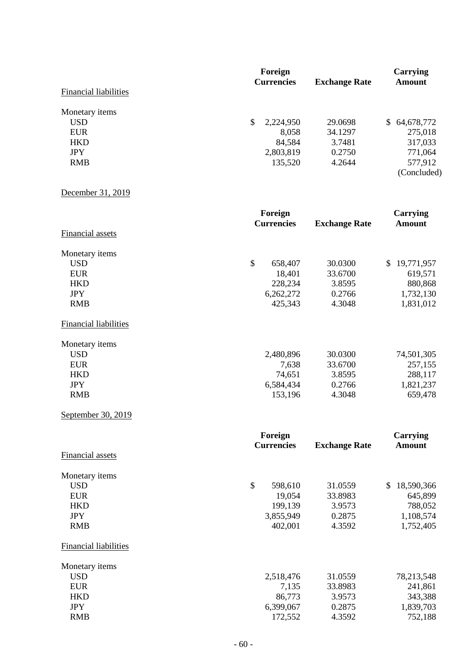|                              | Foreign           | Carrying             |                   |
|------------------------------|-------------------|----------------------|-------------------|
|                              | <b>Currencies</b> | <b>Exchange Rate</b> | Amount            |
| <b>Financial liabilities</b> |                   |                      |                   |
| Monetary items               |                   |                      |                   |
| USD.                         | 2,224,950<br>S    | 29.0698              | 64,678,772<br>SS. |
| <b>EUR</b>                   | 8,058             | 34.1297              | 275,018           |
| <b>HKD</b>                   | 84,584            | 3.7481               | 317,033           |
| <b>JPY</b>                   | 2,803,819         | 0.2750               | 771,064           |
| <b>RMB</b>                   | 135,520           | 4.2644               | 577,912           |
|                              |                   |                      | (Concluded)       |

## December 31, 2019

|                              | Foreign<br><b>Currencies</b> | <b>Exchange Rate</b> | <b>Carrying</b><br><b>Amount</b> |
|------------------------------|------------------------------|----------------------|----------------------------------|
| <b>Financial assets</b>      |                              |                      |                                  |
| Monetary items               |                              |                      |                                  |
| <b>USD</b>                   | \$<br>658,407                | 30.0300              | 19,771,957<br>S.                 |
| <b>EUR</b>                   | 18,401                       | 33.6700              | 619,571                          |
| <b>HKD</b>                   | 228,234                      | 3.8595               | 880,868                          |
| <b>JPY</b>                   | 6,262,272                    | 0.2766               | 1,732,130                        |
| <b>RMB</b>                   | 425,343                      | 4.3048               | 1,831,012                        |
| <b>Financial liabilities</b> |                              |                      |                                  |
| Monetary items               |                              |                      |                                  |
| <b>USD</b>                   | 2,480,896                    | 30.0300              | 74,501,305                       |
| <b>EUR</b>                   | 7,638                        | 33.6700              | 257,155                          |
| <b>HKD</b>                   | 74,651                       | 3.8595               | 288,117                          |
| <b>JPY</b>                   | 6,584,434                    | 0.2766               | 1,821,237                        |
| <b>RMB</b>                   | 153,196                      | 4.3048               | 659,478                          |
| September 30, 2019           |                              |                      |                                  |

|                              | Foreign<br><b>Currencies</b> | <b>Exchange Rate</b> | Carrying<br>Amount |
|------------------------------|------------------------------|----------------------|--------------------|
| Financial assets             |                              |                      |                    |
| Monetary items               |                              |                      |                    |
| <b>USD</b>                   | \$<br>598,610                | 31.0559              | \$<br>18,590,366   |
| <b>EUR</b>                   | 19,054                       | 33.8983              | 645,899            |
| <b>HKD</b>                   | 199,139                      | 3.9573               | 788,052            |
| <b>JPY</b>                   | 3,855,949                    | 0.2875               | 1,108,574          |
| <b>RMB</b>                   | 402,001                      | 4.3592               | 1,752,405          |
| <b>Financial liabilities</b> |                              |                      |                    |
| Monetary items               |                              |                      |                    |
| <b>USD</b>                   | 2,518,476                    | 31.0559              | 78,213,548         |
| <b>EUR</b>                   | 7,135                        | 33.8983              | 241,861            |
| <b>HKD</b>                   | 86,773                       | 3.9573               | 343,388            |
| <b>JPY</b>                   | 6,399,067                    | 0.2875               | 1,839,703          |
| <b>RMB</b>                   | 172,552                      | 4.3592               | 752,188            |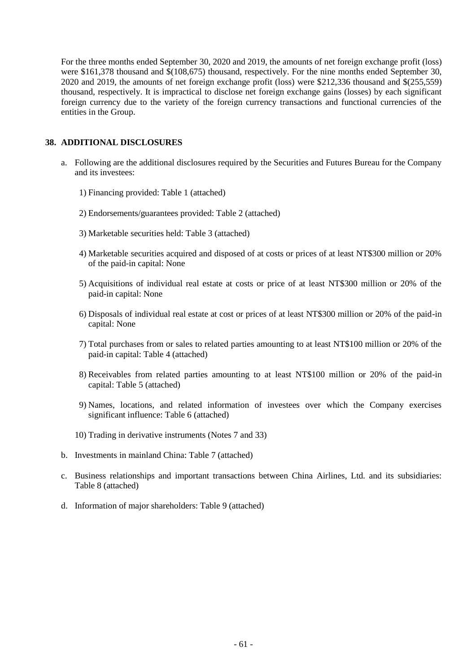For the three months ended September 30, 2020 and 2019, the amounts of net foreign exchange profit (loss) were \$161,378 thousand and \$(108,675) thousand, respectively. For the nine months ended September 30, 2020 and 2019, the amounts of net foreign exchange profit (loss) were \$212,336 thousand and \$(255,559) thousand, respectively. It is impractical to disclose net foreign exchange gains (losses) by each significant foreign currency due to the variety of the foreign currency transactions and functional currencies of the entities in the Group.

#### **38. ADDITIONAL DISCLOSURES**

- a. Following are the additional disclosures required by the Securities and Futures Bureau for the Company and its investees:
	- 1) Financing provided: Table 1 (attached)
	- 2) Endorsements/guarantees provided: Table 2 (attached)
	- 3) Marketable securities held: Table 3 (attached)
	- 4) Marketable securities acquired and disposed of at costs or prices of at least NT\$300 million or 20% of the paid-in capital: None
	- 5) Acquisitions of individual real estate at costs or price of at least NT\$300 million or 20% of the paid-in capital: None
	- 6) Disposals of individual real estate at cost or prices of at least NT\$300 million or 20% of the paid-in capital: None
	- 7) Total purchases from or sales to related parties amounting to at least NT\$100 million or 20% of the paid-in capital: Table 4 (attached)
	- 8) Receivables from related parties amounting to at least NT\$100 million or 20% of the paid-in capital: Table 5 (attached)
	- 9) Names, locations, and related information of investees over which the Company exercises significant influence: Table 6 (attached)
	- 10) Trading in derivative instruments (Notes 7 and 33)
- b. Investments in mainland China: Table 7 (attached)
- c. Business relationships and important transactions between China Airlines, Ltd. and its subsidiaries: Table 8 (attached)
- d. Information of major shareholders: Table 9 (attached)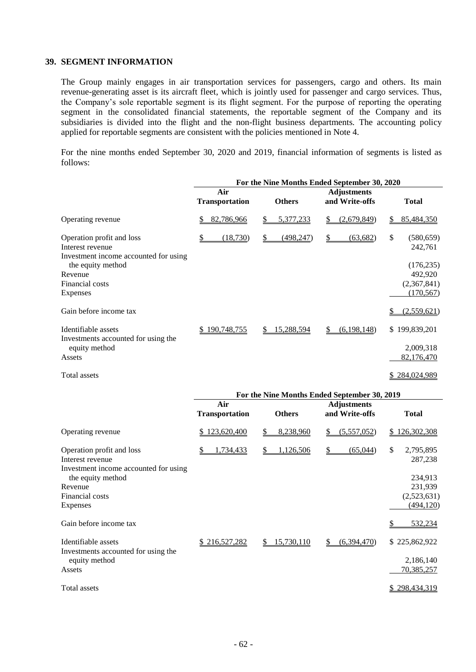#### **39. SEGMENT INFORMATION**

The Group mainly engages in air transportation services for passengers, cargo and others. Its main revenue-generating asset is its aircraft fleet, which is jointly used for passenger and cargo services. Thus, the Company's sole reportable segment is its flight segment. For the purpose of reporting the operating segment in the consolidated financial statements, the reportable segment of the Company and its subsidiaries is divided into the flight and the non-flight business departments. The accounting policy applied for reportable segments are consistent with the policies mentioned in Note 4.

For the nine months ended September 30, 2020 and 2019, financial information of segments is listed as follows:

|                                                                                        |                              |                  | For the Nine Months Ended September 30, 2020 |                             |
|----------------------------------------------------------------------------------------|------------------------------|------------------|----------------------------------------------|-----------------------------|
|                                                                                        | Air<br><b>Transportation</b> | <b>Others</b>    | <b>Adjustments</b><br>and Write-offs         | <b>Total</b>                |
| Operating revenue                                                                      | 82,786,966                   | 5,377,233<br>S   | (2,679,849)<br>S.                            | 85,484,350<br>\$.           |
| Operation profit and loss<br>Interest revenue<br>Investment income accounted for using | (18,730)                     | (498, 247)<br>\$ | (63, 682)<br>S                               | \$<br>(580, 659)<br>242,761 |
| the equity method                                                                      |                              |                  |                                              | (176, 235)                  |
| Revenue                                                                                |                              |                  |                                              | 492,920                     |
| Financial costs                                                                        |                              |                  |                                              | (2,367,841)                 |
| Expenses                                                                               |                              |                  |                                              | (170, 567)                  |
| Gain before income tax                                                                 |                              |                  |                                              | (2,559,621)                 |
| Identifiable assets                                                                    | 190,748,755                  | 15,288,594<br>S  | (6, 198, 148)<br>S                           | \$199,839,201               |
| Investments accounted for using the<br>equity method                                   |                              |                  |                                              | 2,009,318                   |
| Assets                                                                                 |                              |                  |                                              | 82,176,470                  |
| Total assets                                                                           |                              |                  |                                              | \$284,024,989               |

|                                                                                        |                              |                        | For the Nine Months Ended September 30, 2019 |                            |
|----------------------------------------------------------------------------------------|------------------------------|------------------------|----------------------------------------------|----------------------------|
|                                                                                        | Air<br><b>Transportation</b> | <b>Others</b>          | <b>Adjustments</b><br>and Write-offs         | <b>Total</b>               |
| Operating revenue                                                                      | 123,620,400                  | 8,238,960<br>\$        | (5,557,052)<br>\$                            | 126,302,308<br>S.          |
| Operation profit and loss<br>Interest revenue<br>Investment income accounted for using | 1,734,433                    | <u>1,126,506</u><br>\$ | (65,044)<br>\$                               | \$<br>2,795,895<br>287,238 |
| the equity method                                                                      |                              |                        |                                              | 234,913                    |
| Revenue<br>Financial costs                                                             |                              |                        |                                              | 231,939<br>(2,523,631)     |
| Expenses                                                                               |                              |                        |                                              | (494, 120)                 |
| Gain before income tax                                                                 |                              |                        |                                              | 532,234                    |
| Identifiable assets                                                                    | \$216,527,282                | 15,730,110<br>S.       | (6,394,470)<br>S.                            | \$225,862,922              |
| Investments accounted for using the<br>equity method                                   |                              |                        |                                              | 2,186,140                  |
| Assets                                                                                 |                              |                        |                                              | 70,385,257                 |
| Total assets                                                                           |                              |                        |                                              | 298,434,319                |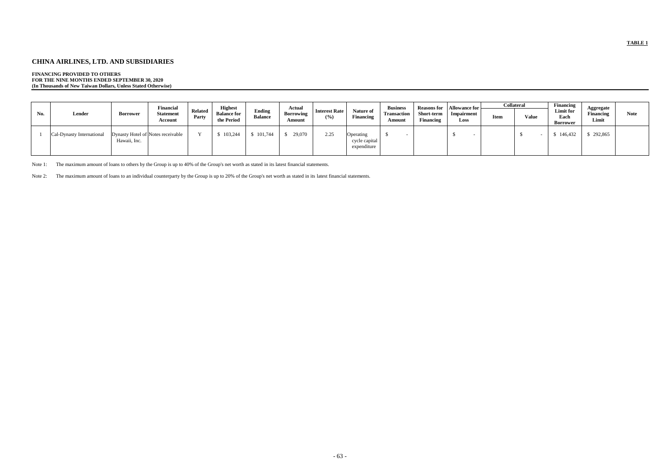# **CHINA AIRLINES, LTD. AND SUBSIDIARIES**

## **FINANCING PROVIDED TO OTHERS**

**FOR THE NINE MONTHS ENDED SEPTEMBER 30, 2020 (In Thousands of New Taiwan Dollars, Unless Stated Otherwise)**

|     |                           |              | <b>Financial</b>                  |                         | <b>Highest</b>                   |                          | Actual                     |                             |                                           | <b>Business</b>              | <b>Reasons for</b>      | Allowance for      |             | <b>Collateral</b> | Financing                            |                                 |             |
|-----|---------------------------|--------------|-----------------------------------|-------------------------|----------------------------------|--------------------------|----------------------------|-----------------------------|-------------------------------------------|------------------------------|-------------------------|--------------------|-------------|-------------------|--------------------------------------|---------------------------------|-------------|
| No. | Lender                    | Borrower     | <b>Statement</b><br>Account       | <b>Related</b><br>Party | <b>Balance for</b><br>the Period | Ending<br><b>Balance</b> | <b>Borrowing</b><br>Amount | <b>Interest Rate</b><br>(%) | Nature of<br><b>Financing</b>             | <b>Transaction</b><br>Amount | Short-term<br>Financing | Impairment<br>Loss | <b>Item</b> | <b>Value</b>      | Limit for<br>Each<br><b>Borrower</b> | Aggregate<br>Financing<br>Limit | <b>Note</b> |
|     | Cal-Dynasty International | Hawaii, Inc. | Dynasty Hotel of Notes receivable |                         | 103,244                          | 101,744                  | 29,070                     | 2.25                        | Operating<br>cycle capital<br>expenditure |                              |                         |                    |             |                   | 146,432                              | \$292,865                       |             |

Note 1: The maximum amount of loans to others by the Group is up to 40% of the Group's net worth as stated in its latest financial statements.

Note 2: The maximum amount of loans to an individual counterparty by the Group is up to 20% of the Group's net worth as stated in its latest financial statements.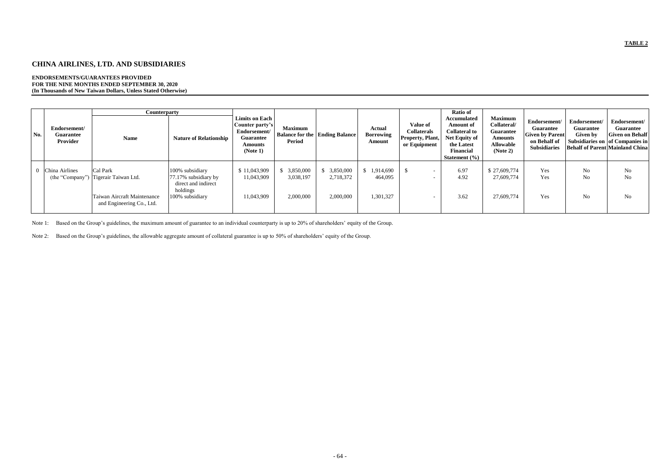# **CHINA AIRLINES, LTD. AND SUBSIDIARIES**

#### **ENDORSEMENTS/GUARANTEES PROVIDED FOR THE NINE MONTHS ENDED SEPTEMBER 30, 2020 (In Thousands of New Taiwan Dollars, Unless Stated Otherwise)**

|     |                                                     | <b>Counterparty</b>                                                                                          |                                                                                               |                                                                                                            |                                     |                                       |                                             |                                                                           | Ratio of                                                                                                                               |                                                                                                     |                                                                                                   |                                                     |                                                                                                                                  |
|-----|-----------------------------------------------------|--------------------------------------------------------------------------------------------------------------|-----------------------------------------------------------------------------------------------|------------------------------------------------------------------------------------------------------------|-------------------------------------|---------------------------------------|---------------------------------------------|---------------------------------------------------------------------------|----------------------------------------------------------------------------------------------------------------------------------------|-----------------------------------------------------------------------------------------------------|---------------------------------------------------------------------------------------------------|-----------------------------------------------------|----------------------------------------------------------------------------------------------------------------------------------|
| No. | Endorsement/<br><b>Guarantee</b><br><b>Provider</b> | <b>Name</b>                                                                                                  | <b>Nature of Relationship</b>                                                                 | <b>Limits on Each</b><br>Counter party's<br>Endorsement/<br><b>Guarantee</b><br><b>Amounts</b><br>(Note 1) | <b>Maximum</b><br>Period            | <b>Balance for the Ending Balance</b> | <b>Actual</b><br><b>Borrowing</b><br>Amount | Value of<br><b>Collaterals</b><br><b>Property, Plant,</b><br>or Equipment | Accumulated<br><b>Amount of</b><br><b>Collateral to</b><br><b>Net Equity of</b><br>the Latest<br>Financial<br><b>Statement</b> $(\% )$ | <b>Maximum</b><br>Collateral/<br><b>Guarantee</b><br><b>Amounts</b><br><b>Allowable</b><br>(Note 2) | Endorsement/<br><b>Guarantee</b><br><b>Given by Parent</b><br>on Behalf of<br><b>Subsidiaries</b> | Endorsement/<br><b>Guarantee</b><br><b>Given by</b> | Endorsement/<br>Guarantee<br><b>Given on Behalf</b><br>Subsidiaries on of Companies in<br><b>Behalf of Parent Mainland China</b> |
|     | China Airlines                                      | Cal Park<br>(the "Company") Tigerair Taiwan Ltd.<br>Taiwan Aircraft Maintenance<br>and Engineering Co., Ltd. | 100% subsidiary<br>77.17% subsidiary by<br>direct and indirect<br>holdings<br>100% subsidiary | \$11,043,909<br>11,043,909<br>11,043,909                                                                   | 3,850,000<br>3,038,197<br>2,000,000 | 3,850,000<br>2,718,372<br>2,000,000   | \$1,914,690<br>464,095<br>1,301,327         |                                                                           | 6.97<br>4.92<br>3.62                                                                                                                   | \$27,609,774<br>27,609,774<br>27,609,774                                                            | Yes<br>Yes<br>Yes                                                                                 | No<br>No<br>No                                      | No<br>N <sub>o</sub><br>N <sub>o</sub>                                                                                           |

Note 1: Based on the Group's guidelines, the maximum amount of guarantee to an individual counterparty is up to 20% of shareholders' equity of the Group.

Note 2: Based on the Group's guidelines, the allowable aggregate amount of collateral guarantee is up to 50% of shareholders' equity of the Group.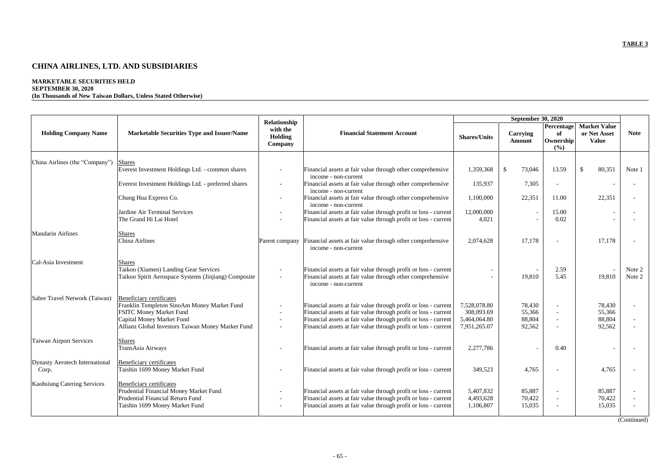# **CHINA AIRLINES, LTD. AND SUBSIDIARIES**

## **MARKETABLE SECURITIES HELD SEPTEMBER 30, 2020**

## **(In Thousands of New Taiwan Dollars, Unless Stated Otherwise)**

|                                         |                                                                                                                                                                                                    |                                                |                                                                                                                                                                                                                                                                          |                                                            | <b>September 30, 2020</b>            |                                               |                                                     |                  |
|-----------------------------------------|----------------------------------------------------------------------------------------------------------------------------------------------------------------------------------------------------|------------------------------------------------|--------------------------------------------------------------------------------------------------------------------------------------------------------------------------------------------------------------------------------------------------------------------------|------------------------------------------------------------|--------------------------------------|-----------------------------------------------|-----------------------------------------------------|------------------|
| <b>Holding Company Name</b>             | <b>Marketable Securities Type and Issuer/Name</b>                                                                                                                                                  | Relationship<br>with the<br>Holding<br>Company | <b>Financial Statement Account</b>                                                                                                                                                                                                                                       | <b>Shares/Units</b>                                        | Carrying<br><b>Amount</b>            | Percentage<br>of<br><b>Ownership</b><br>(9/0) | <b>Market Value</b><br>or Net Asset<br><b>Value</b> | <b>Note</b>      |
| China Airlines (the "Company")          |                                                                                                                                                                                                    |                                                |                                                                                                                                                                                                                                                                          |                                                            |                                      |                                               |                                                     |                  |
|                                         | <b>Shares</b><br>Everest Investment Holdings Ltd. - common shares                                                                                                                                  |                                                | Financial assets at fair value through other comprehensive<br>income - non-current                                                                                                                                                                                       | 1,359,368                                                  | $\boldsymbol{\mathsf{S}}$<br>73,046  | 13.59                                         | 80,351<br>-\$                                       | Note 1           |
|                                         | Everest Investment Holdings Ltd. - preferred shares                                                                                                                                                |                                                | Financial assets at fair value through other comprehensive<br>income - non-current                                                                                                                                                                                       | 135,937                                                    | 7,305                                |                                               | $\overline{\phantom{a}}$                            |                  |
|                                         | Chung Hua Express Co.                                                                                                                                                                              |                                                | Financial assets at fair value through other comprehensive<br>income - non-current                                                                                                                                                                                       | 1,100,000                                                  | 22,351                               | 11.00                                         | 22,351                                              |                  |
|                                         | Jardine Air Terminal Services<br>The Grand Hi Lai Hotel                                                                                                                                            |                                                | Financial assets at fair value through profit or loss - current<br>Financial assets at fair value through profit or loss - current                                                                                                                                       | 12,000,000<br>4,021                                        |                                      | 15.00<br>0.02                                 | $\overline{\phantom{a}}$                            |                  |
| <b>Mandarin Airlines</b>                | <b>Shares</b><br>China Airlines                                                                                                                                                                    | Parent company                                 | Financial assets at fair value through other comprehensive<br>income - non-current                                                                                                                                                                                       | 2,074,628                                                  | 17,178                               |                                               | 17,178                                              |                  |
| Cal-Asia Investment                     | <b>Shares</b><br>Taikoo (Xiamen) Landing Gear Services<br>Taikoo Spirit Aerospace Systems (Jinjiang) Composite                                                                                     |                                                | Financial assets at fair value through profit or loss - current<br>Financial assets at fair value through other comprehensive<br>income - non-current                                                                                                                    |                                                            | 19,810                               | 2.59<br>5.45                                  | 19,810                                              | Note 2<br>Note 2 |
| Sabre Travel Network (Taiwan)           | <b>Beneficiary certificates</b><br>Franklin Templeton SinoAm Money Market Fund<br><b>FSITC Money Market Fund</b><br>Capital Money Market Fund<br>Allianz Global Investors Taiwan Money Market Fund |                                                | Financial assets at fair value through profit or loss - current<br>Financial assets at fair value through profit or loss - current<br>Financial assets at fair value through profit or loss - current<br>Financial assets at fair value through profit or loss - current | 7,528,078.80<br>308,093.69<br>5,464,064.80<br>7,951,265.07 | 78,430<br>55,366<br>88,804<br>92,562 |                                               | 78,430<br>55,366<br>88,804<br>92,562                |                  |
| <b>Taiwan Airport Services</b>          | Shares<br>TransAsia Airways                                                                                                                                                                        |                                                | Financial assets at fair value through profit or loss - current                                                                                                                                                                                                          | 2,277,786                                                  |                                      | 0.40                                          |                                                     |                  |
| Dynasty Aerotech International<br>Corp. | <b>Beneficiary certificates</b><br>Taishin 1699 Money Market Fund                                                                                                                                  |                                                | Financial assets at fair value through profit or loss - current                                                                                                                                                                                                          | 349,523                                                    | 4,765                                |                                               | 4,765                                               |                  |
| <b>Kaohsiung Catering Services</b>      | <b>Beneficiary certificates</b><br>Prudential Financial Money Market Fund<br><b>Prudential Financial Return Fund</b><br>Taishin 1699 Money Market Fund                                             |                                                | Financial assets at fair value through profit or loss - current<br>Financial assets at fair value through profit or loss - current<br>Financial assets at fair value through profit or loss - current                                                                    | 5,407,832<br>4,493,628<br>1,106,807                        | 85,887<br>70,422<br>15,035           |                                               | 85,887<br>70,422<br>15,035                          |                  |

(Continued)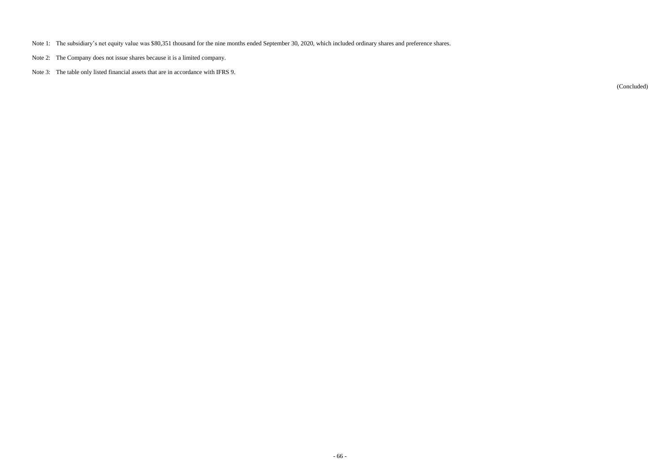- Note 1: The subsidiary's net equity value was \$80,351 thousand for the nine months ended September 30, 2020, which included ordinary shares and preference shares.
- Note 2: The Company does not issue shares because it is a limited company.
- Note 3: The table only listed financial assets that are in accordance with IFRS 9.

(Concluded)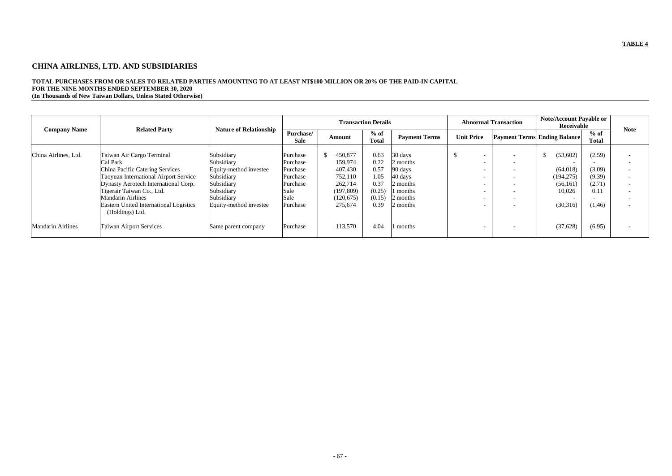# **CHINA AIRLINES, LTD. AND SUBSIDIARIES**

# **TOTAL PURCHASES FROM OR SALES TO RELATED PARTIES AMOUNTING TO AT LEAST NT\$100 MILLION OR 20% OF THE PAID-IN CAPITAL FOR THE NINE MONTHS ENDED SEPTEMBER 30, 2020**

**(In Thousands of New Taiwan Dollars, Unless Stated Otherwise)**

|                          | <b>Related Party</b>                                                                                                                                                                                                                                                                   |                                                                                                                                      |                                                                                      |                                                                                            | <b>Transaction Details</b>                                       |                                                                                           |                                           | <b>Abnormal Transaction</b>                                                                                                              | <b>Note/Account Payable or</b><br>Receivable                          | <b>Note</b>                                            |                                                                                                                                                                                                                              |
|--------------------------|----------------------------------------------------------------------------------------------------------------------------------------------------------------------------------------------------------------------------------------------------------------------------------------|--------------------------------------------------------------------------------------------------------------------------------------|--------------------------------------------------------------------------------------|--------------------------------------------------------------------------------------------|------------------------------------------------------------------|-------------------------------------------------------------------------------------------|-------------------------------------------|------------------------------------------------------------------------------------------------------------------------------------------|-----------------------------------------------------------------------|--------------------------------------------------------|------------------------------------------------------------------------------------------------------------------------------------------------------------------------------------------------------------------------------|
| <b>Company Name</b>      |                                                                                                                                                                                                                                                                                        | <b>Nature of Relationship</b>                                                                                                        | Purchase/<br><b>Sale</b>                                                             | <b>Amount</b>                                                                              | $%$ of<br><b>Total</b>                                           | <b>Payment Terms</b>                                                                      | <b>Unit Price</b>                         | <b>Payment Terms Ending Balance</b>                                                                                                      |                                                                       | $%$ of<br><b>Total</b>                                 |                                                                                                                                                                                                                              |
| China Airlines, Ltd.     | Taiwan Air Cargo Terminal<br>Cal Park<br>China Pacific Catering Services<br>Taoyuan International Airport Service<br>Dynasty Aerotech International Corp.<br>Tigerair Taiwan Co., Ltd.<br><b>Mandarin Airlines</b><br><b>Eastern United International Logistics</b><br>(Holdings) Ltd. | Subsidiary<br>Subsidiary<br>Equity-method investee<br>Subsidiary<br>Subsidiary<br>Subsidiary<br>Subsidiary<br>Equity-method investee | Purchase<br>Purchase<br>Purchase<br>Purchase<br>Purchase<br>Sale<br>Sale<br>Purchase | 450,877<br>159,974<br>407,430<br>752,110<br>262,714<br>(197, 809)<br>(120, 675)<br>275,674 | 0.63<br>0.22<br>0.57<br>1.05<br>0.37<br>(0.25)<br>(0.15)<br>0.39 | 30 days<br>2 months<br>90 days<br>40 days<br>2 months<br>1 months<br>2 months<br>2 months | $\mathcal{S}$<br>$\overline{\phantom{0}}$ | $\overline{\phantom{a}}$<br>$\overline{\phantom{a}}$<br>$\overline{\phantom{a}}$<br>$\overline{\phantom{a}}$<br>$\overline{\phantom{0}}$ | (53,602)<br>(64, 018)<br>(194, 275)<br>(56,161)<br>10,026<br>(30,316) | (2.59)<br>(3.09)<br>(9.39)<br>(2.71)<br>0.11<br>(1.46) | $\overline{\phantom{a}}$<br>$\overline{\phantom{0}}$<br>$\overline{\phantom{a}}$<br>$\overline{\phantom{a}}$<br>$\overline{\phantom{a}}$<br>$\overline{\phantom{a}}$<br>$\overline{\phantom{a}}$<br>$\overline{\phantom{a}}$ |
| <b>Mandarin Airlines</b> | <b>Taiwan Airport Services</b>                                                                                                                                                                                                                                                         | Same parent company                                                                                                                  | Purchase                                                                             | 113,570                                                                                    | 4.04                                                             | l months                                                                                  |                                           |                                                                                                                                          | (37, 628)                                                             | (6.95)                                                 | $\overline{\phantom{a}}$                                                                                                                                                                                                     |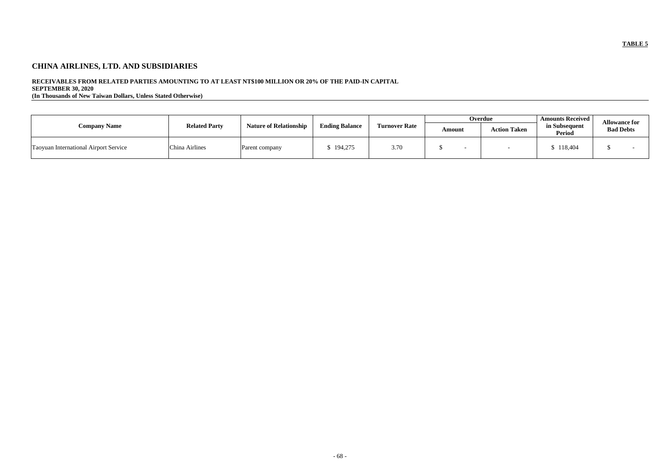# **CHINA AIRLINES, LTD. AND SUBSIDIARIES**

## **RECEIVABLES FROM RELATED PARTIES AMOUNTING TO AT LEAST NT\$100 MILLION OR 20% OF THE PAID-IN CAPITAL**

**SEPTEMBER 30, 2020**

**(In Thousands of New Taiwan Dollars, Unless Stated Otherwise)**

|                                              |                |                               |                       |                      |        | Overdue             | <b>Amounts Received</b> | <b>Allowance for</b> |  |
|----------------------------------------------|----------------|-------------------------------|-----------------------|----------------------|--------|---------------------|-------------------------|----------------------|--|
| <b>Related Party</b><br><b>Company Name</b>  |                | <b>Nature of Relationship</b> | <b>Ending Balance</b> | <b>Turnover Rate</b> | Amount | <b>Action Taken</b> | in Subsequent<br>Period | <b>Bad Debts</b>     |  |
| <b>Taoyuan International Airport Service</b> | China Airlines | Parent company                | 194,275               | 3.70                 |        |                     | 118,404                 |                      |  |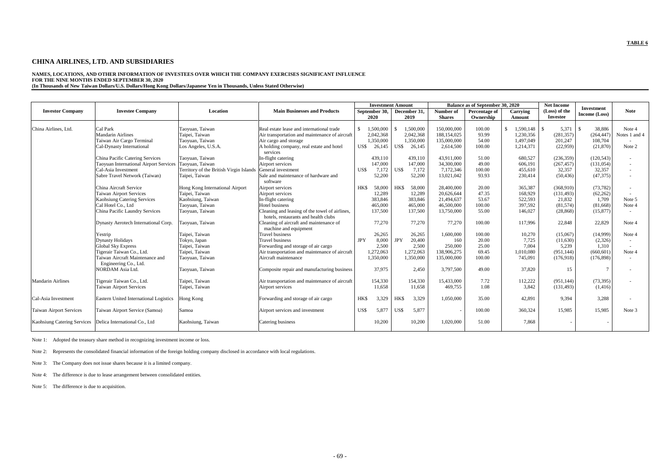## **CHINA AIRLINES, LTD. AND SUBSIDIARIES**

## **NAMES, LOCATIONS, AND OTHER INFORMATION OF INVESTEES OVER WHICH THE COMPANY EXERCISES SIGNIFICANT INFLUENCE FOR THE NINE MONTHS ENDED SEPTEMBER 30, 2020**

**(In Thousands of New Taiwan Dollars/U.S. Dollars/Hong Kong Dollars/Japanese Yen in Thousands, Unless Stated Otherwise)**

|                                |                                                        |                                         |                                                                                        |            | <b>Investment Amount</b> |            |                      |                            | <b>Balance as of September 30, 2020</b> |                    | <b>Net Income</b>                |                                    |                          |
|--------------------------------|--------------------------------------------------------|-----------------------------------------|----------------------------------------------------------------------------------------|------------|--------------------------|------------|----------------------|----------------------------|-----------------------------------------|--------------------|----------------------------------|------------------------------------|--------------------------|
| <b>Investor Company</b>        | <b>Investee Company</b>                                | Location                                | <b>Main Businesses and Products</b>                                                    |            | September 30,<br>2020    |            | December 31,<br>2019 | Number of<br><b>Shares</b> | Percentage of<br>Ownership              | Carrying<br>Amount | (Loss) of the<br><b>Investee</b> | <b>Investment</b><br>Income (Loss) | <b>Note</b>              |
|                                |                                                        |                                         |                                                                                        |            |                          |            |                      |                            |                                         |                    |                                  |                                    |                          |
| China Airlines, Ltd.           | Cal Park                                               | Taoyuan, Taiwan                         | Real estate lease and international trade                                              |            | 1,500,000                |            | 1,500,000            | 150,000,000                | 100.00                                  | 1,590,148<br>\$.   | 5,371<br>\$                      | 38,886                             | Note 4                   |
|                                | <b>Mandarin Airlines</b>                               | Taipei, Taiwan                          | Air transportation and maintenance of aircraft                                         |            | 2,042,368                |            | 2,042,368            | 188,154,025                | 93.99                                   | 1,230,356          | (281, 357)                       | (264, 447)                         | Notes 1 and 4            |
|                                | Taiwan Air Cargo Terminal                              | Taoyuan, Taiwan                         | Air cargo and storage                                                                  |            | 1,350,000                |            | 1,350,000            | 135,000,000                | 54.00                                   | 1,497,049          | 201,247                          | 108,704                            |                          |
|                                | Cal-Dynasty International                              | Los Angeles, U.S.A.                     | A holding company, real estate and hotel                                               | US\$       | 26,145                   | US\$       | 26,145               | 2,614,500                  | 100.00                                  | 1,214,371          | (22,959)                         | (21, 870)                          | Note 2                   |
|                                |                                                        |                                         | services                                                                               |            |                          |            |                      |                            |                                         |                    |                                  |                                    |                          |
|                                | China Pacific Catering Services                        | Taoyuan, Taiwan                         | In-flight catering                                                                     |            | 439,110                  |            | 439.110              | 43,911,000                 | 51.00                                   | 680,527            | (236, 359)                       | (120, 543)                         | $\sim$                   |
|                                | Taoyuan International Airport Services Taoyuan, Taiwan |                                         | Airport services                                                                       |            | 147,000                  |            | 147,000              | 34,300,000                 | 49.00                                   | 606,191            | (267, 457)                       | (131, 054)                         | $\sim$                   |
|                                | Cal-Asia Investment                                    | Territory of the British Virgin Islands | General investment                                                                     | US\$       | 7,172                    | US\$       | 7,172                | 7,172,346                  | 100.00                                  | 455,610            | 32,357                           | 32,357                             | $\sim$                   |
|                                | Sabre Travel Network (Taiwan)                          | Taipei, Taiwan                          | Sale and maintenance of hardware and                                                   |            | 52,200                   |            | 52,200               | 13,021,042                 | 93.93                                   | 230,414            | (50, 436)                        | (47, 375)                          | $\sim$                   |
|                                |                                                        |                                         | software                                                                               |            |                          |            |                      |                            |                                         |                    |                                  |                                    |                          |
|                                | China Aircraft Service                                 | Hong Kong International Airport         | Airport services                                                                       | <b>HKS</b> | 58,000                   | HK\$       | 58,000               | 28,400,000                 | 20.00                                   | 365,387            | (368,910)                        | (73, 782)                          | $\overline{\phantom{a}}$ |
|                                | <b>Taiwan Airport Services</b>                         | Taipei, Taiwan                          | Airport services                                                                       |            | 12,289                   |            | 12,289               | 20,626,644                 | 47.35                                   | 168,929            | (131, 493)                       | (62, 262)                          | $\overline{a}$           |
|                                | Kaohsiung Catering Services                            | Kaohsiung, Taiwan                       | In-flight catering                                                                     |            | 383,846                  |            | 383,846              | 21,494,637                 | 53.67                                   | 522,593            | 21,832                           | 1,709                              | Note 5                   |
|                                | Cal Hotel Co., Ltd                                     | Taoyuan, Taiwan                         | <b>Hotel business</b>                                                                  |            | 465,000                  |            | 465,000              | 46,500,000                 | 100.00                                  | 397,592            | (81,574)                         | (81,668)                           | Note 4                   |
|                                | China Pacific Laundry Services                         | Taoyuan, Taiwan                         | Cleaning and leasing of the towel of airlines,<br>hotels, restaurants and health clubs |            | 137,500                  |            | 137,500              | 13,750,000                 | 55.00                                   | 146,027            | (28, 868)                        | (15, 877)                          | $\sim$                   |
|                                | Dynasty Aerotech International Corp.                   | Taoyuan, Taiwan                         | Cleaning of aircraft and maintenance of<br>machine and equipment                       |            | 77,270                   |            | 77,270               | 77,270                     | 100.00                                  | 117.996            | 22,848                           | 22,829                             | Note 4                   |
|                                | Yestrip                                                | Taipei, Taiwan                          | <b>Travel business</b>                                                                 |            | 26,265                   |            | 26,265               | 1,600,000                  | 100.00                                  | 10,270             | (15,067)                         | (14,999)                           | Note 4                   |
|                                | <b>Dynasty Holidays</b>                                | Tokyo, Japan                            | <b>Travel business</b>                                                                 | <b>JPY</b> | 8,000                    | <b>JPY</b> | 20,400               | 160                        | 20.00                                   | 7,725              | (11,630)                         | (2,326)                            |                          |
|                                | <b>Global Sky Express</b>                              | Taipei, Taiwan                          | Forwarding and storage of air cargo                                                    |            | 2,500                    |            | 2,500                | 250,000                    | 25.00                                   | 7,004              | 5,239                            | 1,310                              | $\sim$                   |
|                                | Tigerair Taiwan Co., Ltd.                              | Taipei, Taiwan                          | Air transportation and maintenance of aircraft                                         |            | 1,272,063                |            | 1,272,063            | 138,906,275                | 69.45                                   | 1,010,080          | (951, 144)                       | (660, 601)                         | Note 4                   |
|                                | Taiwan Aircraft Maintenance and                        | Taoyuan, Taiwan                         | Aircraft maintenance                                                                   |            | 1,350,000                |            | 1,350,000            | 135,000,000                | 100.00                                  | 745,091            | (176,918)                        | (176, 898)                         |                          |
|                                | Engineering Co., Ltd.                                  |                                         |                                                                                        |            |                          |            |                      |                            |                                         |                    |                                  |                                    |                          |
|                                | NORDAM Asia Ltd.                                       | Taoyuan, Taiwan                         | Composite repair and manufacturing business                                            |            | 37,975                   |            | 2,450                | 3,797,500                  | 49.00                                   | 37,820             | 15                               | $\overline{7}$                     | $\overline{\phantom{a}}$ |
| <b>Mandarin Airlines</b>       | Tigerair Taiwan Co., Ltd.                              | Taipei, Taiwan                          | Air transportation and maintenance of aircraft                                         |            | 154,330                  |            | 154,330              | 15,433,000                 | 7.72                                    | 112,222            | (951, 144)                       | (73, 395)                          | $\overline{\phantom{a}}$ |
|                                | Taiwan Airport Services                                | Taipei, Taiwan                          | Airport services                                                                       |            | 11,658                   |            | 11,658               | 469,755                    | 1.08                                    | 3,842              | (131, 493)                       | (1, 416)                           |                          |
| Cal-Asia Investment            | Eastern United International Logistics                 | Hong Kong                               | Forwarding and storage of air cargo                                                    | HK\$       | 3,329                    | HK\$       | 3,329                | 1,050,000                  | 35.00                                   | 42,891             | 9,394                            | 3,288                              | $\overline{\phantom{a}}$ |
| <b>Taiwan Airport Services</b> | Taiwan Airport Service (Samoa)                         | Samoa                                   | Airport services and investment                                                        | US\$       | 5,877                    | US\$       | 5,877                |                            | 100.00                                  | 360,324            | 15,985                           | 15,985                             | Note 3                   |
| Kaohsiung Catering Services    | Delica International Co., Ltd                          | Kaohsiung, Taiwan                       | Catering business                                                                      |            | 10,200                   |            | 10,200               | 1,020,000                  | 51.00                                   | 7,868              |                                  |                                    |                          |

Note 1: Adopted the treasury share method in recognizing investment income or loss.

Note 2: Represents the consolidated financial information of the foreign holding company disclosed in accordance with local regulations.

Note 3: The Company does not issue shares because it is a limited company.

Note 4: The difference is due to lease arrangement between consolidated entities.

Note 5: The difference is due to acquisition.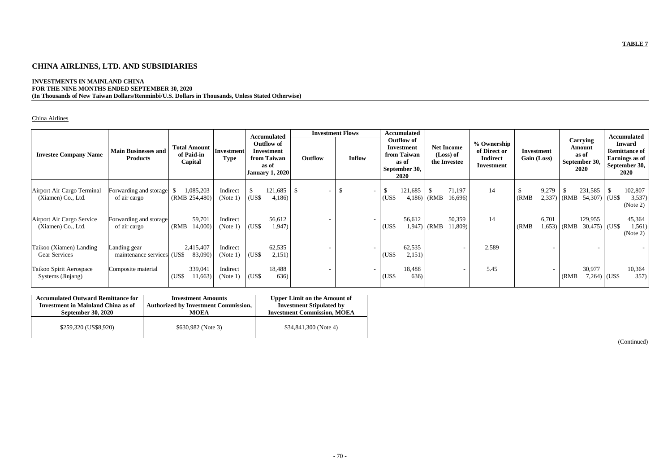# **CHINA AIRLINES, LTD. AND SUBSIDIARIES**

## **INVESTMENTS IN MAINLAND CHINA FOR THE NINE MONTHS ENDED SEPTEMBER 30, 2020 (In Thousands of New Taiwan Dollars/Renminbi/U.S. Dollars in Thousands, Unless Stated Otherwise)**

## China Airlines

|                                                  |                                               |                                              |                           | <b>Accumulated</b>                                                                |                  |                                 | <b>Investment Flows</b>        |                       | <b>Accumulated</b>                                                               |              |                                                |                                                                     |             |                 |       |                                                             |                        | <b>Accumulated</b>                                                               |
|--------------------------------------------------|-----------------------------------------------|----------------------------------------------|---------------------------|-----------------------------------------------------------------------------------|------------------|---------------------------------|--------------------------------|-----------------------|----------------------------------------------------------------------------------|--------------|------------------------------------------------|---------------------------------------------------------------------|-------------|-----------------|-------|-------------------------------------------------------------|------------------------|----------------------------------------------------------------------------------|
| <b>Investee Company Name</b>                     | <b>Main Businesses and</b><br><b>Products</b> | <b>Total Amount</b><br>of Paid-in<br>Capital | Investment<br><b>Type</b> | <b>Outflow of</b><br>Investment<br>from Taiwan<br>as of<br><b>January 1, 2020</b> |                  | Outflow                         | <b>Inflow</b>                  |                       | <b>Outflow of</b><br>Investment<br>from Taiwan<br>as of<br>September 30,<br>2020 |              | <b>Net Income</b><br>(Loss) of<br>the Investee | % Ownership<br>of Direct or<br><b>Indirect</b><br><b>Investment</b> | Gain (Loss) | Investment      |       | <b>Carrying</b><br>Amount<br>as of<br>September 30,<br>2020 |                        | <b>Inward</b><br><b>Remittance of</b><br>Earnings as of<br>September 30,<br>2020 |
| Airport Air Cargo Terminal<br>(Xiamen) Co., Ltd. | Forwarding and storage<br>of air cargo        | 1,085,203<br>(RMB 254,480)                   | Indirect<br>(Note 1)      | (US\$                                                                             | 121,685<br>4,186 | -\$<br>$\overline{\phantom{0}}$ | \$<br>$\overline{\phantom{0}}$ | $\mathbb{S}$<br>(US\$ | 121,685                                                                          | $4,186$ (RMB | 71,197<br>16,696                               | 14                                                                  | (RMB)       | 9,279<br>2,337) | (RMB) | 231,585<br>54,307                                           | <sup>\$</sup><br>(US\$ | 102,807<br>3,537)<br>(Note 2)                                                    |
| Airport Air Cargo Service<br>(Xiamen) Co., Ltd.  | Forwarding and storage<br>of air cargo        | 59,701<br>(RMB)<br>14,000)                   | Indirect<br>(Note 1)      | (USS)                                                                             | 56,612<br>1,947) |                                 |                                | (US\$                 | 56,612                                                                           | $1,947$ (RMB | 50,359<br>11,809)                              | 14                                                                  | (RMB)       | 6,701<br>1,653) | (RMB) | 129,955<br>$30,475$ (US\$)                                  |                        | 45,364<br>1,561)<br>(Note 2)                                                     |
| Taikoo (Xiamen) Landing<br><b>Gear Services</b>  | Landing gear<br>maintenance services (US\$)   | 2,415,407<br>83,090)                         | Indirect<br>(Note $1$ )   | (US\$                                                                             | 62,535<br>2,151) |                                 |                                | (US\$                 | 62,535<br>2,151)                                                                 |              | $\overline{\phantom{a}}$                       | 2.589                                                               |             |                 |       |                                                             |                        |                                                                                  |
| Taikoo Spirit Aerospace<br>Systems (Jinjang)     | Composite material                            | 339,041<br>(US\$<br>11,663                   | Indirect<br>(Note 1)      | (US\$                                                                             | 18,488<br>636)   |                                 |                                | (US\$                 | 18,488<br>636)                                                                   |              | $\overline{\phantom{a}}$                       | 5.45                                                                |             |                 | (RMB) | 30,977<br>$7,264$ (US\$)                                    |                        | 10,364<br>357)                                                                   |

| <b>Accumulated Outward Remittance for</b> | <b>Investment Amounts</b>                   | <b>Upper Limit on the Amount of</b> |
|-------------------------------------------|---------------------------------------------|-------------------------------------|
| <b>Investment in Mainland China as of</b> | <b>Authorized by Investment Commission,</b> | <b>Investment Stipulated by</b>     |
| <b>September 30, 2020</b>                 | <b>MOEA</b>                                 | <b>Investment Commission, MOEA</b>  |
| \$259,320 (US\$8,920)                     | \$630,982 (Note 3)                          | $$34,841,300$ (Note 4)              |

(Continued)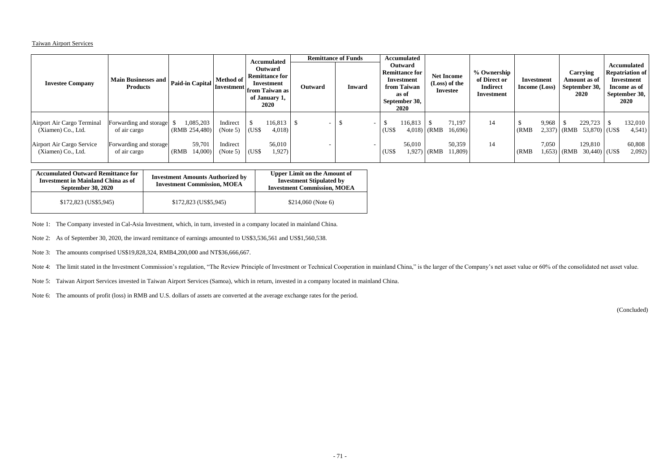### Taiwan Airport Services

| <b>Investee Company</b>                                                                             | Main Businesses and<br><b>Products</b>                                           | Paid-in Capital                                          | <b>Method of</b>                             | <b>Accumulated</b><br>Outward<br><b>Remittance for</b><br>Investment<br>Investment from Taiwan as<br>of January 1,<br>2020 | Outward | <b>Remittance of Funds</b><br><b>Inward</b> | <b>Accumulated</b><br><b>Outward</b><br><b>Remittance for</b><br>Investment<br>from Taiwan<br>as of<br>September 30,<br>2020 | <b>Net Income</b><br>(Loss) of the<br><b>Investee</b>                  | % Ownership<br>of Direct or<br><b>Indirect</b><br>Investment | Investment<br><b>Income</b> (Loss) | <b>Carrying</b><br>Amount as of<br>September 30,<br>2020                            | <b>Accumulated</b><br><b>Repatriation of</b><br>Investment<br>Income as of<br>September 30,<br>2020 |
|-----------------------------------------------------------------------------------------------------|----------------------------------------------------------------------------------|----------------------------------------------------------|----------------------------------------------|----------------------------------------------------------------------------------------------------------------------------|---------|---------------------------------------------|------------------------------------------------------------------------------------------------------------------------------|------------------------------------------------------------------------|--------------------------------------------------------------|------------------------------------|-------------------------------------------------------------------------------------|-----------------------------------------------------------------------------------------------------|
| Airport Air Cargo Terminal<br>(Xiamen) Co., Ltd.<br>Airport Air Cargo Service<br>(Xiamen) Co., Ltd. | Forwarding and storage<br>of air cargo<br>Forwarding and storage<br>of air cargo | 1,085,203<br>(RMB 254,480)<br>59,701<br>14,000)<br>(RMB) | Indirect<br>(Note 5)<br>Indirect<br>(Note 5) | 116,813<br>(US\$<br>4,018<br>56,010<br>1,927)<br>$(US\$                                                                    |         |                                             | 116,813<br>D<br>(US\$<br>56,010<br>(US\$                                                                                     | 71,197<br>$4,018$ (RMB<br>16,696<br>50,359<br>$1,927)$ (RMB<br>11,809) | 14<br>14                                                     | 9,968<br>(RMB)<br>7,050<br>(RMB)   | 229,723<br>$2,337$ (RMB 53,870) (US\$<br>129,810<br>$1,653$ (RMB<br>$30,440$ (US\$) | 132,010<br>4,541)<br>60,808<br>2,092)                                                               |

| <b>Accumulated Outward Remittance for</b><br><b>Investment in Mainland China as of</b><br><b>September 30, 2020</b> | <b>Investment Amounts Authorized by</b><br><b>Investment Commission, MOEA</b> | <b>Upper Limit on the Amount of</b><br><b>Investment Stipulated by</b><br><b>Investment Commission, MOEA</b> |  |  |  |  |
|---------------------------------------------------------------------------------------------------------------------|-------------------------------------------------------------------------------|--------------------------------------------------------------------------------------------------------------|--|--|--|--|
| $$172,823$ (US\$5,945)                                                                                              | $$172,823$ (US\$5,945)                                                        | $$214,060$ (Note 6)                                                                                          |  |  |  |  |

Note 1: The Company invested in Cal-Asia Investment, which, in turn, invested in a company located in mainland China.

Note 2: As of September 30, 2020, the inward remittance of earnings amounted to US\$3,536,561 and US\$1,560,538.

Note 3: The amounts comprised US\$19,828,324, RMB4,200,000 and NT\$36,666,667.

Note 4: The limit stated in the Investment Commission's regulation, "The Review Principle of Investment or Technical Cooperation in mainland China," is the larger of the Company's net asset value or 60% of the consolidated

Note 5: Taiwan Airport Services invested in Taiwan Airport Services (Samoa), which in return, invested in a company located in mainland China.

Note 6: The amounts of profit (loss) in RMB and U.S. dollars of assets are converted at the average exchange rates for the period.

(Concluded)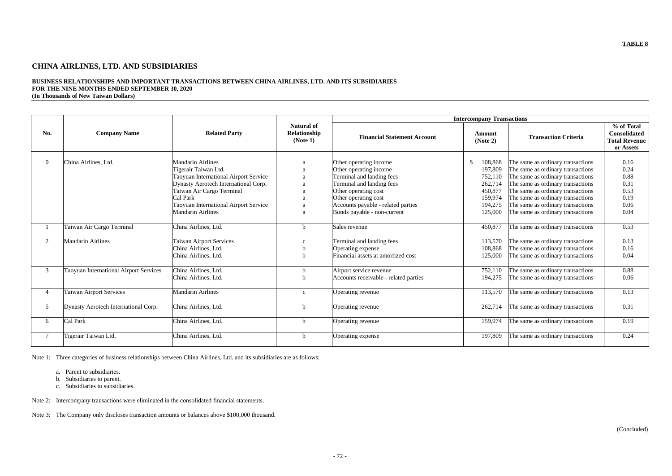## **TABLE 8**

# **CHINA AIRLINES, LTD. AND SUBSIDIARIES**

#### **BUSINESS RELATIONSHIPS AND IMPORTANT TRANSACTIONS BETWEEN CHINA AIRLINES, LTD. AND ITS SUBSIDIARIES FOR THE NINE MONTHS ENDED SEPTEMBER 30, 2020 (In Thousands of New Taiwan Dollars)**

| No.              | <b>Company Name</b>                    | <b>Related Party</b>                                                                                                                                                                                                                            | <b>Natural of</b><br>Relationship<br>(Note 1) | <b>Intercompany Transactions</b>                                                                                                                                                                                                |                                                                                            |                                                                                                                                                                                                                                                                                                      |                                                                 |
|------------------|----------------------------------------|-------------------------------------------------------------------------------------------------------------------------------------------------------------------------------------------------------------------------------------------------|-----------------------------------------------|---------------------------------------------------------------------------------------------------------------------------------------------------------------------------------------------------------------------------------|--------------------------------------------------------------------------------------------|------------------------------------------------------------------------------------------------------------------------------------------------------------------------------------------------------------------------------------------------------------------------------------------------------|-----------------------------------------------------------------|
|                  |                                        |                                                                                                                                                                                                                                                 |                                               | <b>Financial Statement Account</b>                                                                                                                                                                                              | Amount<br>(Note 2)                                                                         | <b>Transaction Criteria</b>                                                                                                                                                                                                                                                                          | % of Total<br>Consolidated<br><b>Total Revenue</b><br>or Assets |
| $\boldsymbol{0}$ | China Airlines, Ltd.                   | <b>Mandarin Airlines</b><br>Tigerair Taiwan Ltd.<br>Taoyuan International Airport Service<br>Dynasty Aerotech International Corp.<br>Taiwan Air Cargo Terminal<br>Cal Park<br>Taoyuan International Airport Service<br><b>Mandarin Airlines</b> | a<br>a<br>a<br>a                              | Other operating income<br>Other operating income<br>Terminal and landing fees<br>Terminal and landing fees<br>Other operating cost<br>Other operating cost<br>Accounts payable - related parties<br>Bonds payable - non-current | \$<br>108,868<br>197,809<br>752,110<br>262,714<br>450,877<br>159,974<br>194,275<br>125,000 | The same as ordinary transactions<br>The same as ordinary transactions<br>The same as ordinary transactions<br>The same as ordinary transactions<br>The same as ordinary transactions<br>The same as ordinary transactions<br>The same as ordinary transactions<br>The same as ordinary transactions | 0.16<br>0.24<br>0.88<br>0.31<br>0.53<br>0.19<br>0.06<br>0.04    |
|                  | Taiwan Air Cargo Terminal              | China Airlines, Ltd.                                                                                                                                                                                                                            | h                                             | Sales revenue                                                                                                                                                                                                                   | 450,877                                                                                    | The same as ordinary transactions                                                                                                                                                                                                                                                                    | 0.53                                                            |
| $\overline{2}$   | <b>Mandarin Airlines</b>               | <b>Taiwan Airport Services</b><br>China Airlines, Ltd.<br>China Airlines, Ltd.                                                                                                                                                                  | $\mathbf{c}$<br>b<br>h                        | Terminal and landing fees<br>Operating expense<br>Financial assets at amortized cost                                                                                                                                            | 113,570<br>108,868<br>125,000                                                              | The same as ordinary transactions<br>The same as ordinary transactions<br>The same as ordinary transactions                                                                                                                                                                                          | 0.13<br>0.16<br>0.04                                            |
| $\mathfrak{Z}$   | Taoyuan International Airport Services | China Airlines, Ltd.<br>China Airlines, Ltd.                                                                                                                                                                                                    | h<br>h                                        | Airport service revenue<br>Accounts receivable - related parties                                                                                                                                                                | 752,110<br>194,275                                                                         | The same as ordinary transactions<br>The same as ordinary transactions                                                                                                                                                                                                                               | 0.88<br>0.06                                                    |
| 4                | <b>Taiwan Airport Services</b>         | <b>Mandarin Airlines</b>                                                                                                                                                                                                                        | $\mathbf{C}$                                  | Operating revenue                                                                                                                                                                                                               | 113,570                                                                                    | The same as ordinary transactions                                                                                                                                                                                                                                                                    | 0.13                                                            |
| 5 <sup>5</sup>   | Dynasty Aerotech International Corp.   | China Airlines, Ltd.                                                                                                                                                                                                                            | <sub>b</sub>                                  | Operating revenue                                                                                                                                                                                                               | 262,714                                                                                    | The same as ordinary transactions                                                                                                                                                                                                                                                                    | 0.31                                                            |
| 6                | Cal Park                               | China Airlines, Ltd.                                                                                                                                                                                                                            | b                                             | Operating revenue                                                                                                                                                                                                               | 159,974                                                                                    | The same as ordinary transactions                                                                                                                                                                                                                                                                    | 0.19                                                            |
|                  | Tigerair Taiwan Ltd                    | China Airlines, Ltd.                                                                                                                                                                                                                            | b                                             | Operating expense                                                                                                                                                                                                               | 197,809                                                                                    | The same as ordinary transactions                                                                                                                                                                                                                                                                    | 0.24                                                            |

Note 1: Three categories of business relationships between China Airlines, Ltd. and its subsidiaries are as follows:

- a. Parent to subsidiaries.
- b. Subsidiaries to parent.
- c. Subsidiaries to subsidiaries.

Note 2: Intercompany transactions were eliminated in the consolidated financial statements.

Note 3: The Company only discloses transaction amounts or balances above \$100,000 thousand.